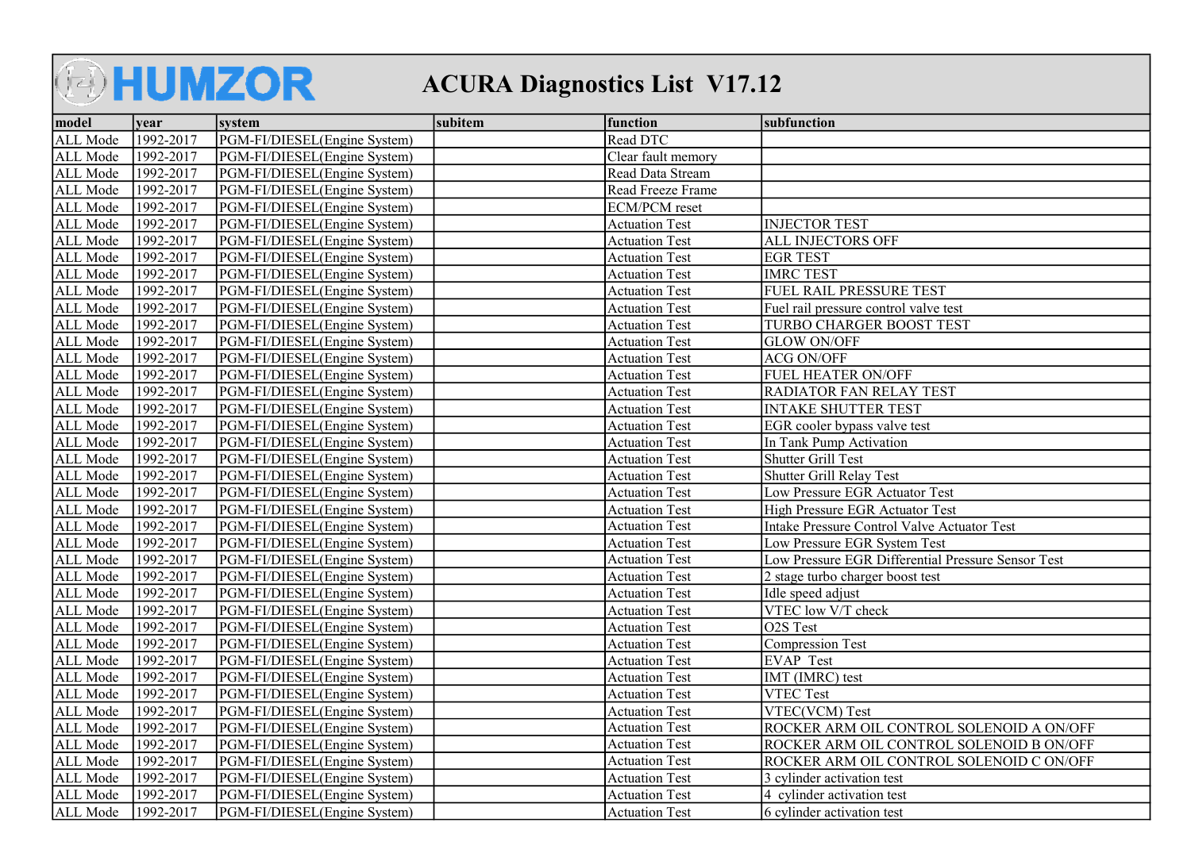## **AHUMZOR** ACURA Diagnostics List V17.12

| model    | vear      | system                       | subitem | function              | subfunction                                        |
|----------|-----------|------------------------------|---------|-----------------------|----------------------------------------------------|
| ALL Mode | 1992-2017 | PGM-FI/DIESEL(Engine System) |         | Read DTC              |                                                    |
| ALL Mode | 1992-2017 | PGM-FI/DIESEL(Engine System) |         | Clear fault memory    |                                                    |
| ALL Mode | 1992-2017 | PGM-FI/DIESEL(Engine System) |         | Read Data Stream      |                                                    |
| ALL Mode | 1992-2017 | PGM-FI/DIESEL(Engine System) |         | Read Freeze Frame     |                                                    |
| ALL Mode | 1992-2017 | PGM-FI/DIESEL(Engine System) |         | <b>ECM/PCM</b> reset  |                                                    |
| ALL Mode | 1992-2017 | PGM-FI/DIESEL(Engine System) |         | <b>Actuation Test</b> | <b>INJECTOR TEST</b>                               |
| ALL Mode | 1992-2017 | PGM-FI/DIESEL(Engine System) |         | <b>Actuation Test</b> | <b>ALL INJECTORS OFF</b>                           |
| ALL Mode | 1992-2017 | PGM-FI/DIESEL(Engine System) |         | <b>Actuation Test</b> | <b>EGR TEST</b>                                    |
| ALL Mode | 1992-2017 | PGM-FI/DIESEL(Engine System) |         | <b>Actuation Test</b> | <b>IMRC TEST</b>                                   |
| ALL Mode | 1992-2017 | PGM-FI/DIESEL(Engine System) |         | <b>Actuation Test</b> | FUEL RAIL PRESSURE TEST                            |
| ALL Mode | 1992-2017 | PGM-FI/DIESEL(Engine System) |         | <b>Actuation Test</b> | Fuel rail pressure control valve test              |
| ALL Mode | 1992-2017 | PGM-FI/DIESEL(Engine System) |         | <b>Actuation Test</b> | <b>TURBO CHARGER BOOST TEST</b>                    |
| ALL Mode | 1992-2017 | PGM-FI/DIESEL(Engine System) |         | <b>Actuation Test</b> | <b>GLOW ON/OFF</b>                                 |
| ALL Mode | 1992-2017 | PGM-FI/DIESEL(Engine System) |         | <b>Actuation Test</b> | <b>ACG ON/OFF</b>                                  |
| ALL Mode | 1992-2017 | PGM-FI/DIESEL(Engine System) |         | <b>Actuation Test</b> | <b>FUEL HEATER ON/OFF</b>                          |
| ALL Mode | 1992-2017 | PGM-FI/DIESEL(Engine System) |         | <b>Actuation Test</b> | <b>RADIATOR FAN RELAY TEST</b>                     |
| ALL Mode | 1992-2017 | PGM-FI/DIESEL(Engine System) |         | <b>Actuation Test</b> | <b>INTAKE SHUTTER TEST</b>                         |
| ALL Mode | 1992-2017 | PGM-FI/DIESEL(Engine System) |         | <b>Actuation Test</b> | EGR cooler bypass valve test                       |
| ALL Mode | 1992-2017 | PGM-FI/DIESEL(Engine System) |         | <b>Actuation Test</b> | In Tank Pump Activation                            |
| ALL Mode | 1992-2017 | PGM-FI/DIESEL(Engine System) |         | <b>Actuation Test</b> | Shutter Grill Test                                 |
| ALL Mode | 1992-2017 | PGM-FI/DIESEL(Engine System) |         | <b>Actuation Test</b> | Shutter Grill Relay Test                           |
| ALL Mode | 1992-2017 | PGM-FI/DIESEL(Engine System) |         | <b>Actuation Test</b> | Low Pressure EGR Actuator Test                     |
| ALL Mode | 1992-2017 | PGM-FI/DIESEL(Engine System) |         | <b>Actuation Test</b> | High Pressure EGR Actuator Test                    |
| ALL Mode | 1992-2017 | PGM-FI/DIESEL(Engine System) |         | <b>Actuation Test</b> | Intake Pressure Control Valve Actuator Test        |
| ALL Mode | 1992-2017 | PGM-FI/DIESEL(Engine System) |         | <b>Actuation Test</b> | Low Pressure EGR System Test                       |
| ALL Mode | 1992-2017 | PGM-FI/DIESEL(Engine System) |         | <b>Actuation Test</b> | Low Pressure EGR Differential Pressure Sensor Test |
| ALL Mode | 1992-2017 | PGM-FI/DIESEL(Engine System) |         | <b>Actuation Test</b> | 2 stage turbo charger boost test                   |
| ALL Mode | 1992-2017 | PGM-FI/DIESEL(Engine System) |         | <b>Actuation Test</b> | Idle speed adjust                                  |
| ALL Mode | 1992-2017 | PGM-FI/DIESEL(Engine System) |         | <b>Actuation Test</b> | VTEC low V/T check                                 |
| ALL Mode | 1992-2017 | PGM-FI/DIESEL(Engine System) |         | <b>Actuation Test</b> | O <sub>2</sub> S Test                              |
| ALL Mode | 1992-2017 | PGM-FI/DIESEL(Engine System) |         | <b>Actuation Test</b> | Compression Test                                   |
| ALL Mode | 1992-2017 | PGM-FI/DIESEL(Engine System) |         | <b>Actuation Test</b> | <b>EVAP</b> Test                                   |
| ALL Mode | 1992-2017 | PGM-FI/DIESEL(Engine System) |         | <b>Actuation Test</b> | IMT (IMRC) test                                    |
| ALL Mode | 1992-2017 | PGM-FI/DIESEL(Engine System) |         | <b>Actuation Test</b> | <b>VTEC Test</b>                                   |
| ALL Mode | 1992-2017 | PGM-FI/DIESEL(Engine System) |         | <b>Actuation Test</b> | VTEC(VCM) Test                                     |
| ALL Mode | 1992-2017 | PGM-FI/DIESEL(Engine System) |         | <b>Actuation Test</b> | ROCKER ARM OIL CONTROL SOLENOID A ON/OFF           |
| ALL Mode | 1992-2017 | PGM-FI/DIESEL(Engine System) |         | <b>Actuation Test</b> | ROCKER ARM OIL CONTROL SOLENOID B ON/OFF           |
| ALL Mode | 1992-2017 | PGM-FI/DIESEL(Engine System) |         | <b>Actuation Test</b> | ROCKER ARM OIL CONTROL SOLENOID C ON/OFF           |
| ALL Mode | 1992-2017 | PGM-FI/DIESEL(Engine System) |         | <b>Actuation Test</b> | 3 cylinder activation test                         |
| ALL Mode | 1992-2017 | PGM-FI/DIESEL(Engine System) |         | <b>Actuation Test</b> | 4 cylinder activation test                         |
| ALL Mode | 1992-2017 | PGM-FI/DIESEL(Engine System) |         | <b>Actuation Test</b> | 6 cylinder activation test                         |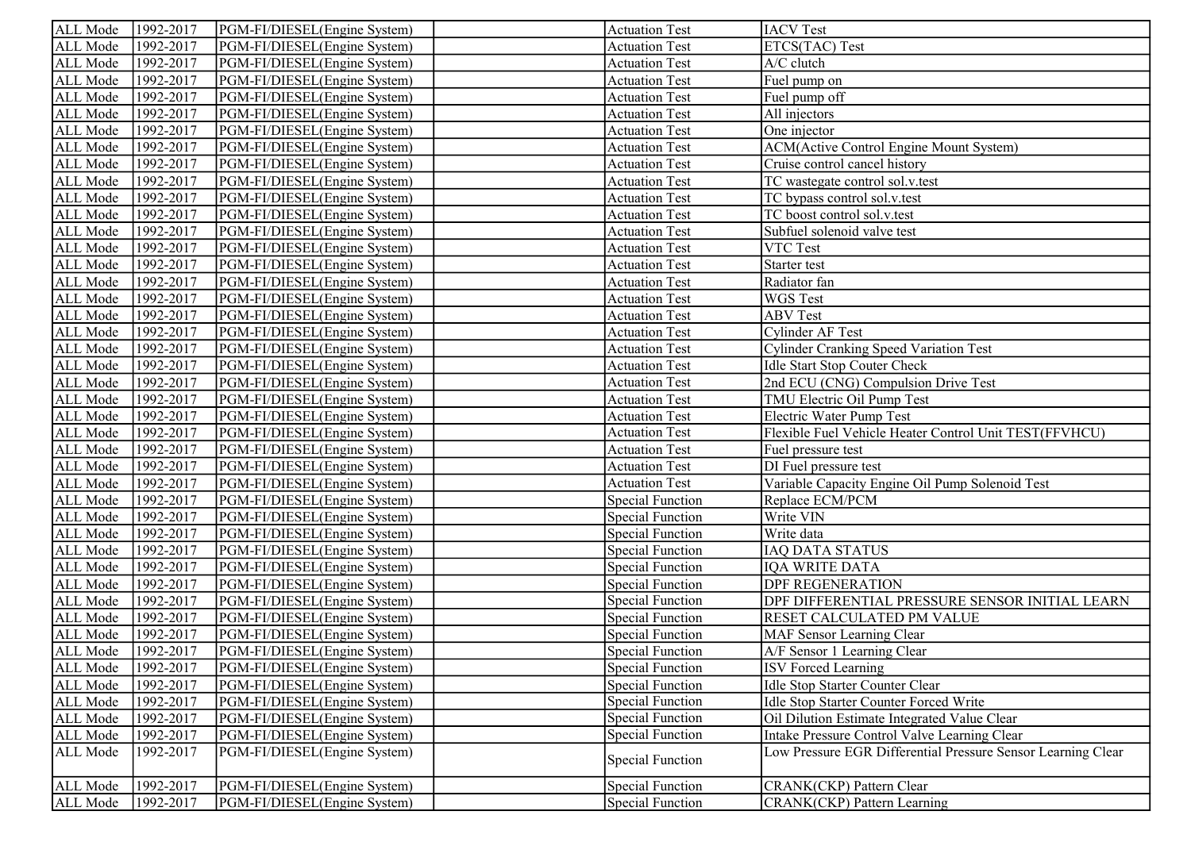| ALL Mode | 1992-2017            | PGM-FI/DIESEL(Engine System) | <b>Actuation Test</b>   | <b>IACV</b> Test                                             |
|----------|----------------------|------------------------------|-------------------------|--------------------------------------------------------------|
| ALL Mode | 1992-2017            | PGM-FI/DIESEL(Engine System) | <b>Actuation Test</b>   | ETCS(TAC) Test                                               |
| ALL Mode | 1992-2017            | PGM-FI/DIESEL(Engine System) | <b>Actuation Test</b>   | A/C clutch                                                   |
| ALL Mode | 1992-2017            | PGM-FI/DIESEL(Engine System) | <b>Actuation Test</b>   | Fuel pump on                                                 |
| ALL Mode | 1992-2017            | PGM-FI/DIESEL(Engine System) | <b>Actuation Test</b>   | Fuel pump off                                                |
| ALL Mode | $\sqrt{1992 - 2017}$ | PGM-FI/DIESEL(Engine System) | <b>Actuation Test</b>   | All injectors                                                |
| ALL Mode | 1992-2017            | PGM-FI/DIESEL(Engine System) | <b>Actuation Test</b>   | One injector                                                 |
| ALL Mode | 1992-2017            | PGM-FI/DIESEL(Engine System) | <b>Actuation Test</b>   | <b>ACM</b> (Active Control Engine Mount System)              |
| ALL Mode | 1992-2017            | PGM-FI/DIESEL(Engine System) | <b>Actuation Test</b>   | Cruise control cancel history                                |
| ALL Mode | 1992-2017            | PGM-FI/DIESEL(Engine System) | <b>Actuation Test</b>   | TC wastegate control sol.v.test                              |
| ALL Mode | 1992-2017            | PGM-FI/DIESEL(Engine System) | <b>Actuation Test</b>   | TC bypass control sol.v.test                                 |
| ALL Mode | 1992-2017            | PGM-FI/DIESEL(Engine System) | <b>Actuation Test</b>   | TC boost control sol.v.test                                  |
| ALL Mode | 1992-2017            | PGM-FI/DIESEL(Engine System) | <b>Actuation Test</b>   | Subfuel solenoid valve test                                  |
| ALL Mode | 1992-2017            | PGM-FI/DIESEL(Engine System) | <b>Actuation Test</b>   | VTC Test                                                     |
| ALL Mode | 1992-2017            | PGM-FI/DIESEL(Engine System) | <b>Actuation Test</b>   | Starter test                                                 |
| ALL Mode | 1992-2017            | PGM-FI/DIESEL(Engine System) | <b>Actuation Test</b>   | Radiator fan                                                 |
| ALL Mode | 1992-2017            | PGM-FI/DIESEL(Engine System) | <b>Actuation Test</b>   | WGS Test                                                     |
| ALL Mode | 1992-2017            | PGM-FI/DIESEL(Engine System) | <b>Actuation Test</b>   | <b>ABV</b> Test                                              |
| ALL Mode | 1992-2017            | PGM-FI/DIESEL(Engine System) | <b>Actuation Test</b>   | <b>Cylinder AF Test</b>                                      |
| ALL Mode | 1992-2017            | PGM-FI/DIESEL(Engine System) | <b>Actuation Test</b>   | <b>Cylinder Cranking Speed Variation Test</b>                |
| ALL Mode | 1992-2017            | PGM-FI/DIESEL(Engine System) | <b>Actuation Test</b>   | Idle Start Stop Couter Check                                 |
| ALL Mode | 1992-2017            | PGM-FI/DIESEL(Engine System) | <b>Actuation Test</b>   | 2nd ECU (CNG) Compulsion Drive Test                          |
| ALL Mode | 1992-2017            | PGM-FI/DIESEL(Engine System) | <b>Actuation Test</b>   | TMU Electric Oil Pump Test                                   |
| ALL Mode | 1992-2017            | PGM-FI/DIESEL(Engine System) | <b>Actuation Test</b>   | Electric Water Pump Test                                     |
| ALL Mode | 1992-2017            | PGM-FI/DIESEL(Engine System) | <b>Actuation Test</b>   | Flexible Fuel Vehicle Heater Control Unit TEST(FFVHCU)       |
| ALL Mode | 1992-2017            | PGM-FI/DIESEL(Engine System) | <b>Actuation Test</b>   | Fuel pressure test                                           |
| ALL Mode | 1992-2017            | PGM-FI/DIESEL(Engine System) | <b>Actuation Test</b>   | DI Fuel pressure test                                        |
| ALL Mode | 1992-2017            | PGM-FI/DIESEL(Engine System) | <b>Actuation Test</b>   | Variable Capacity Engine Oil Pump Solenoid Test              |
| ALL Mode | 1992-2017            | PGM-FI/DIESEL(Engine System) | <b>Special Function</b> | Replace ECM/PCM                                              |
| ALL Mode | 1992-2017            | PGM-FI/DIESEL(Engine System) | <b>Special Function</b> | Write VIN                                                    |
| ALL Mode | 1992-2017            | PGM-FI/DIESEL(Engine System) | <b>Special Function</b> | Write data                                                   |
| ALL Mode | 1992-2017            | PGM-FI/DIESEL(Engine System) | <b>Special Function</b> | <b>IAQ DATA STATUS</b>                                       |
| ALL Mode | 1992-2017            | PGM-FI/DIESEL(Engine System) | <b>Special Function</b> | <b>IQA WRITE DATA</b>                                        |
| ALL Mode | 1992-2017            | PGM-FI/DIESEL(Engine System) | <b>Special Function</b> | <b>DPF REGENERATION</b>                                      |
| ALL Mode | 1992-2017            | PGM-FI/DIESEL(Engine System) | <b>Special Function</b> | DPF DIFFERENTIAL PRESSURE SENSOR INITIAL LEARN               |
| ALL Mode | 1992-2017            | PGM-FI/DIESEL(Engine System) | <b>Special Function</b> | RESET CALCULATED PM VALUE                                    |
| ALL Mode | 1992-2017            | PGM-FI/DIESEL(Engine System) | <b>Special Function</b> | MAF Sensor Learning Clear                                    |
| ALL Mode | 1992-2017            | PGM-FI/DIESEL(Engine System) | <b>Special Function</b> | A/F Sensor 1 Learning Clear                                  |
| ALL Mode | 1992-2017            | PGM-FI/DIESEL(Engine System) | <b>Special Function</b> | <b>ISV Forced Learning</b>                                   |
| ALL Mode | 1992-2017            | PGM-FI/DIESEL(Engine System) | <b>Special Function</b> | Idle Stop Starter Counter Clear                              |
| ALL Mode | 1992-2017            | PGM-FI/DIESEL(Engine System) | <b>Special Function</b> | Idle Stop Starter Counter Forced Write                       |
| ALL Mode | 1992-2017            | PGM-FI/DIESEL(Engine System) | <b>Special Function</b> | Oil Dilution Estimate Integrated Value Clear                 |
| ALL Mode | 1992-2017            | PGM-FI/DIESEL(Engine System) | <b>Special Function</b> | Intake Pressure Control Valve Learning Clear                 |
| ALL Mode | 1992-2017            | PGM-FI/DIESEL(Engine System) | <b>Special Function</b> | Low Pressure EGR Differential Pressure Sensor Learning Clear |
| ALL Mode | 1992-2017            | PGM-FI/DIESEL(Engine System) | <b>Special Function</b> | CRANK(CKP) Pattern Clear                                     |
| ALL Mode | 1992-2017            | PGM-FI/DIESEL(Engine System) | <b>Special Function</b> | <b>CRANK(CKP)</b> Pattern Learning                           |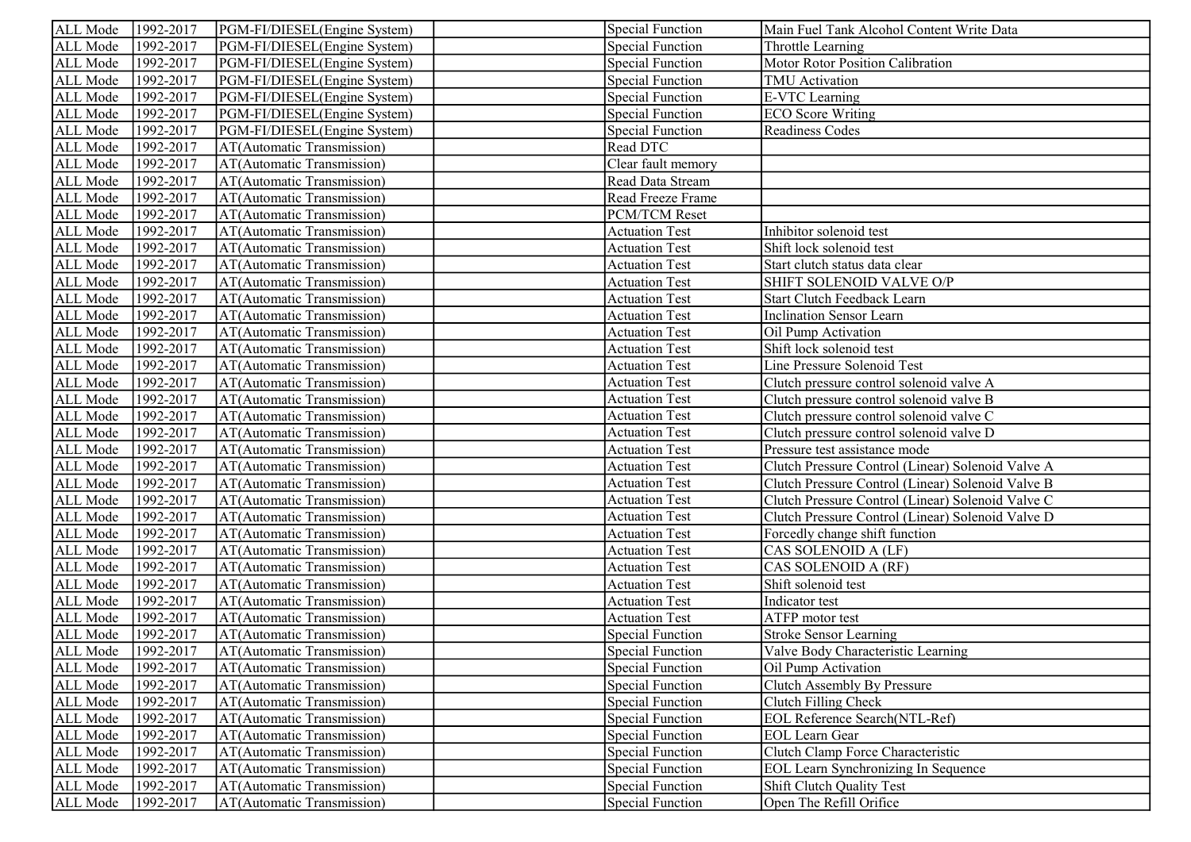| ALL Mode        | 1992-2017 | PGM-FI/DIESEL(Engine System) | <b>Special Function</b> | Main Fuel Tank Alcohol Content Write Data         |
|-----------------|-----------|------------------------------|-------------------------|---------------------------------------------------|
| ALL Mode        | 1992-2017 | PGM-FI/DIESEL(Engine System) | Special Function        | Throttle Learning                                 |
| ALL Mode        | 1992-2017 | PGM-FI/DIESEL(Engine System) | Special Function        | Motor Rotor Position Calibration                  |
| ALL Mode        | 1992-2017 | PGM-FI/DIESEL(Engine System) | <b>Special Function</b> | TMU Activation                                    |
| ALL Mode        | 1992-2017 | PGM-FI/DIESEL(Engine System) | <b>Special Function</b> | <b>E-VTC</b> Learning                             |
| ALL Mode        | 1992-2017 | PGM-FI/DIESEL(Engine System) | <b>Special Function</b> | <b>ECO</b> Score Writing                          |
| ALL Mode        | 1992-2017 | PGM-FI/DIESEL(Engine System) | <b>Special Function</b> | Readiness Codes                                   |
| ALL Mode        | 1992-2017 | AT(Automatic Transmission)   | Read DTC                |                                                   |
| ALL Mode        | 1992-2017 | AT(Automatic Transmission)   | Clear fault memory      |                                                   |
| ALL Mode        | 1992-2017 | AT(Automatic Transmission)   | Read Data Stream        |                                                   |
| ALL Mode        | 1992-2017 | AT(Automatic Transmission)   | Read Freeze Frame       |                                                   |
| ALL Mode        | 1992-2017 | AT(Automatic Transmission)   | PCM/TCM Reset           |                                                   |
| ALL Mode        | 1992-2017 | AT(Automatic Transmission)   | <b>Actuation Test</b>   | Inhibitor solenoid test                           |
| ALL Mode        | 1992-2017 | AT(Automatic Transmission)   | <b>Actuation Test</b>   | Shift lock solenoid test                          |
| ALL Mode        | 1992-2017 | AT(Automatic Transmission)   | <b>Actuation Test</b>   | Start clutch status data clear                    |
| ALL Mode        | 1992-2017 | AT(Automatic Transmission)   | <b>Actuation Test</b>   | SHIFT SOLENOID VALVE O/P                          |
| ALL Mode        | 1992-2017 | AT(Automatic Transmission)   | <b>Actuation Test</b>   | Start Clutch Feedback Learn                       |
| ALL Mode        | 1992-2017 | AT(Automatic Transmission)   | <b>Actuation Test</b>   | <b>Inclination Sensor Learn</b>                   |
| ALL Mode        | 1992-2017 | AT(Automatic Transmission)   | <b>Actuation Test</b>   | Oil Pump Activation                               |
| ALL Mode        | 1992-2017 | AT(Automatic Transmission)   | <b>Actuation Test</b>   | Shift lock solenoid test                          |
| ALL Mode        | 1992-2017 | AT(Automatic Transmission)   | <b>Actuation Test</b>   | Line Pressure Solenoid Test                       |
| ALL Mode        | 1992-2017 | AT(Automatic Transmission)   | <b>Actuation Test</b>   | Clutch pressure control solenoid valve A          |
| ALL Mode        | 1992-2017 | AT(Automatic Transmission)   | <b>Actuation Test</b>   | Clutch pressure control solenoid valve B          |
| ALL Mode        | 1992-2017 | AT(Automatic Transmission)   | <b>Actuation Test</b>   | Clutch pressure control solenoid valve C          |
| ALL Mode        | 1992-2017 | AT(Automatic Transmission)   | <b>Actuation Test</b>   | Clutch pressure control solenoid valve D          |
| ALL Mode        | 1992-2017 | AT(Automatic Transmission)   | <b>Actuation Test</b>   | Pressure test assistance mode                     |
| ALL Mode        | 1992-2017 | AT(Automatic Transmission)   | <b>Actuation Test</b>   | Clutch Pressure Control (Linear) Solenoid Valve A |
| ALL Mode        | 1992-2017 | AT(Automatic Transmission)   | <b>Actuation Test</b>   | Clutch Pressure Control (Linear) Solenoid Valve B |
| ALL Mode        | 1992-2017 | AT(Automatic Transmission)   | <b>Actuation Test</b>   | Clutch Pressure Control (Linear) Solenoid Valve C |
| ALL Mode        | 1992-2017 | AT(Automatic Transmission)   | <b>Actuation Test</b>   | Clutch Pressure Control (Linear) Solenoid Valve D |
| ALL Mode        | 1992-2017 | AT(Automatic Transmission)   | <b>Actuation Test</b>   | Forcedly change shift function                    |
| ALL Mode        | 1992-2017 | AT(Automatic Transmission)   | <b>Actuation Test</b>   | CAS SOLENOID A (LF)                               |
| ALL Mode        | 1992-2017 | AT(Automatic Transmission)   | <b>Actuation Test</b>   | CAS SOLENOID A (RF)                               |
| ALL Mode        | 1992-2017 | AT(Automatic Transmission)   | <b>Actuation Test</b>   | Shift solenoid test                               |
| ALL Mode        | 1992-2017 | AT(Automatic Transmission)   | <b>Actuation Test</b>   | Indicator test                                    |
| ALL Mode        | 1992-2017 | AT(Automatic Transmission)   | <b>Actuation Test</b>   | ATFP motor test                                   |
| ALL Mode        | 1992-2017 | AT(Automatic Transmission)   | <b>Special Function</b> | <b>Stroke Sensor Learning</b>                     |
| <b>ALL Mode</b> | 1992-2017 | AT(Automatic Transmission)   | Special Function        | Valve Body Characteristic Learning                |
| ALL Mode        | 1992-2017 | AT(Automatic Transmission)   | <b>Special Function</b> | Oil Pump Activation                               |
| ALL Mode        | 1992-2017 | AT(Automatic Transmission)   | <b>Special Function</b> | Clutch Assembly By Pressure                       |
| ALL Mode        | 1992-2017 | AT(Automatic Transmission)   | <b>Special Function</b> | Clutch Filling Check                              |
| ALL Mode        | 1992-2017 | AT(Automatic Transmission)   | <b>Special Function</b> | EOL Reference Search(NTL-Ref)                     |
| ALL Mode        | 1992-2017 | AT(Automatic Transmission)   | <b>Special Function</b> | <b>EOL</b> Learn Gear                             |
| ALL Mode        | 1992-2017 | AT(Automatic Transmission)   | <b>Special Function</b> | Clutch Clamp Force Characteristic                 |
| ALL Mode        | 1992-2017 | AT(Automatic Transmission)   | <b>Special Function</b> | <b>EOL Learn Synchronizing In Sequence</b>        |
| ALL Mode        | 1992-2017 | AT(Automatic Transmission)   | <b>Special Function</b> | Shift Clutch Quality Test                         |
| ALL Mode        | 1992-2017 | AT(Automatic Transmission)   | <b>Special Function</b> | Open The Refill Orifice                           |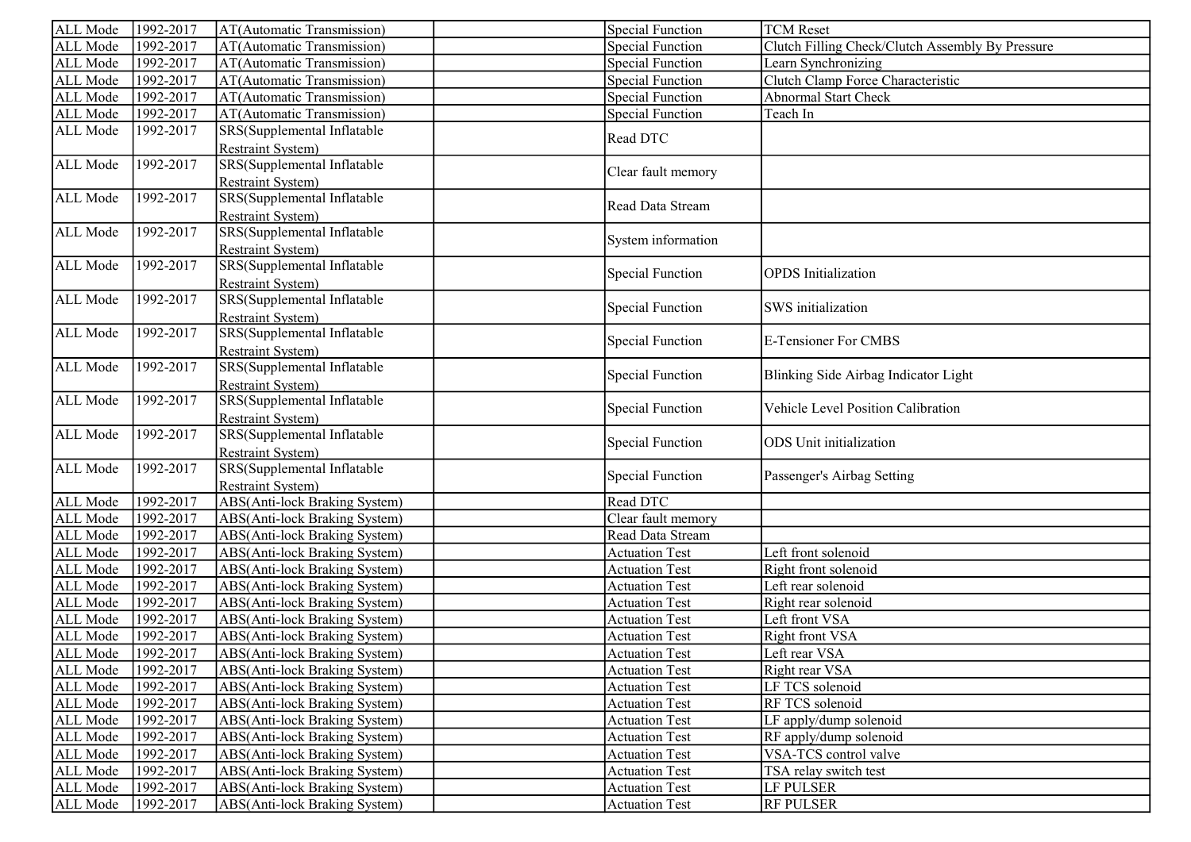| ALL Mode | 1992-2017 | AT(Automatic Transmission)                                                          | <b>Special Function</b> | <b>TCM</b> Reset                                 |
|----------|-----------|-------------------------------------------------------------------------------------|-------------------------|--------------------------------------------------|
| ALL Mode | 1992-2017 | AT(Automatic Transmission)                                                          | <b>Special Function</b> | Clutch Filling Check/Clutch Assembly By Pressure |
| ALL Mode | 1992-2017 | AT(Automatic Transmission)                                                          | <b>Special Function</b> | Learn Synchronizing                              |
| ALL Mode | 1992-2017 | AT(Automatic Transmission)                                                          | <b>Special Function</b> | Clutch Clamp Force Characteristic                |
| ALL Mode | 1992-2017 | AT(Automatic Transmission)                                                          | <b>Special Function</b> | Abnormal Start Check                             |
| ALL Mode | 1992-2017 | AT(Automatic Transmission)                                                          | <b>Special Function</b> | Teach In                                         |
| ALL Mode | 1992-2017 | SRS(Supplemental Inflatable                                                         | Read DTC                |                                                  |
| ALL Mode | 1992-2017 | <b>Restraint System)</b><br>SRS(Supplemental Inflatable<br><b>Restraint System)</b> | Clear fault memory      |                                                  |
| ALL Mode | 1992-2017 | SRS(Supplemental Inflatable<br><b>Restraint System)</b>                             | Read Data Stream        |                                                  |
| ALL Mode | 1992-2017 | SRS(Supplemental Inflatable<br><b>Restraint System)</b>                             | System information      |                                                  |
| ALL Mode | 1992-2017 | SRS(Supplemental Inflatable<br><b>Restraint System)</b>                             | <b>Special Function</b> | <b>OPDS</b> Initialization                       |
| ALL Mode | 1992-2017 | SRS(Supplemental Inflatable<br><b>Restraint System)</b>                             | <b>Special Function</b> | SWS initialization                               |
| ALL Mode | 1992-2017 | SRS(Supplemental Inflatable<br><b>Restraint System)</b>                             | <b>Special Function</b> | <b>E-Tensioner For CMBS</b>                      |
| ALL Mode | 1992-2017 | SRS(Supplemental Inflatable<br><b>Restraint System)</b>                             | <b>Special Function</b> | Blinking Side Airbag Indicator Light             |
| ALL Mode | 1992-2017 | SRS(Supplemental Inflatable<br><b>Restraint System)</b>                             | <b>Special Function</b> | Vehicle Level Position Calibration               |
| ALL Mode | 1992-2017 | SRS(Supplemental Inflatable<br><b>Restraint System)</b>                             | <b>Special Function</b> | <b>ODS</b> Unit initialization                   |
| ALL Mode | 1992-2017 | SRS(Supplemental Inflatable<br>Restraint System)                                    | <b>Special Function</b> | Passenger's Airbag Setting                       |
| ALL Mode | 1992-2017 | ABS(Anti-lock Braking System)                                                       | Read DTC                |                                                  |
| ALL Mode | 1992-2017 | ABS(Anti-lock Braking System)                                                       | Clear fault memory      |                                                  |
| ALL Mode | 1992-2017 | <b>ABS(Anti-lock Braking System)</b>                                                | Read Data Stream        |                                                  |
| ALL Mode | 1992-2017 | ABS(Anti-lock Braking System)                                                       | <b>Actuation Test</b>   | Left front solenoid                              |
| ALL Mode | 1992-2017 | ABS(Anti-lock Braking System)                                                       | <b>Actuation Test</b>   | Right front solenoid                             |
| ALL Mode | 1992-2017 | ABS(Anti-lock Braking System)                                                       | <b>Actuation Test</b>   | Left rear solenoid                               |
| ALL Mode | 1992-2017 | ABS(Anti-lock Braking System)                                                       | <b>Actuation Test</b>   | Right rear solenoid                              |
| ALL Mode | 1992-2017 | ABS(Anti-lock Braking System)                                                       | <b>Actuation Test</b>   | Left front VSA                                   |
| ALL Mode | 1992-2017 | ABS(Anti-lock Braking System)                                                       | <b>Actuation Test</b>   | <b>Right front VSA</b>                           |
| ALL Mode | 1992-2017 | ABS(Anti-lock Braking System)                                                       | <b>Actuation Test</b>   | Left rear VSA                                    |
| ALL Mode | 1992-2017 | ABS(Anti-lock Braking System)                                                       | <b>Actuation Test</b>   | Right rear VSA                                   |
| ALL Mode | 1992-2017 | ABS(Anti-lock Braking System)                                                       | <b>Actuation Test</b>   | LF TCS solenoid                                  |
| ALL Mode | 1992-2017 | ABS(Anti-lock Braking System)                                                       | <b>Actuation Test</b>   | RF TCS solenoid                                  |
| ALL Mode | 1992-2017 | ABS(Anti-lock Braking System)                                                       | <b>Actuation Test</b>   | LF apply/dump solenoid                           |
| ALL Mode | 1992-2017 | ABS(Anti-lock Braking System)                                                       | <b>Actuation Test</b>   | RF apply/dump solenoid                           |
| ALL Mode | 1992-2017 | ABS(Anti-lock Braking System)                                                       | <b>Actuation Test</b>   | VSA-TCS control valve                            |
| ALL Mode | 1992-2017 | ABS(Anti-lock Braking System)                                                       | <b>Actuation Test</b>   | TSA relay switch test                            |
| ALL Mode | 1992-2017 | ABS(Anti-lock Braking System)                                                       | <b>Actuation Test</b>   | LF PULSER                                        |
| ALL Mode | 1992-2017 | ABS(Anti-lock Braking System)                                                       | <b>Actuation Test</b>   | <b>RF PULSER</b>                                 |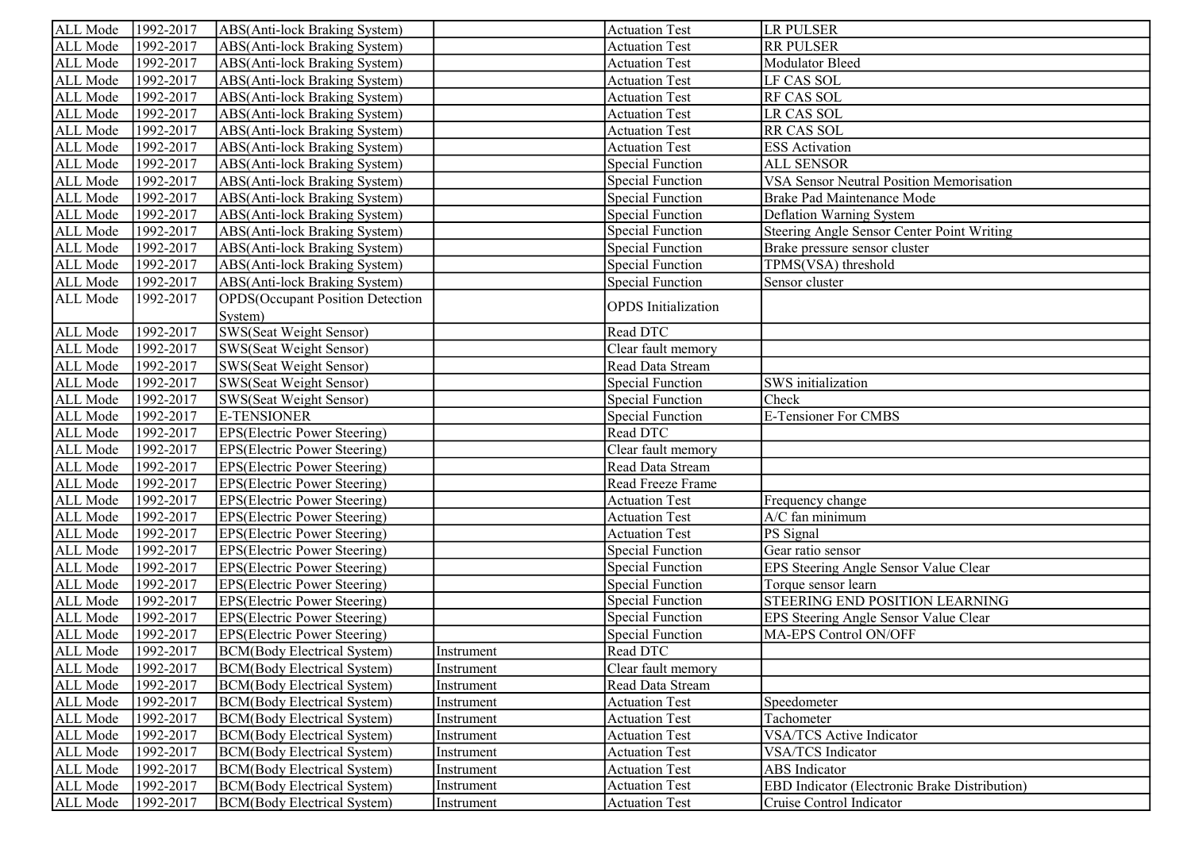| ALL Mode | 1992-2017            | ABS(Anti-lock Braking System)            |            | <b>Actuation Test</b>      | <b>LR PULSER</b>                                     |
|----------|----------------------|------------------------------------------|------------|----------------------------|------------------------------------------------------|
| ALL Mode | 1992-2017            | ABS(Anti-lock Braking System)            |            | <b>Actuation Test</b>      | <b>RR PULSER</b>                                     |
| ALL Mode | 1992-2017            | ABS(Anti-lock Braking System)            |            | <b>Actuation Test</b>      | Modulator Bleed                                      |
| ALL Mode | 1992-2017            | ABS(Anti-lock Braking System)            |            | <b>Actuation Test</b>      | LF CAS SOL                                           |
| ALL Mode | 1992-2017            | ABS(Anti-lock Braking System)            |            | <b>Actuation Test</b>      | RF CAS SOL                                           |
| ALL Mode | 1992-2017            | ABS(Anti-lock Braking System)            |            | <b>Actuation Test</b>      | <b>LR CAS SOL</b>                                    |
| ALL Mode | 1992-2017            | ABS(Anti-lock Braking System)            |            | <b>Actuation Test</b>      | RR CAS SOL                                           |
| ALL Mode | 1992-2017            | ABS(Anti-lock Braking System)            |            | <b>Actuation Test</b>      | <b>ESS</b> Activation                                |
| ALL Mode | 1992-2017            | ABS(Anti-lock Braking System)            |            | Special Function           | <b>ALL SENSOR</b>                                    |
| ALL Mode | 1992-2017            | ABS(Anti-lock Braking System)            |            | Special Function           | VSA Sensor Neutral Position Memorisation             |
| ALL Mode | 1992-2017            | ABS(Anti-lock Braking System)            |            | Special Function           | Brake Pad Maintenance Mode                           |
| ALL Mode | 1992-2017            | ABS(Anti-lock Braking System)            |            | Special Function           | Deflation Warning System                             |
| ALL Mode | 1992-2017            | ABS(Anti-lock Braking System)            |            | Special Function           | <b>Steering Angle Sensor Center Point Writing</b>    |
| ALL Mode | 1992-2017            | ABS(Anti-lock Braking System)            |            | Special Function           | Brake pressure sensor cluster                        |
| ALL Mode | 1992-2017            | ABS(Anti-lock Braking System)            |            | Special Function           | TPMS(VSA) threshold                                  |
| ALL Mode | 1992-2017            | ABS(Anti-lock Braking System)            |            | <b>Special Function</b>    | Sensor cluster                                       |
| ALL Mode | 1992-2017            | <b>OPDS</b> (Occupant Position Detection |            | <b>OPDS</b> Initialization |                                                      |
|          |                      | System)                                  |            |                            |                                                      |
| ALL Mode | 1992-2017            | SWS(Seat Weight Sensor)                  |            | Read DTC                   |                                                      |
| ALL Mode | $\sqrt{1992 - 2017}$ | <b>SWS(Seat Weight Sensor)</b>           |            | Clear fault memory         |                                                      |
| ALL Mode | 1992-2017            | SWS(Seat Weight Sensor)                  |            | Read Data Stream           |                                                      |
| ALL Mode | 1992-2017            | SWS(Seat Weight Sensor)                  |            | Special Function           | SWS initialization                                   |
| ALL Mode | 1992-2017            | <b>SWS(Seat Weight Sensor)</b>           |            | Special Function           | Check                                                |
| ALL Mode | 1992-2017            | <b>E-TENSIONER</b>                       |            | Special Function           | E-Tensioner For CMBS                                 |
| ALL Mode | $\sqrt{1992 - 2017}$ | <b>EPS</b> (Electric Power Steering)     |            | Read DTC                   |                                                      |
| ALL Mode | 1992-2017            | <b>EPS(Electric Power Steering)</b>      |            | Clear fault memory         |                                                      |
| ALL Mode | 1992-2017            | <b>EPS(Electric Power Steering)</b>      |            | Read Data Stream           |                                                      |
| ALL Mode | 1992-2017            | <b>EPS(Electric Power Steering)</b>      |            | Read Freeze Frame          |                                                      |
| ALL Mode | 1992-2017            | <b>EPS(Electric Power Steering)</b>      |            | <b>Actuation Test</b>      | Frequency change                                     |
| ALL Mode | 1992-2017            | <b>EPS(Electric Power Steering)</b>      |            | <b>Actuation Test</b>      | A/C fan minimum                                      |
| ALL Mode | 1992-2017            | EPS(Electric Power Steering)             |            | <b>Actuation Test</b>      | PS Signal                                            |
| ALL Mode | 1992-2017            | EPS(Electric Power Steering)             |            | <b>Special Function</b>    | Gear ratio sensor                                    |
| ALL Mode | 1992-2017            | EPS(Electric Power Steering)             |            | Special Function           | EPS Steering Angle Sensor Value Clear                |
| ALL Mode | 1992-2017            | EPS(Electric Power Steering)             |            | Special Function           | Torque sensor learn                                  |
| ALL Mode | 1992-2017            | EPS(Electric Power Steering)             |            | <b>Special Function</b>    | STEERING END POSITION LEARNING                       |
| ALL Mode | 1992-2017            | EPS(Electric Power Steering)             |            | <b>Special Function</b>    | EPS Steering Angle Sensor Value Clear                |
| ALL Mode | 1992-2017            | EPS(Electric Power Steering)             |            | <b>Special Function</b>    | MA-EPS Control ON/OFF                                |
| ALL Mode | 1992-2017            | <b>BCM</b> (Body Electrical System)      | Instrument | Read DTC                   |                                                      |
| ALL Mode | 1992-2017            | <b>BCM(Body Electrical System)</b>       | Instrument | Clear fault memory         |                                                      |
| ALL Mode | 1992-2017            | <b>BCM(Body Electrical System)</b>       | Instrument | Read Data Stream           |                                                      |
| ALL Mode | 1992-2017            | <b>BCM(Body Electrical System)</b>       | Instrument | <b>Actuation Test</b>      | Speedometer                                          |
| ALL Mode | 1992-2017            | <b>BCM(Body Electrical System)</b>       | Instrument | <b>Actuation Test</b>      | Tachometer                                           |
| ALL Mode | 1992-2017            | <b>BCM(Body Electrical System)</b>       | Instrument | <b>Actuation Test</b>      | <b>VSA/TCS Active Indicator</b>                      |
| ALL Mode | 1992-2017            | <b>BCM(Body Electrical System)</b>       | Instrument | <b>Actuation Test</b>      | VSA/TCS Indicator                                    |
| ALL Mode | 1992-2017            | <b>BCM(Body Electrical System)</b>       | Instrument | <b>Actuation Test</b>      | ABS Indicator                                        |
| ALL Mode | 1992-2017            | <b>BCM(Body Electrical System)</b>       | Instrument | <b>Actuation Test</b>      | <b>EBD Indicator (Electronic Brake Distribution)</b> |
| ALL Mode | 1992-2017            | <b>BCM</b> (Body Electrical System)      | Instrument | <b>Actuation Test</b>      | Cruise Control Indicator                             |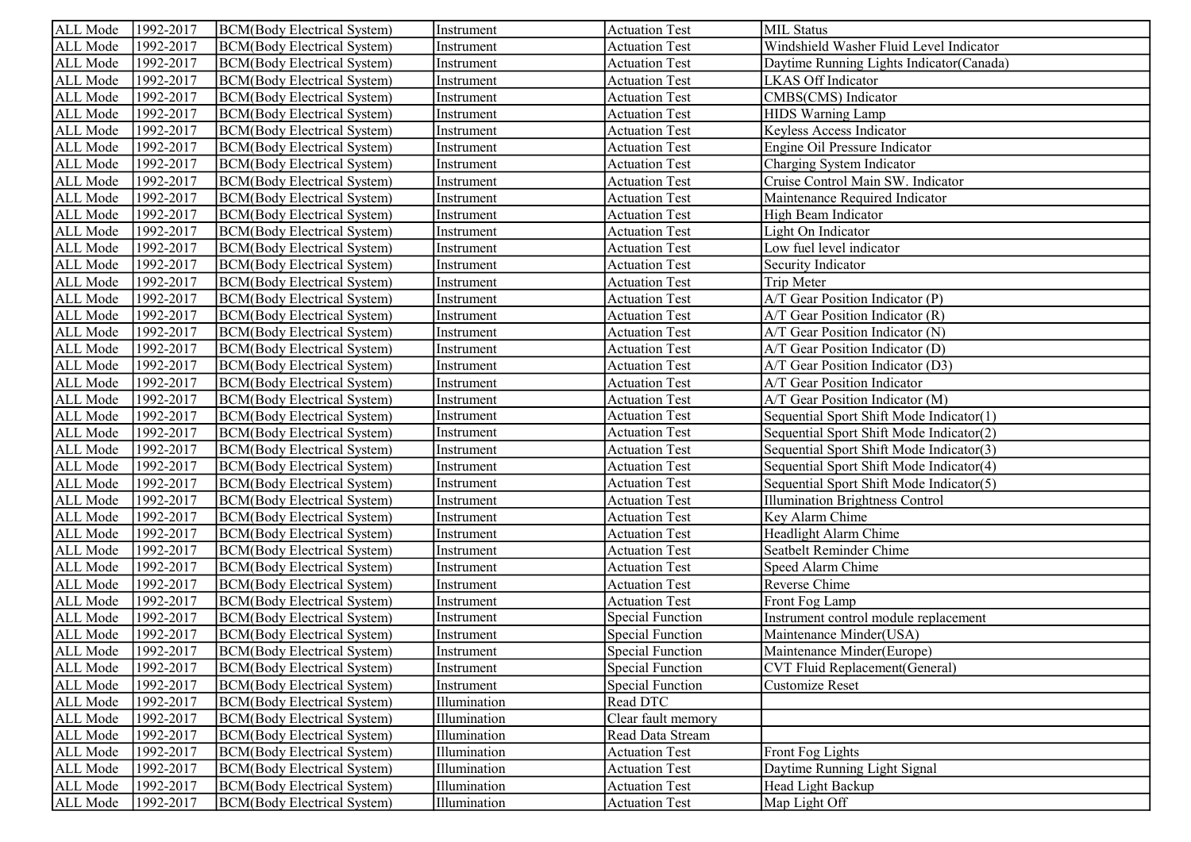| ALL Mode | 1992-2017 | BCM(Body Electrical System)         | Instrument   | <b>Actuation Test</b>   | <b>MIL Status</b>                         |
|----------|-----------|-------------------------------------|--------------|-------------------------|-------------------------------------------|
| ALL Mode | 1992-2017 | <b>BCM</b> (Body Electrical System) | Instrument   | <b>Actuation Test</b>   | Windshield Washer Fluid Level Indicator   |
| ALL Mode | 1992-2017 | <b>BCM(Body Electrical System)</b>  | Instrument   | <b>Actuation Test</b>   | Daytime Running Lights Indicator (Canada) |
| ALL Mode | 1992-2017 | <b>BCM(Body Electrical System)</b>  | Instrument   | <b>Actuation Test</b>   | LKAS Off Indicator                        |
| ALL Mode | 1992-2017 | <b>BCM(Body Electrical System)</b>  | Instrument   | <b>Actuation Test</b>   | CMBS(CMS) Indicator                       |
| ALL Mode | 1992-2017 | <b>BCM(Body Electrical System)</b>  | Instrument   | <b>Actuation Test</b>   | <b>HIDS Warning Lamp</b>                  |
| ALL Mode | 1992-2017 | <b>BCM(Body Electrical System)</b>  | Instrument   | <b>Actuation Test</b>   | Keyless Access Indicator                  |
| ALL Mode | 1992-2017 | <b>BCM(Body Electrical System)</b>  | Instrument   | <b>Actuation Test</b>   | Engine Oil Pressure Indicator             |
| ALL Mode | 1992-2017 | <b>BCM(Body Electrical System)</b>  | Instrument   | <b>Actuation Test</b>   | Charging System Indicator                 |
| ALL Mode | 1992-2017 | <b>BCM(Body Electrical System)</b>  | Instrument   | <b>Actuation Test</b>   | Cruise Control Main SW. Indicator         |
| ALL Mode | 1992-2017 | <b>BCM(Body Electrical System)</b>  | Instrument   | <b>Actuation Test</b>   | Maintenance Required Indicator            |
| ALL Mode | 1992-2017 | <b>BCM(Body Electrical System)</b>  | Instrument   | <b>Actuation Test</b>   | High Beam Indicator                       |
| ALL Mode | 1992-2017 | <b>BCM(Body Electrical System)</b>  | Instrument   | <b>Actuation Test</b>   | Light On Indicator                        |
| ALL Mode | 1992-2017 | <b>BCM(Body Electrical System)</b>  | Instrument   | <b>Actuation Test</b>   | Low fuel level indicator                  |
| ALL Mode | 1992-2017 | <b>BCM(Body Electrical System)</b>  | Instrument   | <b>Actuation Test</b>   | Security Indicator                        |
| ALL Mode | 1992-2017 | <b>BCM(Body Electrical System)</b>  | Instrument   | <b>Actuation Test</b>   | Trip Meter                                |
| ALL Mode | 1992-2017 | <b>BCM</b> (Body Electrical System) | Instrument   | <b>Actuation Test</b>   | A/T Gear Position Indicator (P)           |
| ALL Mode | 1992-2017 | <b>BCM(Body Electrical System)</b>  | Instrument   | <b>Actuation Test</b>   | A/T Gear Position Indicator (R)           |
| ALL Mode | 1992-2017 | <b>BCM(Body Electrical System)</b>  | Instrument   | <b>Actuation Test</b>   | A/T Gear Position Indicator (N)           |
| ALL Mode | 1992-2017 | <b>BCM(Body Electrical System)</b>  | Instrument   | <b>Actuation Test</b>   | A/T Gear Position Indicator (D)           |
| ALL Mode | 1992-2017 | <b>BCM</b> (Body Electrical System) | Instrument   | <b>Actuation Test</b>   | A/T Gear Position Indicator (D3)          |
| ALL Mode | 1992-2017 | <b>BCM</b> (Body Electrical System) | Instrument   | <b>Actuation Test</b>   | A/T Gear Position Indicator               |
| ALL Mode | 1992-2017 | <b>BCM</b> (Body Electrical System) | Instrument   | <b>Actuation Test</b>   | A/T Gear Position Indicator (M)           |
| ALL Mode | 1992-2017 | <b>BCM</b> (Body Electrical System) | Instrument   | <b>Actuation Test</b>   | Sequential Sport Shift Mode Indicator(1)  |
| ALL Mode | 1992-2017 | <b>BCM</b> (Body Electrical System) | Instrument   | <b>Actuation Test</b>   | Sequential Sport Shift Mode Indicator(2)  |
| ALL Mode | 1992-2017 | <b>BCM</b> (Body Electrical System) | Instrument   | <b>Actuation Test</b>   | Sequential Sport Shift Mode Indicator(3)  |
| ALL Mode | 1992-2017 | <b>BCM(Body Electrical System)</b>  | Instrument   | <b>Actuation Test</b>   | Sequential Sport Shift Mode Indicator(4)  |
| ALL Mode | 1992-2017 | <b>BCM(Body Electrical System)</b>  | Instrument   | <b>Actuation Test</b>   | Sequential Sport Shift Mode Indicator(5)  |
| ALL Mode | 1992-2017 | <b>BCM(Body Electrical System)</b>  | Instrument   | <b>Actuation Test</b>   | <b>Illumination Brightness Control</b>    |
| ALL Mode | 1992-2017 | <b>BCM(Body Electrical System)</b>  | Instrument   | <b>Actuation Test</b>   | Key Alarm Chime                           |
| ALL Mode | 1992-2017 | <b>BCM(Body Electrical System)</b>  | Instrument   | <b>Actuation Test</b>   | Headlight Alarm Chime                     |
| ALL Mode | 1992-2017 | <b>BCM(Body Electrical System)</b>  | Instrument   | <b>Actuation Test</b>   | Seatbelt Reminder Chime                   |
| ALL Mode | 1992-2017 | <b>BCM(Body Electrical System)</b>  | Instrument   | <b>Actuation Test</b>   | Speed Alarm Chime                         |
| ALL Mode | 1992-2017 | <b>BCM(Body Electrical System)</b>  | Instrument   | <b>Actuation Test</b>   | Reverse Chime                             |
| ALL Mode | 1992-2017 | <b>BCM(Body Electrical System)</b>  | Instrument   | <b>Actuation Test</b>   | Front Fog Lamp                            |
| ALL Mode | 1992-2017 | <b>BCM(Body Electrical System)</b>  | Instrument   | <b>Special Function</b> | Instrument control module replacement     |
| ALL Mode | 1992-2017 | <b>BCM(Body Electrical System)</b>  | Instrument   | <b>Special Function</b> | Maintenance Minder(USA)                   |
| ALL Mode | 1992-2017 | BCM(Body Electrical System)         | Instrument   | Special Function        | Maintenance Minder(Europe)                |
| ALL Mode | 1992-2017 | <b>BCM(Body Electrical System)</b>  | Instrument   | <b>Special Function</b> | <b>CVT Fluid Replacement(General)</b>     |
| ALL Mode | 1992-2017 | <b>BCM(Body Electrical System)</b>  | Instrument   | <b>Special Function</b> | Customize Reset                           |
| ALL Mode | 1992-2017 | <b>BCM(Body Electrical System)</b>  | Illumination | Read DTC                |                                           |
| ALL Mode | 1992-2017 | <b>BCM(Body Electrical System)</b>  | Illumination | Clear fault memory      |                                           |
| ALL Mode | 1992-2017 | <b>BCM(Body Electrical System)</b>  | Illumination | Read Data Stream        |                                           |
| ALL Mode | 1992-2017 | <b>BCM(Body Electrical System)</b>  | Illumination | <b>Actuation Test</b>   | <b>Front Fog Lights</b>                   |
| ALL Mode | 1992-2017 | <b>BCM(Body Electrical System)</b>  | Illumination | <b>Actuation Test</b>   | Daytime Running Light Signal              |
| ALL Mode | 1992-2017 | <b>BCM(Body Electrical System)</b>  | Illumination | <b>Actuation Test</b>   | Head Light Backup                         |
| ALL Mode | 1992-2017 | <b>BCM(Body Electrical System)</b>  | Illumination | <b>Actuation Test</b>   | Map Light Off                             |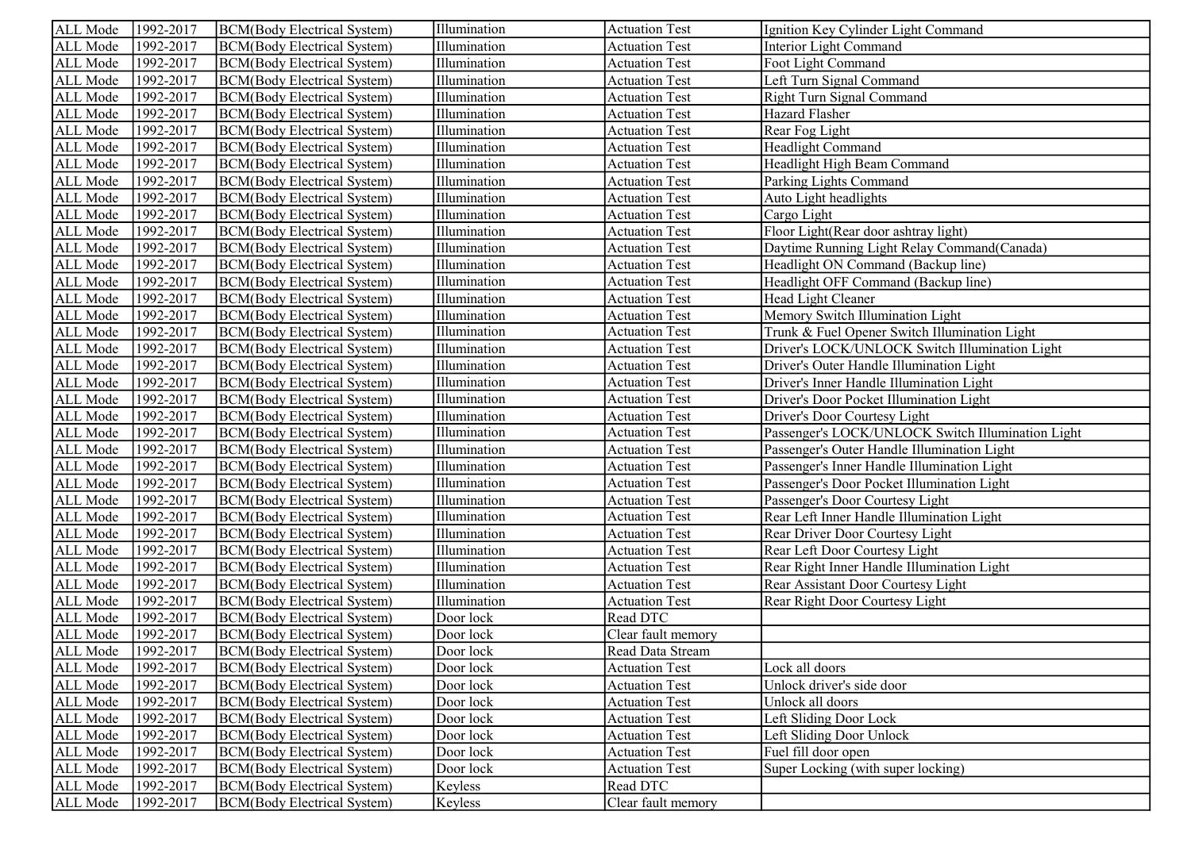| ALL Mode | 1992-2017 | BCM(Body Electrical System)         | Illumination | <b>Actuation Test</b> | Ignition Key Cylinder Light Command               |
|----------|-----------|-------------------------------------|--------------|-----------------------|---------------------------------------------------|
| ALL Mode | 1992-2017 | <b>BCM</b> (Body Electrical System) | Illumination | <b>Actuation Test</b> | Interior Light Command                            |
| ALL Mode | 1992-2017 | <b>BCM</b> (Body Electrical System) | Illumination | <b>Actuation Test</b> | Foot Light Command                                |
| ALL Mode | 1992-2017 | BCM(Body Electrical System)         | Illumination | <b>Actuation Test</b> | Left Turn Signal Command                          |
| ALL Mode | 1992-2017 | <b>BCM</b> (Body Electrical System) | Illumination | <b>Actuation Test</b> | Right Turn Signal Command                         |
| ALL Mode | 1992-2017 | <b>BCM</b> (Body Electrical System) | Illumination | <b>Actuation Test</b> | Hazard Flasher                                    |
| ALL Mode | 1992-2017 | <b>BCM</b> (Body Electrical System) | Illumination | <b>Actuation Test</b> | Rear Fog Light                                    |
| ALL Mode | 1992-2017 | <b>BCM</b> (Body Electrical System) | Illumination | <b>Actuation Test</b> | Headlight Command                                 |
| ALL Mode | 1992-2017 | <b>BCM</b> (Body Electrical System) | Illumination | <b>Actuation Test</b> | Headlight High Beam Command                       |
| ALL Mode | 1992-2017 | <b>BCM</b> (Body Electrical System) | Illumination | <b>Actuation Test</b> | Parking Lights Command                            |
| ALL Mode | 1992-2017 | <b>BCM</b> (Body Electrical System) | Illumination | <b>Actuation Test</b> | Auto Light headlights                             |
| ALL Mode | 1992-2017 | <b>BCM</b> (Body Electrical System) | Illumination | <b>Actuation Test</b> | Cargo Light                                       |
| ALL Mode | 1992-2017 | <b>BCM</b> (Body Electrical System) | Illumination | <b>Actuation Test</b> | Floor Light (Rear door ashtray light)             |
| ALL Mode | 1992-2017 | BCM(Body Electrical System)         | Illumination | <b>Actuation Test</b> | Daytime Running Light Relay Command (Canada)      |
| ALL Mode | 1992-2017 | <b>BCM</b> (Body Electrical System) | Illumination | <b>Actuation Test</b> | Headlight ON Command (Backup line)                |
| ALL Mode | 1992-2017 | BCM(Body Electrical System)         | Illumination | <b>Actuation Test</b> | Headlight OFF Command (Backup line)               |
| ALL Mode | 1992-2017 | BCM(Body Electrical System)         | Illumination | <b>Actuation Test</b> | Head Light Cleaner                                |
| ALL Mode | 1992-2017 | <b>BCM</b> (Body Electrical System) | Illumination | <b>Actuation Test</b> | Memory Switch Illumination Light                  |
| ALL Mode | 1992-2017 | <b>BCM</b> (Body Electrical System) | Illumination | <b>Actuation Test</b> | Trunk & Fuel Opener Switch Illumination Light     |
| ALL Mode | 1992-2017 | <b>BCM</b> (Body Electrical System) | Illumination | <b>Actuation Test</b> | Driver's LOCK/UNLOCK Switch Illumination Light    |
| ALL Mode | 1992-2017 | BCM(Body Electrical System)         | Illumination | <b>Actuation Test</b> | Driver's Outer Handle Illumination Light          |
| ALL Mode | 1992-2017 | <b>BCM</b> (Body Electrical System) | Illumination | <b>Actuation Test</b> | Driver's Inner Handle Illumination Light          |
| ALL Mode | 1992-2017 | <b>BCM</b> (Body Electrical System) | Illumination | <b>Actuation Test</b> | Driver's Door Pocket Illumination Light           |
| ALL Mode | 1992-2017 | BCM(Body Electrical System)         | Illumination | <b>Actuation Test</b> | Driver's Door Courtesy Light                      |
| ALL Mode | 1992-2017 | BCM(Body Electrical System)         | Illumination | <b>Actuation Test</b> | Passenger's LOCK/UNLOCK Switch Illumination Light |
| ALL Mode | 1992-2017 | BCM(Body Electrical System)         | Illumination | <b>Actuation Test</b> | Passenger's Outer Handle Illumination Light       |
| ALL Mode | 1992-2017 | <b>BCM</b> (Body Electrical System) | Illumination | <b>Actuation Test</b> | Passenger's Inner Handle Illumination Light       |
| ALL Mode | 1992-2017 | <b>BCM</b> (Body Electrical System) | Illumination | <b>Actuation Test</b> | Passenger's Door Pocket Illumination Light        |
| ALL Mode | 1992-2017 | <b>BCM</b> (Body Electrical System) | Illumination | <b>Actuation Test</b> | Passenger's Door Courtesy Light                   |
| ALL Mode | 1992-2017 | <b>BCM</b> (Body Electrical System) | Illumination | <b>Actuation Test</b> | Rear Left Inner Handle Illumination Light         |
| ALL Mode | 1992-2017 | <b>BCM</b> (Body Electrical System) | Illumination | <b>Actuation Test</b> | Rear Driver Door Courtesy Light                   |
| ALL Mode | 1992-2017 | <b>BCM</b> (Body Electrical System) | Illumination | <b>Actuation Test</b> | Rear Left Door Courtesy Light                     |
| ALL Mode | 1992-2017 | <b>BCM</b> (Body Electrical System) | Illumination | <b>Actuation Test</b> | Rear Right Inner Handle Illumination Light        |
| ALL Mode | 1992-2017 | <b>BCM</b> (Body Electrical System) | Illumination | <b>Actuation Test</b> | Rear Assistant Door Courtesy Light                |
| ALL Mode | 1992-2017 | <b>BCM</b> (Body Electrical System) | Illumination | <b>Actuation Test</b> | Rear Right Door Courtesy Light                    |
| ALL Mode | 1992-2017 | <b>BCM</b> (Body Electrical System) | Door lock    | Read DTC              |                                                   |
| ALL Mode | 1992-2017 | <b>BCM</b> (Body Electrical System) | Door lock    | Clear fault memory    |                                                   |
| ALL Mode | 1992-2017 | BCM(Body Electrical System)         | Door lock    | Read Data Stream      |                                                   |
| ALL Mode | 1992-2017 | <b>BCM</b> (Body Electrical System) | Door lock    | <b>Actuation Test</b> | Lock all doors                                    |
| ALL Mode | 1992-2017 | <b>BCM(Body Electrical System)</b>  | Door lock    | <b>Actuation Test</b> | Unlock driver's side door                         |
| ALL Mode | 1992-2017 | <b>BCM</b> (Body Electrical System) | Door lock    | <b>Actuation Test</b> | Unlock all doors                                  |
| ALL Mode | 1992-2017 | <b>BCM(Body Electrical System)</b>  | Door lock    | <b>Actuation Test</b> | Left Sliding Door Lock                            |
| ALL Mode | 1992-2017 | <b>BCM</b> (Body Electrical System) | Door lock    | <b>Actuation Test</b> | Left Sliding Door Unlock                          |
| ALL Mode | 1992-2017 | <b>BCM(Body Electrical System)</b>  | Door lock    | <b>Actuation Test</b> | Fuel fill door open                               |
| ALL Mode | 1992-2017 | <b>BCM</b> (Body Electrical System) | Door lock    | <b>Actuation Test</b> | Super Locking (with super locking)                |
| ALL Mode | 1992-2017 | <b>BCM</b> (Body Electrical System) | Keyless      | Read DTC              |                                                   |
| ALL Mode | 1992-2017 | <b>BCM(Body Electrical System)</b>  | Keyless      | Clear fault memory    |                                                   |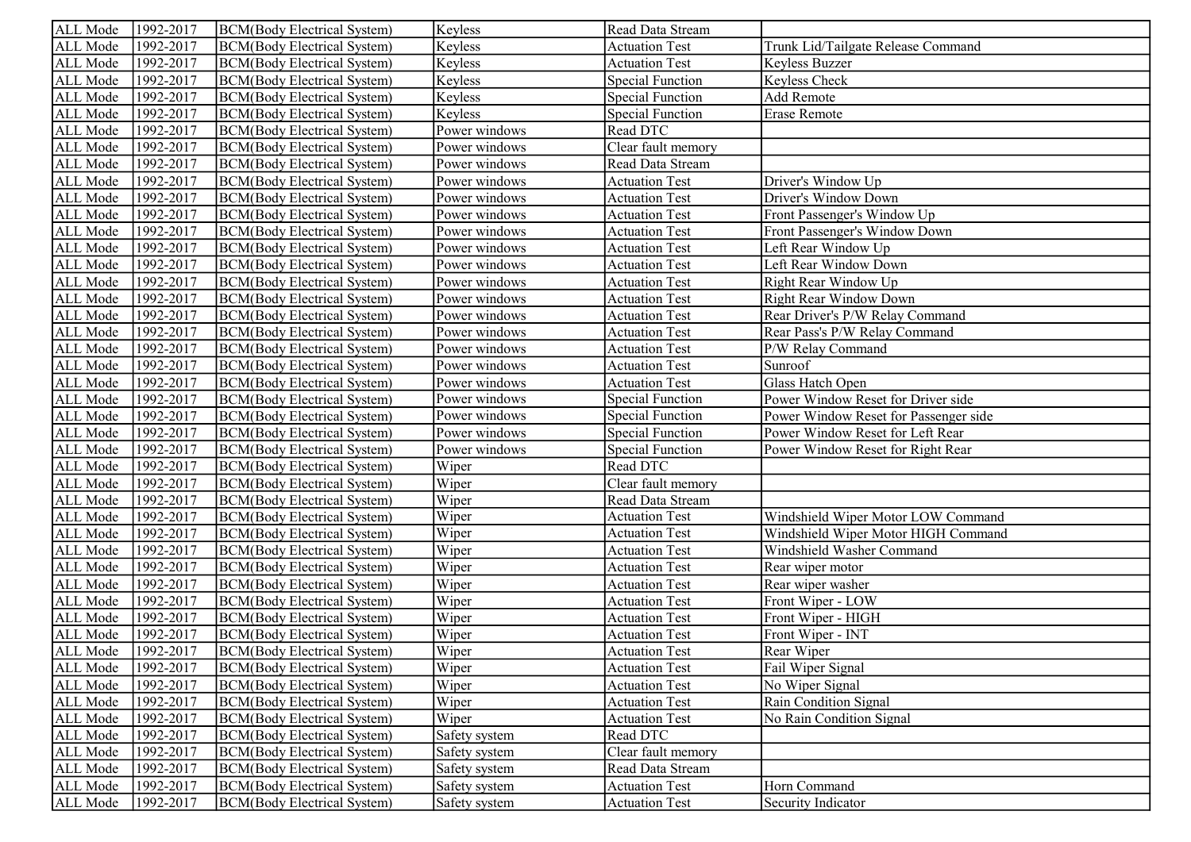| ALL Mode | 1992-2017 | BCM(Body Electrical System)         | Keyless       | Read Data Stream        |                                       |
|----------|-----------|-------------------------------------|---------------|-------------------------|---------------------------------------|
| ALL Mode | 1992-2017 | <b>BCM(Body Electrical System)</b>  | Keyless       | <b>Actuation Test</b>   | Trunk Lid/Tailgate Release Command    |
| ALL Mode | 1992-2017 | <b>BCM(Body Electrical System)</b>  | Keyless       | <b>Actuation Test</b>   | Keyless Buzzer                        |
| ALL Mode | 1992-2017 | <b>BCM(Body Electrical System)</b>  | Keyless       | <b>Special Function</b> | Keyless Check                         |
| ALL Mode | 1992-2017 | <b>BCM(Body Electrical System)</b>  | Keyless       | <b>Special Function</b> | Add Remote                            |
| ALL Mode | 1992-2017 | <b>BCM(Body Electrical System)</b>  | Keyless       | <b>Special Function</b> | Erase Remote                          |
| ALL Mode | 1992-2017 | <b>BCM(Body Electrical System)</b>  | Power windows | Read DTC                |                                       |
| ALL Mode | 1992-2017 | <b>BCM(Body Electrical System)</b>  | Power windows | Clear fault memory      |                                       |
| ALL Mode | 1992-2017 | <b>BCM(Body Electrical System)</b>  | Power windows | Read Data Stream        |                                       |
| ALL Mode | 1992-2017 | <b>BCM(Body Electrical System)</b>  | Power windows | <b>Actuation Test</b>   | Driver's Window Up                    |
| ALL Mode | 1992-2017 | <b>BCM(Body Electrical System)</b>  | Power windows | <b>Actuation Test</b>   | Driver's Window Down                  |
| ALL Mode | 1992-2017 | <b>BCM(Body Electrical System)</b>  | Power windows | <b>Actuation Test</b>   | Front Passenger's Window Up           |
| ALL Mode | 1992-2017 | <b>BCM(Body Electrical System)</b>  | Power windows | <b>Actuation Test</b>   | Front Passenger's Window Down         |
| ALL Mode | 1992-2017 | <b>BCM(Body Electrical System)</b>  | Power windows | <b>Actuation Test</b>   | Left Rear Window Up                   |
| ALL Mode | 1992-2017 | <b>BCM(Body Electrical System)</b>  | Power windows | <b>Actuation Test</b>   | Left Rear Window Down                 |
| ALL Mode | 1992-2017 | <b>BCM(Body Electrical System)</b>  | Power windows | <b>Actuation Test</b>   | Right Rear Window Up                  |
| ALL Mode | 1992-2017 | <b>BCM(Body Electrical System)</b>  | Power windows | <b>Actuation Test</b>   | Right Rear Window Down                |
| ALL Mode | 1992-2017 | <b>BCM(Body Electrical System)</b>  | Power windows | <b>Actuation Test</b>   | Rear Driver's P/W Relay Command       |
| ALL Mode | 1992-2017 | <b>BCM(Body Electrical System)</b>  | Power windows | <b>Actuation Test</b>   | Rear Pass's P/W Relay Command         |
| ALL Mode | 1992-2017 | <b>BCM(Body Electrical System)</b>  | Power windows | <b>Actuation Test</b>   | P/W Relay Command                     |
| ALL Mode | 1992-2017 | <b>BCM</b> (Body Electrical System) | Power windows | <b>Actuation Test</b>   | Sunroof                               |
| ALL Mode | 1992-2017 | <b>BCM(Body Electrical System)</b>  | Power windows | <b>Actuation Test</b>   | Glass Hatch Open                      |
| ALL Mode | 1992-2017 | <b>BCM</b> (Body Electrical System) | Power windows | <b>Special Function</b> | Power Window Reset for Driver side    |
| ALL Mode | 1992-2017 | <b>BCM</b> (Body Electrical System) | Power windows | <b>Special Function</b> | Power Window Reset for Passenger side |
| ALL Mode | 1992-2017 | <b>BCM</b> (Body Electrical System) | Power windows | <b>Special Function</b> | Power Window Reset for Left Rear      |
| ALL Mode | 1992-2017 | <b>BCM</b> (Body Electrical System) | Power windows | Special Function        | Power Window Reset for Right Rear     |
| ALL Mode | 1992-2017 | <b>BCM(Body Electrical System)</b>  | Wiper         | Read DTC                |                                       |
| ALL Mode | 1992-2017 | <b>BCM(Body Electrical System)</b>  | Wiper         | Clear fault memory      |                                       |
| ALL Mode | 1992-2017 | <b>BCM(Body Electrical System)</b>  | Wiper         | Read Data Stream        |                                       |
| ALL Mode | 1992-2017 | <b>BCM(Body Electrical System)</b>  | Wiper         | <b>Actuation Test</b>   | Windshield Wiper Motor LOW Command    |
| ALL Mode | 1992-2017 | <b>BCM(Body Electrical System)</b>  | Wiper         | <b>Actuation Test</b>   | Windshield Wiper Motor HIGH Command   |
| ALL Mode | 1992-2017 | <b>BCM(Body Electrical System)</b>  | Wiper         | <b>Actuation Test</b>   | Windshield Washer Command             |
| ALL Mode | 1992-2017 | <b>BCM(Body Electrical System)</b>  | Wiper         | <b>Actuation Test</b>   | Rear wiper motor                      |
| ALL Mode | 1992-2017 | <b>BCM(Body Electrical System)</b>  | Wiper         | <b>Actuation Test</b>   | Rear wiper washer                     |
| ALL Mode | 1992-2017 | <b>BCM(Body Electrical System)</b>  | Wiper         | <b>Actuation Test</b>   | Front Wiper - LOW                     |
| ALL Mode | 1992-2017 | <b>BCM(Body Electrical System)</b>  | Wiper         | <b>Actuation Test</b>   | Front Wiper - HIGH                    |
| ALL Mode | 1992-2017 | <b>BCM(Body Electrical System)</b>  | Wiper         | <b>Actuation Test</b>   | Front Wiper - INT                     |
| ALL Mode | 1992-2017 | <b>BCM</b> (Body Electrical System) | Wiper         | <b>Actuation Test</b>   | Rear Wiper                            |
| ALL Mode | 1992-2017 | <b>BCM(Body Electrical System)</b>  | Wiper         | <b>Actuation Test</b>   | Fail Wiper Signal                     |
| ALL Mode | 1992-2017 | <b>BCM(Body Electrical System)</b>  | Wiper         | <b>Actuation Test</b>   | No Wiper Signal                       |
| ALL Mode | 1992-2017 | <b>BCM(Body Electrical System)</b>  | Wiper         | <b>Actuation Test</b>   | Rain Condition Signal                 |
| ALL Mode | 1992-2017 | <b>BCM(Body Electrical System)</b>  | Wiper         | <b>Actuation Test</b>   | No Rain Condition Signal              |
| ALL Mode | 1992-2017 | <b>BCM(Body Electrical System)</b>  | Safety system | Read DTC                |                                       |
| ALL Mode | 1992-2017 | <b>BCM(Body Electrical System)</b>  | Safety system | Clear fault memory      |                                       |
| ALL Mode | 1992-2017 | <b>BCM(Body Electrical System)</b>  | Safety system | Read Data Stream        |                                       |
| ALL Mode | 1992-2017 | <b>BCM(Body Electrical System)</b>  | Safety system | <b>Actuation Test</b>   | Horn Command                          |
| ALL Mode | 1992-2017 | <b>BCM(Body Electrical System)</b>  | Safety system | <b>Actuation Test</b>   | Security Indicator                    |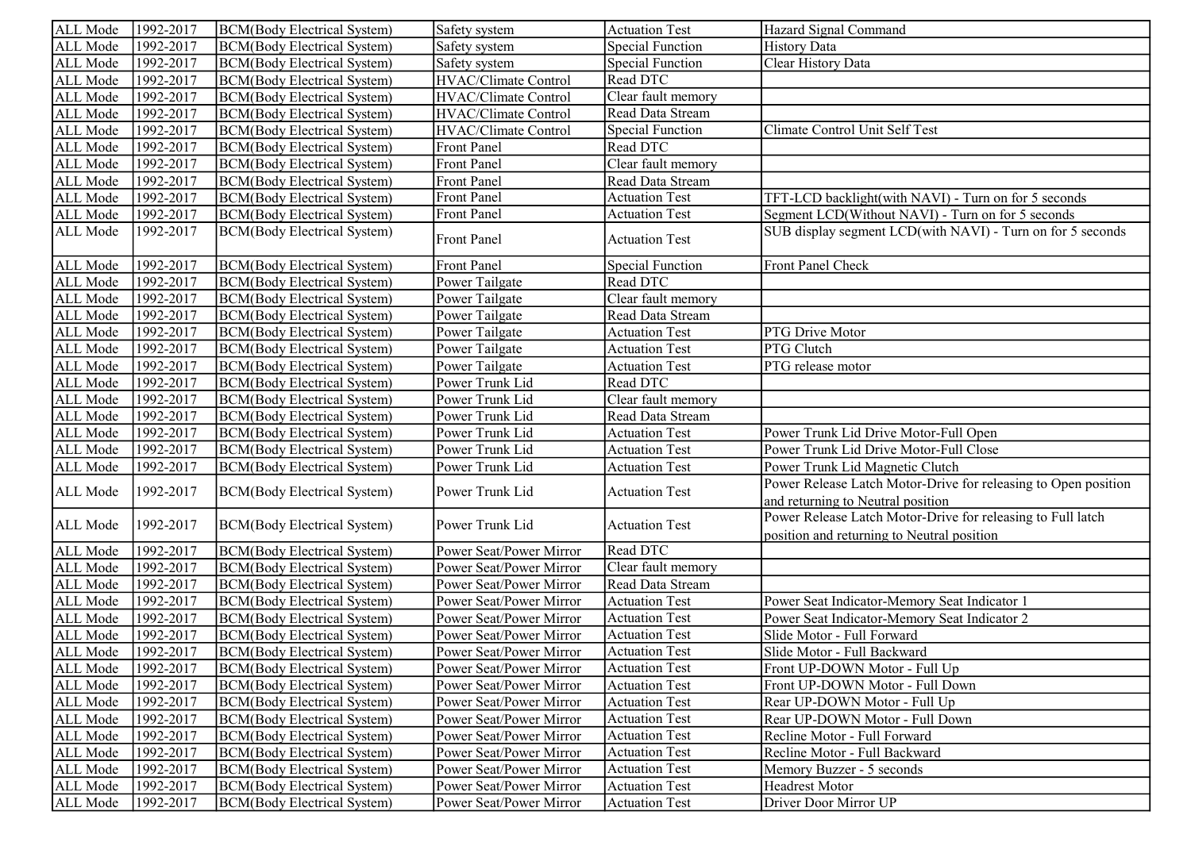| ALL Mode | 1992-2017 | <b>BCM</b> (Body Electrical System) | Safety system               | <b>Actuation Test</b>   | Hazard Signal Command                                          |
|----------|-----------|-------------------------------------|-----------------------------|-------------------------|----------------------------------------------------------------|
| ALL Mode | 1992-2017 | <b>BCM</b> (Body Electrical System) | Safety system               | <b>Special Function</b> | <b>History Data</b>                                            |
| ALL Mode | 1992-2017 | <b>BCM</b> (Body Electrical System) | Safety system               | <b>Special Function</b> | Clear History Data                                             |
| ALL Mode | 1992-2017 | <b>BCM</b> (Body Electrical System) | <b>HVAC/Climate Control</b> | Read DTC                |                                                                |
| ALL Mode | 1992-2017 | <b>BCM</b> (Body Electrical System) | <b>HVAC/Climate Control</b> | Clear fault memory      |                                                                |
| ALL Mode | 1992-2017 | <b>BCM</b> (Body Electrical System) | <b>HVAC/Climate Control</b> | Read Data Stream        |                                                                |
| ALL Mode | 1992-2017 | <b>BCM</b> (Body Electrical System) | HVAC/Climate Control        | <b>Special Function</b> | Climate Control Unit Self Test                                 |
| ALL Mode | 1992-2017 | <b>BCM</b> (Body Electrical System) | Front Panel                 | Read DTC                |                                                                |
| ALL Mode | 1992-2017 | <b>BCM</b> (Body Electrical System) | Front Panel                 | Clear fault memory      |                                                                |
| ALL Mode | 1992-2017 | <b>BCM</b> (Body Electrical System) | Front Panel                 | Read Data Stream        |                                                                |
| ALL Mode | 1992-2017 | <b>BCM</b> (Body Electrical System) | Front Panel                 | <b>Actuation Test</b>   | TFT-LCD backlight(with NAVI) - Turn on for 5 seconds           |
| ALL Mode | 1992-2017 | <b>BCM</b> (Body Electrical System) | <b>Front Panel</b>          | <b>Actuation Test</b>   | Segment LCD(Without NAVI) - Turn on for 5 seconds              |
| ALL Mode | 1992-2017 | <b>BCM</b> (Body Electrical System) | <b>Front Panel</b>          | <b>Actuation Test</b>   | SUB display segment LCD(with NAVI) - Turn on for 5 seconds     |
| ALL Mode | 1992-2017 | <b>BCM</b> (Body Electrical System) | Front Panel                 | <b>Special Function</b> | Front Panel Check                                              |
| ALL Mode | 1992-2017 | <b>BCM</b> (Body Electrical System) | Power Tailgate              | Read DTC                |                                                                |
| ALL Mode | 1992-2017 | <b>BCM</b> (Body Electrical System) | Power Tailgate              | Clear fault memory      |                                                                |
| ALL Mode | 1992-2017 | <b>BCM</b> (Body Electrical System) | Power Tailgate              | Read Data Stream        |                                                                |
| ALL Mode | 1992-2017 | <b>BCM</b> (Body Electrical System) | Power Tailgate              | <b>Actuation Test</b>   | PTG Drive Motor                                                |
| ALL Mode | 1992-2017 | <b>BCM</b> (Body Electrical System) | Power Tailgate              | <b>Actuation Test</b>   | PTG Clutch                                                     |
| ALL Mode | 1992-2017 | <b>BCM</b> (Body Electrical System) | Power Tailgate              | <b>Actuation Test</b>   | PTG release motor                                              |
| ALL Mode | 1992-2017 | <b>BCM</b> (Body Electrical System) | Power Trunk Lid             | Read DTC                |                                                                |
| ALL Mode | 1992-2017 | <b>BCM</b> (Body Electrical System) | Power Trunk Lid             | Clear fault memory      |                                                                |
| ALL Mode | 1992-2017 | <b>BCM</b> (Body Electrical System) | Power Trunk Lid             | Read Data Stream        |                                                                |
| ALL Mode | 1992-2017 | <b>BCM</b> (Body Electrical System) | Power Trunk Lid             | <b>Actuation Test</b>   | Power Trunk Lid Drive Motor-Full Open                          |
| ALL Mode | 1992-2017 | <b>BCM</b> (Body Electrical System) | Power Trunk Lid             | <b>Actuation Test</b>   | Power Trunk Lid Drive Motor-Full Close                         |
| ALL Mode | 1992-2017 | <b>BCM</b> (Body Electrical System) | Power Trunk Lid             | <b>Actuation Test</b>   | Power Trunk Lid Magnetic Clutch                                |
| ALL Mode | 1992-2017 | <b>BCM</b> (Body Electrical System) | Power Trunk Lid             | <b>Actuation Test</b>   | Power Release Latch Motor-Drive for releasing to Open position |
|          |           |                                     |                             |                         | and returning to Neutral position                              |
| ALL Mode | 1992-2017 | <b>BCM</b> (Body Electrical System) | Power Trunk Lid             | <b>Actuation Test</b>   | Power Release Latch Motor-Drive for releasing to Full latch    |
|          |           |                                     |                             |                         | position and returning to Neutral position                     |
| ALL Mode | 1992-2017 | <b>BCM</b> (Body Electrical System) | Power Seat/Power Mirror     | Read DTC                |                                                                |
| ALL Mode | 1992-2017 | <b>BCM</b> (Body Electrical System) | Power Seat/Power Mirror     | Clear fault memory      |                                                                |
| ALL Mode | 1992-2017 | <b>BCM</b> (Body Electrical System) | Power Seat/Power Mirror     | Read Data Stream        |                                                                |
| ALL Mode | 1992-2017 | <b>BCM</b> (Body Electrical System) | Power Seat/Power Mirror     | <b>Actuation Test</b>   | Power Seat Indicator-Memory Seat Indicator 1                   |
| ALL Mode | 1992-2017 | <b>BCM</b> (Body Electrical System) | Power Seat/Power Mirror     | <b>Actuation Test</b>   | Power Seat Indicator-Memory Seat Indicator 2                   |
| ALL Mode | 1992-2017 | <b>BCM</b> (Body Electrical System) | Power Seat/Power Mirror     | <b>Actuation Test</b>   | Slide Motor - Full Forward                                     |
| ALL Mode | 1992-2017 | <b>BCM</b> (Body Electrical System) | Power Seat/Power Mirror     | <b>Actuation Test</b>   | Slide Motor - Full Backward                                    |
| ALL Mode | 1992-2017 | BCM(Body Electrical System)         | Power Seat/Power Mirror     | <b>Actuation Test</b>   | Front UP-DOWN Motor - Full Up                                  |
| ALL Mode | 1992-2017 | BCM(Body Electrical System)         | Power Seat/Power Mirror     | <b>Actuation Test</b>   | Front UP-DOWN Motor - Full Down                                |
| ALL Mode | 1992-2017 | BCM(Body Electrical System)         | Power Seat/Power Mirror     | <b>Actuation Test</b>   | Rear UP-DOWN Motor - Full Up                                   |
| ALL Mode | 1992-2017 | BCM(Body Electrical System)         | Power Seat/Power Mirror     | <b>Actuation Test</b>   | Rear UP-DOWN Motor - Full Down                                 |
| ALL Mode | 1992-2017 | BCM(Body Electrical System)         | Power Seat/Power Mirror     | <b>Actuation Test</b>   | Recline Motor - Full Forward                                   |
| ALL Mode | 1992-2017 | BCM(Body Electrical System)         | Power Seat/Power Mirror     | <b>Actuation Test</b>   | Recline Motor - Full Backward                                  |
| ALL Mode | 1992-2017 | BCM(Body Electrical System)         | Power Seat/Power Mirror     | <b>Actuation Test</b>   | Memory Buzzer - 5 seconds                                      |
| ALL Mode | 1992-2017 | BCM(Body Electrical System)         | Power Seat/Power Mirror     | <b>Actuation Test</b>   | Headrest Motor                                                 |
| ALL Mode | 1992-2017 | BCM(Body Electrical System)         | Power Seat/Power Mirror     | <b>Actuation Test</b>   | Driver Door Mirror UP                                          |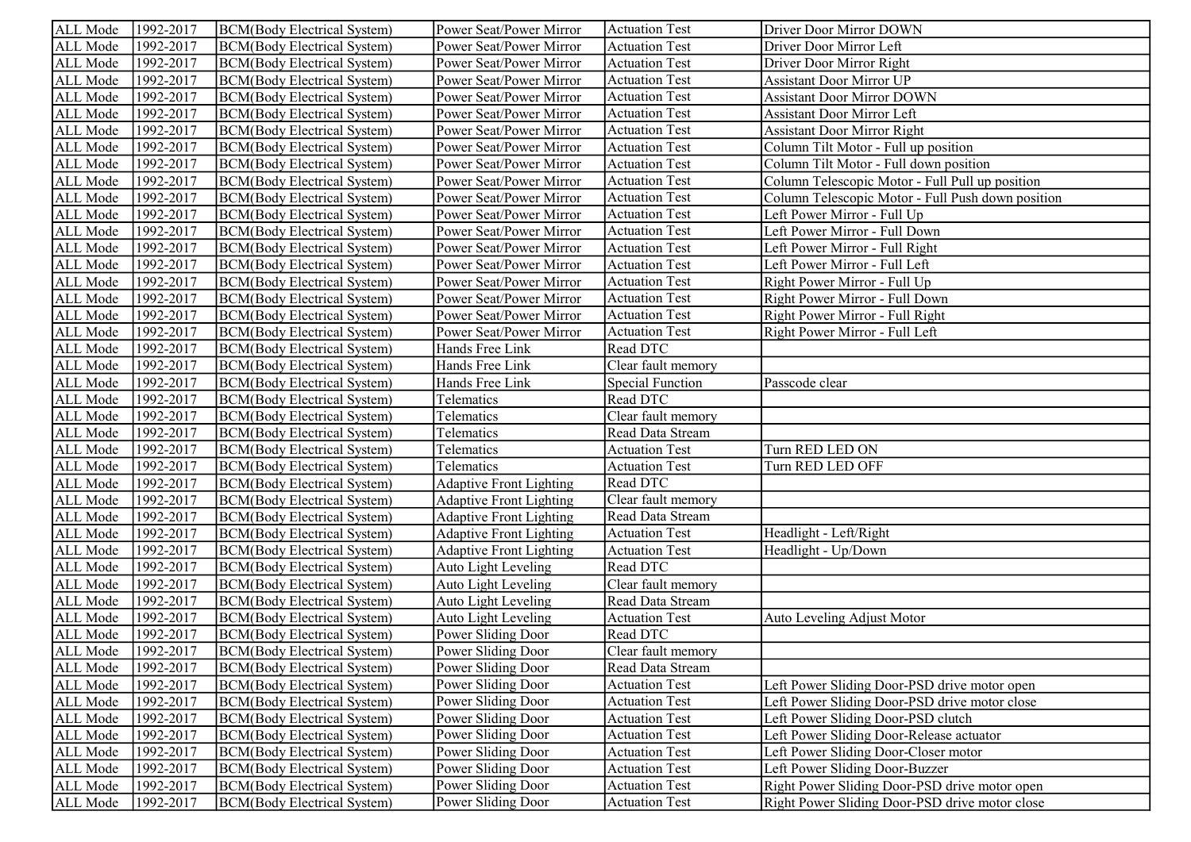| ALL Mode | 1992-2017 | BCM(Body Electrical System)         | Power Seat/Power Mirror        | <b>Actuation Test</b>   | Driver Door Mirror DOWN                           |
|----------|-----------|-------------------------------------|--------------------------------|-------------------------|---------------------------------------------------|
| ALL Mode | 1992-2017 | <b>BCM</b> (Body Electrical System) | Power Seat/Power Mirror        | <b>Actuation Test</b>   | Driver Door Mirror Left                           |
| ALL Mode | 1992-2017 | <b>BCM</b> (Body Electrical System) | Power Seat/Power Mirror        | <b>Actuation Test</b>   | Driver Door Mirror Right                          |
| ALL Mode | 1992-2017 | <b>BCM</b> (Body Electrical System) | Power Seat/Power Mirror        | <b>Actuation Test</b>   | <b>Assistant Door Mirror UP</b>                   |
| ALL Mode | 1992-2017 | <b>BCM</b> (Body Electrical System) | Power Seat/Power Mirror        | <b>Actuation Test</b>   | <b>Assistant Door Mirror DOWN</b>                 |
| ALL Mode | 1992-2017 | <b>BCM</b> (Body Electrical System) | Power Seat/Power Mirror        | <b>Actuation Test</b>   | <b>Assistant Door Mirror Left</b>                 |
| ALL Mode | 1992-2017 | <b>BCM</b> (Body Electrical System) | Power Seat/Power Mirror        | <b>Actuation Test</b>   | <b>Assistant Door Mirror Right</b>                |
| ALL Mode | 1992-2017 | <b>BCM</b> (Body Electrical System) | Power Seat/Power Mirror        | <b>Actuation Test</b>   | Column Tilt Motor - Full up position              |
| ALL Mode | 1992-2017 | <b>BCM</b> (Body Electrical System) | Power Seat/Power Mirror        | <b>Actuation Test</b>   | Column Tilt Motor - Full down position            |
| ALL Mode | 1992-2017 | <b>BCM</b> (Body Electrical System) | Power Seat/Power Mirror        | <b>Actuation Test</b>   | Column Telescopic Motor - Full Pull up position   |
| ALL Mode | 1992-2017 | <b>BCM</b> (Body Electrical System) | Power Seat/Power Mirror        | <b>Actuation Test</b>   | Column Telescopic Motor - Full Push down position |
| ALL Mode | 1992-2017 | <b>BCM</b> (Body Electrical System) | Power Seat/Power Mirror        | <b>Actuation Test</b>   | Left Power Mirror - Full Up                       |
| ALL Mode | 1992-2017 | <b>BCM</b> (Body Electrical System) | Power Seat/Power Mirror        | <b>Actuation Test</b>   | Left Power Mirror - Full Down                     |
| ALL Mode | 1992-2017 | <b>BCM</b> (Body Electrical System) | Power Seat/Power Mirror        | <b>Actuation Test</b>   | Left Power Mirror - Full Right                    |
| ALL Mode | 1992-2017 | <b>BCM</b> (Body Electrical System) | Power Seat/Power Mirror        | <b>Actuation Test</b>   | Left Power Mirror - Full Left                     |
| ALL Mode | 1992-2017 | <b>BCM</b> (Body Electrical System) | Power Seat/Power Mirror        | <b>Actuation Test</b>   | Right Power Mirror - Full Up                      |
| ALL Mode | 1992-2017 | BCM(Body Electrical System)         | Power Seat/Power Mirror        | <b>Actuation Test</b>   | Right Power Mirror - Full Down                    |
| ALL Mode | 1992-2017 | BCM(Body Electrical System)         | Power Seat/Power Mirror        | <b>Actuation Test</b>   | Right Power Mirror - Full Right                   |
| ALL Mode | 1992-2017 | <b>BCM</b> (Body Electrical System) | Power Seat/Power Mirror        | <b>Actuation Test</b>   | Right Power Mirror - Full Left                    |
| ALL Mode | 1992-2017 | BCM(Body Electrical System)         | Hands Free Link                | Read DTC                |                                                   |
| ALL Mode | 1992-2017 | <b>BCM</b> (Body Electrical System) | Hands Free Link                | Clear fault memory      |                                                   |
| ALL Mode | 1992-2017 | <b>BCM</b> (Body Electrical System) | Hands Free Link                | <b>Special Function</b> | Passcode clear                                    |
| ALL Mode | 1992-2017 | BCM(Body Electrical System)         | Telematics                     | Read DTC                |                                                   |
| ALL Mode | 1992-2017 | <b>BCM</b> (Body Electrical System) | Telematics                     | Clear fault memory      |                                                   |
| ALL Mode | 1992-2017 | <b>BCM(Body Electrical System)</b>  | Telematics                     | Read Data Stream        |                                                   |
| ALL Mode | 1992-2017 | <b>BCM</b> (Body Electrical System) | Telematics                     | <b>Actuation Test</b>   | Turn RED LED ON                                   |
| ALL Mode | 1992-2017 | BCM(Body Electrical System)         | Telematics                     | <b>Actuation Test</b>   | Turn RED LED OFF                                  |
| ALL Mode | 1992-2017 | <b>BCM</b> (Body Electrical System) | <b>Adaptive Front Lighting</b> | Read DTC                |                                                   |
| ALL Mode | 1992-2017 | <b>BCM</b> (Body Electrical System) | <b>Adaptive Front Lighting</b> | Clear fault memory      |                                                   |
| ALL Mode | 1992-2017 | BCM(Body Electrical System)         | <b>Adaptive Front Lighting</b> | Read Data Stream        |                                                   |
| ALL Mode | 1992-2017 | BCM(Body Electrical System)         | <b>Adaptive Front Lighting</b> | <b>Actuation Test</b>   | Headlight - Left/Right                            |
| ALL Mode | 1992-2017 | <b>BCM</b> (Body Electrical System) | <b>Adaptive Front Lighting</b> | <b>Actuation Test</b>   | Headlight - Up/Down                               |
| ALL Mode | 1992-2017 | <b>BCM</b> (Body Electrical System) | <b>Auto Light Leveling</b>     | Read DTC                |                                                   |
| ALL Mode | 1992-2017 | <b>BCM</b> (Body Electrical System) | <b>Auto Light Leveling</b>     | Clear fault memory      |                                                   |
| ALL Mode | 1992-2017 | <b>BCM(Body Electrical System)</b>  | Auto Light Leveling            | Read Data Stream        |                                                   |
| ALL Mode | 1992-2017 | BCM(Body Electrical System)         | Auto Light Leveling            | <b>Actuation Test</b>   | Auto Leveling Adjust Motor                        |
| ALL Mode | 1992-2017 | BCM(Body Electrical System)         | Power Sliding Door             | Read DTC                |                                                   |
| ALL Mode | 1992-2017 | <b>BCM</b> (Body Electrical System) | Power Sliding Door             | Clear fault memory      |                                                   |
| ALL Mode | 1992-2017 | <b>BCM</b> (Body Electrical System) | Power Sliding Door             | Read Data Stream        |                                                   |
| ALL Mode | 1992-2017 | <b>BCM</b> (Body Electrical System) | Power Sliding Door             | <b>Actuation Test</b>   | Left Power Sliding Door-PSD drive motor open      |
| ALL Mode | 1992-2017 | <b>BCM</b> (Body Electrical System) | Power Sliding Door             | <b>Actuation Test</b>   | Left Power Sliding Door-PSD drive motor close     |
| ALL Mode | 1992-2017 | <b>BCM</b> (Body Electrical System) | Power Sliding Door             | <b>Actuation Test</b>   | Left Power Sliding Door-PSD clutch                |
| ALL Mode | 1992-2017 | BCM(Body Electrical System)         | Power Sliding Door             | <b>Actuation Test</b>   | Left Power Sliding Door-Release actuator          |
| ALL Mode | 1992-2017 | <b>BCM</b> (Body Electrical System) | Power Sliding Door             | <b>Actuation Test</b>   | Left Power Sliding Door-Closer motor              |
| ALL Mode | 1992-2017 | <b>BCM</b> (Body Electrical System) | Power Sliding Door             | <b>Actuation Test</b>   | Left Power Sliding Door-Buzzer                    |
| ALL Mode | 1992-2017 | <b>BCM</b> (Body Electrical System) | Power Sliding Door             | <b>Actuation Test</b>   | Right Power Sliding Door-PSD drive motor open     |
| ALL Mode | 1992-2017 | <b>BCM</b> (Body Electrical System) | Power Sliding Door             | <b>Actuation Test</b>   | Right Power Sliding Door-PSD drive motor close    |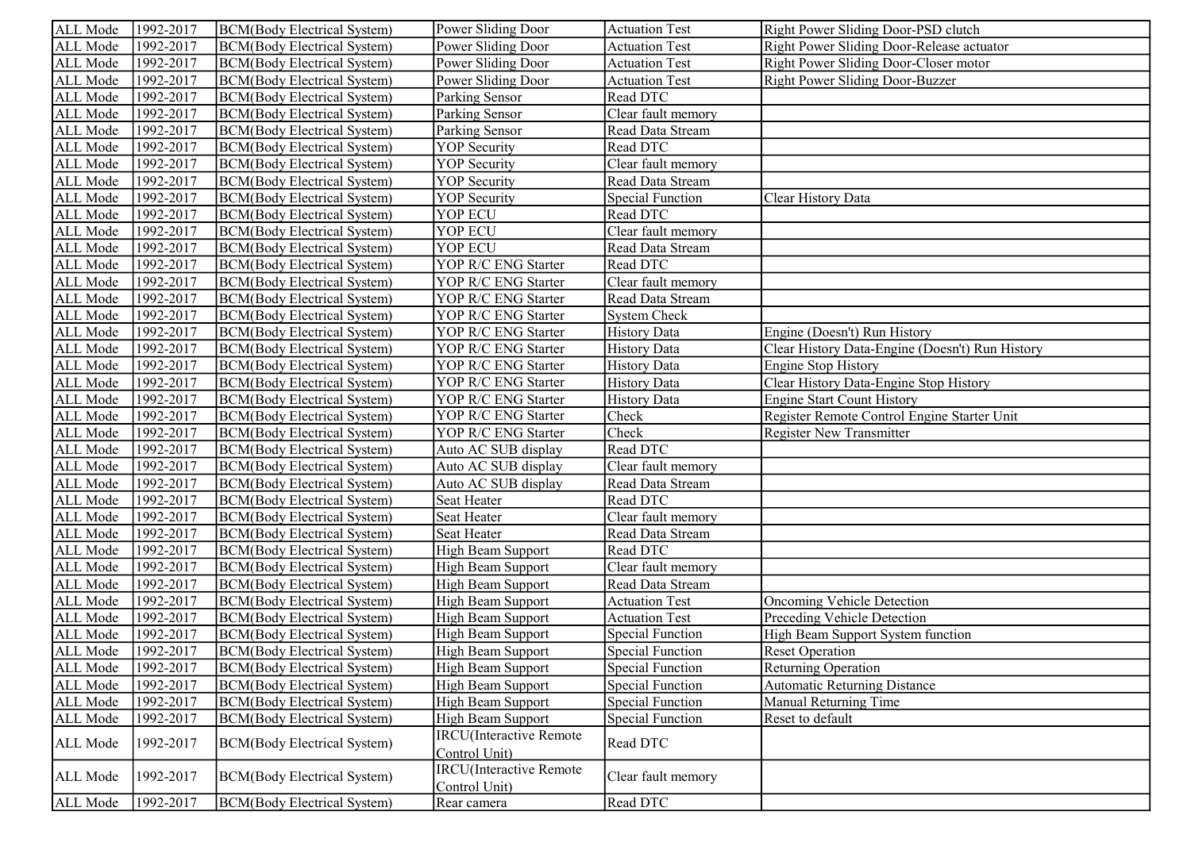| ALL Mode        | 1992-2017 | BCM(Body Electrical System)         | Power Sliding Door                               | <b>Actuation Test</b>   | Right Power Sliding Door-PSD clutch             |
|-----------------|-----------|-------------------------------------|--------------------------------------------------|-------------------------|-------------------------------------------------|
| ALL Mode        | 1992-2017 | <b>BCM</b> (Body Electrical System) | Power Sliding Door                               | <b>Actuation Test</b>   | Right Power Sliding Door-Release actuator       |
| ALL Mode        | 1992-2017 | <b>BCM</b> (Body Electrical System) | Power Sliding Door                               | <b>Actuation Test</b>   | Right Power Sliding Door-Closer motor           |
| ALL Mode        | 1992-2017 | <b>BCM</b> (Body Electrical System) | Power Sliding Door                               | <b>Actuation Test</b>   | Right Power Sliding Door-Buzzer                 |
| ALL Mode        | 1992-2017 | <b>BCM</b> (Body Electrical System) | Parking Sensor                                   | Read DTC                |                                                 |
| ALL Mode        | 1992-2017 | <b>BCM</b> (Body Electrical System) | Parking Sensor                                   | Clear fault memory      |                                                 |
| ALL Mode        | 1992-2017 | BCM(Body Electrical System)         | Parking Sensor                                   | Read Data Stream        |                                                 |
| ALL Mode        | 1992-2017 | <b>BCM</b> (Body Electrical System) | <b>YOP</b> Security                              | Read DTC                |                                                 |
| ALL Mode        | 1992-2017 | <b>BCM</b> (Body Electrical System) | <b>YOP</b> Security                              | Clear fault memory      |                                                 |
| ALL Mode        | 1992-2017 | <b>BCM</b> (Body Electrical System) | <b>YOP</b> Security                              | Read Data Stream        |                                                 |
| ALL Mode        | 1992-2017 | <b>BCM</b> (Body Electrical System) | <b>YOP</b> Security                              | <b>Special Function</b> | Clear History Data                              |
| ALL Mode        | 1992-2017 | <b>BCM</b> (Body Electrical System) | YOP ECU                                          | Read DTC                |                                                 |
| ALL Mode        | 1992-2017 | <b>BCM</b> (Body Electrical System) | YOP ECU                                          | Clear fault memory      |                                                 |
| ALL Mode        | 1992-2017 | <b>BCM</b> (Body Electrical System) | YOP ECU                                          | Read Data Stream        |                                                 |
| ALL Mode        | 1992-2017 | <b>BCM</b> (Body Electrical System) | YOP R/C ENG Starter                              | Read DTC                |                                                 |
| ALL Mode        | 1992-2017 | <b>BCM</b> (Body Electrical System) | YOP R/C ENG Starter                              | Clear fault memory      |                                                 |
| ALL Mode        | 1992-2017 | <b>BCM</b> (Body Electrical System) | YOP R/C ENG Starter                              | Read Data Stream        |                                                 |
| ALL Mode        | 1992-2017 | <b>BCM</b> (Body Electrical System) | YOP R/C ENG Starter                              | <b>System Check</b>     |                                                 |
| ALL Mode        | 1992-2017 | <b>BCM</b> (Body Electrical System) | YOP R/C ENG Starter                              | <b>History Data</b>     | Engine (Doesn't) Run History                    |
| ALL Mode        | 1992-2017 | BCM(Body Electrical System)         | YOP R/C ENG Starter                              | <b>History Data</b>     | Clear History Data-Engine (Doesn't) Run History |
| ALL Mode        | 1992-2017 | <b>BCM</b> (Body Electrical System) | YOP R/C ENG Starter                              | <b>History Data</b>     | <b>Engine Stop History</b>                      |
| ALL Mode        | 1992-2017 | <b>BCM</b> (Body Electrical System) | YOP R/C ENG Starter                              | <b>History Data</b>     | Clear History Data-Engine Stop History          |
| ALL Mode        | 1992-2017 | <b>BCM</b> (Body Electrical System) | YOP R/C ENG Starter                              | <b>History Data</b>     | <b>Engine Start Count History</b>               |
| ALL Mode        | 1992-2017 | <b>BCM</b> (Body Electrical System) | YOP R/C ENG Starter                              | Check                   | Register Remote Control Engine Starter Unit     |
| ALL Mode        | 1992-2017 | <b>BCM</b> (Body Electrical System) | YOP R/C ENG Starter                              | Check                   | <b>Register New Transmitter</b>                 |
| ALL Mode        | 1992-2017 | <b>BCM</b> (Body Electrical System) | Auto AC SUB display                              | Read DTC                |                                                 |
| ALL Mode        | 1992-2017 | <b>BCM</b> (Body Electrical System) | Auto AC SUB display                              | Clear fault memory      |                                                 |
| ALL Mode        | 1992-2017 | <b>BCM</b> (Body Electrical System) | Auto AC SUB display                              | Read Data Stream        |                                                 |
| ALL Mode        | 1992-2017 | <b>BCM</b> (Body Electrical System) | Seat Heater                                      | Read DTC                |                                                 |
| ALL Mode        | 1992-2017 | <b>BCM</b> (Body Electrical System) | Seat Heater                                      | Clear fault memory      |                                                 |
| ALL Mode        | 1992-2017 | <b>BCM</b> (Body Electrical System) | Seat Heater                                      | Read Data Stream        |                                                 |
| ALL Mode        | 1992-2017 | <b>BCM(Body Electrical System)</b>  | High Beam Support                                | Read DTC                |                                                 |
| ALL Mode        | 1992-2017 | <b>BCM</b> (Body Electrical System) | High Beam Support                                | Clear fault memory      |                                                 |
| ALL Mode        | 1992-2017 | <b>BCM</b> (Body Electrical System) | High Beam Support                                | Read Data Stream        |                                                 |
| <b>ALL</b> Mode | 1992-2017 | <b>BCM</b> (Body Electrical System) | High Beam Support                                | <b>Actuation Test</b>   | Oncoming Vehicle Detection                      |
| ALL Mode        | 1992-2017 | BCM(Body Electrical System)         | <b>High Beam Support</b>                         | <b>Actuation Test</b>   | Preceding Vehicle Detection                     |
| ALL Mode        | 1992-2017 | <b>BCM</b> (Body Electrical System) | High Beam Support                                | Special Function        | <b>High Beam Support System function</b>        |
| ALL Mode        | 1992-2017 | BCM(Body Electrical System)         | <b>High Beam Support</b>                         | <b>Special Function</b> | <b>Reset Operation</b>                          |
| ALL Mode        | 1992-2017 | <b>BCM</b> (Body Electrical System) | High Beam Support                                | <b>Special Function</b> | <b>Returning Operation</b>                      |
| ALL Mode        | 1992-2017 | <b>BCM(Body Electrical System)</b>  | <b>High Beam Support</b>                         | <b>Special Function</b> | <b>Automatic Returning Distance</b>             |
| ALL Mode        | 1992-2017 | <b>BCM</b> (Body Electrical System) | <b>High Beam Support</b>                         | <b>Special Function</b> | Manual Returning Time                           |
| ALL Mode        | 1992-2017 | <b>BCM(Body Electrical System)</b>  | High Beam Support                                | <b>Special Function</b> | Reset to default                                |
| ALL Mode        | 1992-2017 | <b>BCM</b> (Body Electrical System) | <b>IRCU</b> (Interactive Remote<br>Control Unit) | Read DTC                |                                                 |
| ALL Mode        | 1992-2017 | <b>BCM(Body Electrical System)</b>  | <b>IRCU</b> (Interactive Remote<br>Control Unit) | Clear fault memory      |                                                 |
| ALL Mode        | 1992-2017 | <b>BCM</b> (Body Electrical System) | Rear camera                                      | Read DTC                |                                                 |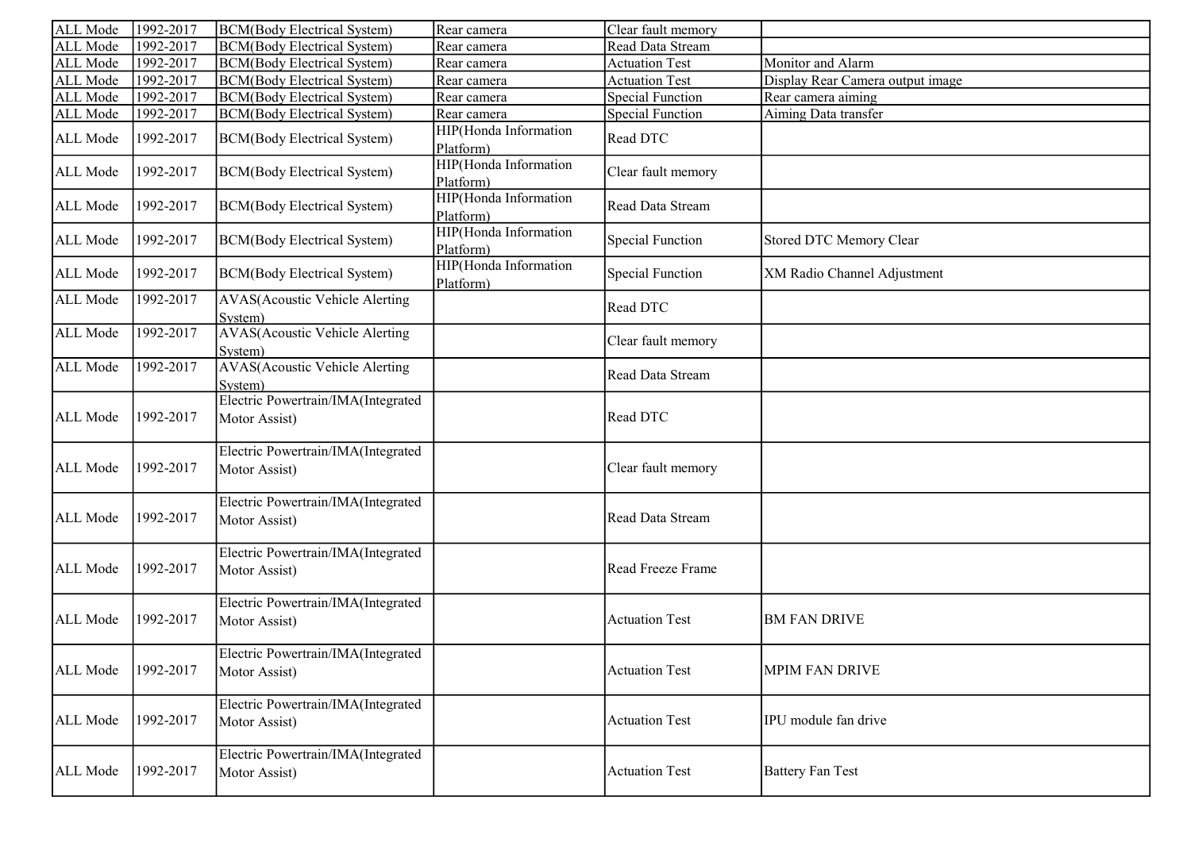| ALL Mode        | 1992-2017 | <b>BCM(Body Electrical System)</b>                  | Rear camera                        | Clear fault memory      |                                  |
|-----------------|-----------|-----------------------------------------------------|------------------------------------|-------------------------|----------------------------------|
| ALL Mode        | 1992-2017 | <b>BCM(Body Electrical System)</b>                  | Rear camera                        | Read Data Stream        |                                  |
| ALL Mode        | 1992-2017 | <b>BCM(Body Electrical System)</b>                  | Rear camera                        | <b>Actuation Test</b>   | Monitor and Alarm                |
| ALL Mode        | 1992-2017 | <b>BCM(Body Electrical System)</b>                  | Rear camera                        | Actuation Test          | Display Rear Camera output image |
| ALL Mode        | 1992-2017 | <b>BCM(Body Electrical System)</b>                  | Rear camera                        | <b>Special Function</b> | Rear camera aiming               |
| ALL Mode        | 1992-2017 | <b>BCM(Body Electrical System)</b>                  | Rear camera                        | <b>Special Function</b> | Aiming Data transfer             |
| ALL Mode        | 1992-2017 | <b>BCM(Body Electrical System)</b>                  | HIP(Honda Information<br>Platform) | Read DTC                |                                  |
| ALL Mode        | 1992-2017 | <b>BCM(Body Electrical System)</b>                  | HIP(Honda Information<br>Platform) | Clear fault memory      |                                  |
| ALL Mode        | 1992-2017 | <b>BCM(Body Electrical System)</b>                  | HIP(Honda Information<br>Platform) | Read Data Stream        |                                  |
| ALL Mode        | 1992-2017 | <b>BCM(Body Electrical System)</b>                  | HIP(Honda Information<br>Platform) | <b>Special Function</b> | Stored DTC Memory Clear          |
| ALL Mode        | 1992-2017 | <b>BCM(Body Electrical System)</b>                  | HIP(Honda Information<br>Platform) | <b>Special Function</b> | XM Radio Channel Adjustment      |
| ALL Mode        | 1992-2017 | <b>AVAS</b> (Acoustic Vehicle Alerting<br>System)   |                                    | Read DTC                |                                  |
| ALL Mode        | 1992-2017 | <b>AVAS</b> (Acoustic Vehicle Alerting<br>System)   |                                    | Clear fault memory      |                                  |
| <b>ALL</b> Mode | 1992-2017 | <b>AVAS</b> (Acoustic Vehicle Alerting<br>System)   |                                    | Read Data Stream        |                                  |
| ALL Mode        | 1992-2017 | Electric Powertrain/IMA(Integrated<br>Motor Assist) |                                    | Read DTC                |                                  |
| ALL Mode        | 1992-2017 | Electric Powertrain/IMA(Integrated<br>Motor Assist) |                                    | Clear fault memory      |                                  |
| ALL Mode        | 1992-2017 | Electric Powertrain/IMA(Integrated<br>Motor Assist) |                                    | Read Data Stream        |                                  |
| ALL Mode        | 1992-2017 | Electric Powertrain/IMA(Integrated<br>Motor Assist) |                                    | Read Freeze Frame       |                                  |
| ALL Mode        | 1992-2017 | Electric Powertrain/IMA(Integrated<br>Motor Assist) |                                    | <b>Actuation Test</b>   | <b>BM FAN DRIVE</b>              |
| ALL Mode        | 1992-2017 | Electric Powertrain/IMA(Integrated<br>Motor Assist) |                                    | <b>Actuation Test</b>   | <b>MPIM FAN DRIVE</b>            |
| ALL Mode        | 1992-2017 | Electric Powertrain/IMA(Integrated<br>Motor Assist) |                                    | <b>Actuation Test</b>   | IPU module fan drive             |
| ALL Mode        | 1992-2017 | Electric Powertrain/IMA(Integrated<br>Motor Assist) |                                    | <b>Actuation Test</b>   | <b>Battery Fan Test</b>          |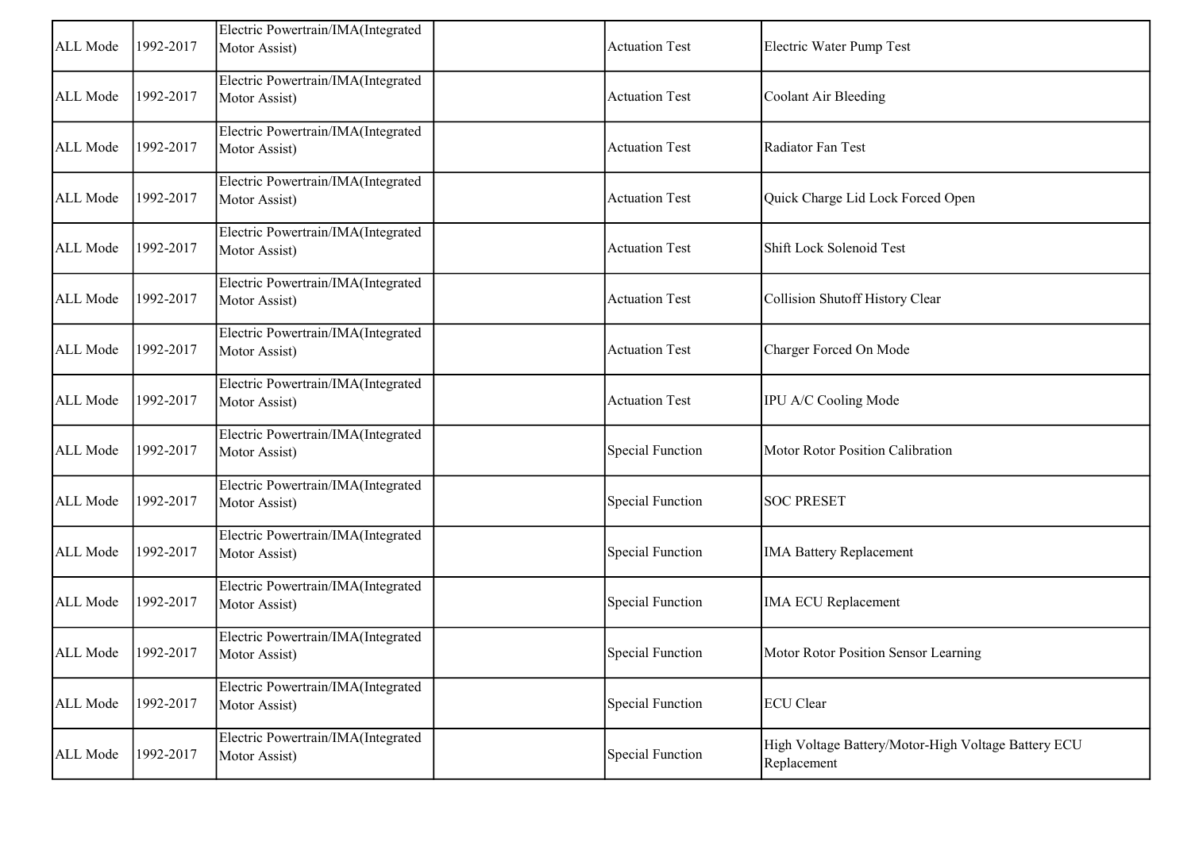| ALL Mode | 1992-2017 | Electric Powertrain/IMA(Integrated<br>Motor Assist) | <b>Actuation Test</b>   | Electric Water Pump Test                                           |
|----------|-----------|-----------------------------------------------------|-------------------------|--------------------------------------------------------------------|
| ALL Mode | 1992-2017 | Electric Powertrain/IMA(Integrated<br>Motor Assist) | <b>Actuation Test</b>   | Coolant Air Bleeding                                               |
| ALL Mode | 1992-2017 | Electric Powertrain/IMA(Integrated<br>Motor Assist) | <b>Actuation Test</b>   | Radiator Fan Test                                                  |
| ALL Mode | 1992-2017 | Electric Powertrain/IMA(Integrated<br>Motor Assist) | <b>Actuation Test</b>   | Quick Charge Lid Lock Forced Open                                  |
| ALL Mode | 1992-2017 | Electric Powertrain/IMA(Integrated<br>Motor Assist) | <b>Actuation Test</b>   | Shift Lock Solenoid Test                                           |
| ALL Mode | 1992-2017 | Electric Powertrain/IMA(Integrated<br>Motor Assist) | <b>Actuation Test</b>   | Collision Shutoff History Clear                                    |
| ALL Mode | 1992-2017 | Electric Powertrain/IMA(Integrated<br>Motor Assist) | <b>Actuation Test</b>   | Charger Forced On Mode                                             |
| ALL Mode | 1992-2017 | Electric Powertrain/IMA(Integrated<br>Motor Assist) | <b>Actuation Test</b>   | IPU A/C Cooling Mode                                               |
| ALL Mode | 1992-2017 | Electric Powertrain/IMA(Integrated<br>Motor Assist) | <b>Special Function</b> | Motor Rotor Position Calibration                                   |
| ALL Mode | 1992-2017 | Electric Powertrain/IMA(Integrated<br>Motor Assist) | <b>Special Function</b> | <b>SOC PRESET</b>                                                  |
| ALL Mode | 1992-2017 | Electric Powertrain/IMA(Integrated<br>Motor Assist) | <b>Special Function</b> | <b>IMA Battery Replacement</b>                                     |
| ALL Mode | 1992-2017 | Electric Powertrain/IMA(Integrated<br>Motor Assist) | <b>Special Function</b> | <b>IMA ECU Replacement</b>                                         |
| ALL Mode | 1992-2017 | Electric Powertrain/IMA(Integrated<br>Motor Assist) | Special Function        | Motor Rotor Position Sensor Learning                               |
| ALL Mode | 1992-2017 | Electric Powertrain/IMA(Integrated<br>Motor Assist) | <b>Special Function</b> | <b>ECU</b> Clear                                                   |
| ALL Mode | 1992-2017 | Electric Powertrain/IMA(Integrated<br>Motor Assist) | <b>Special Function</b> | High Voltage Battery/Motor-High Voltage Battery ECU<br>Replacement |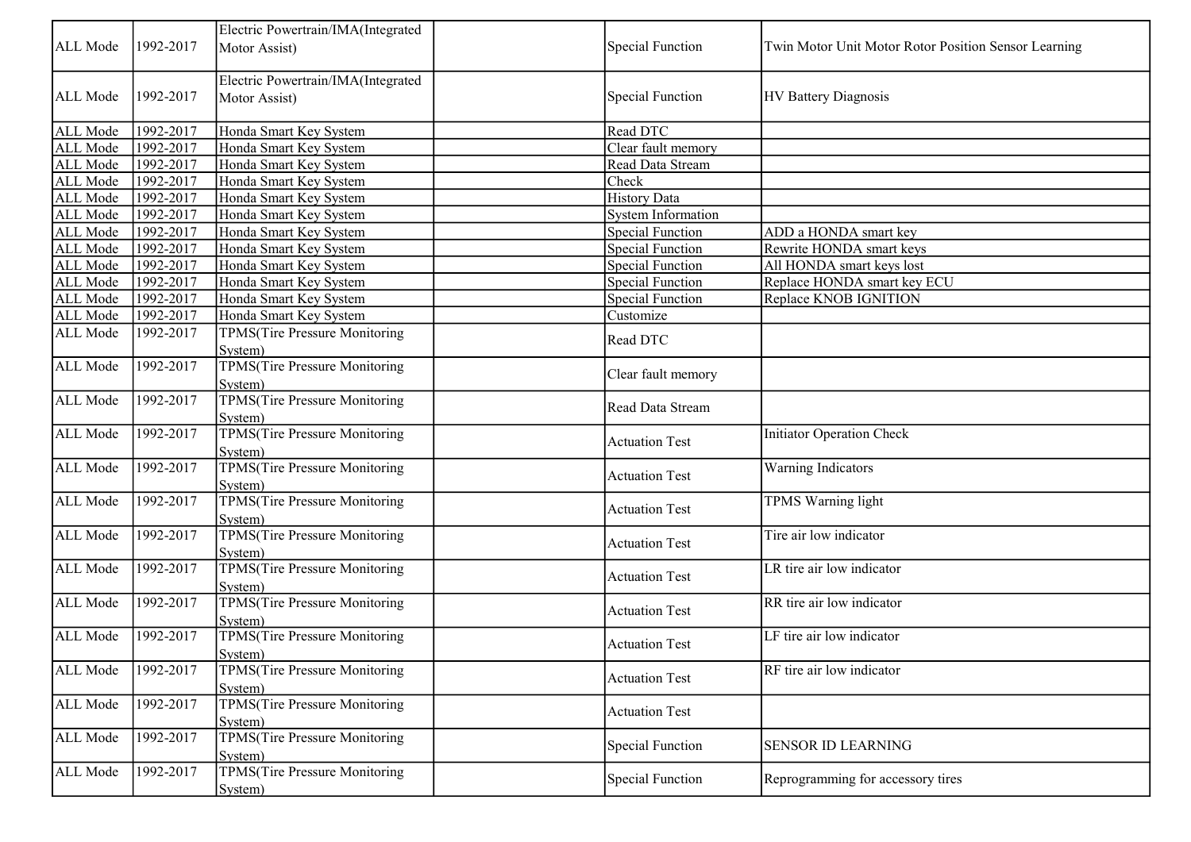|          |           | Electric Powertrain/IMA(Integrated   |           |                           |                                                      |
|----------|-----------|--------------------------------------|-----------|---------------------------|------------------------------------------------------|
| ALL Mode | 1992-2017 | Motor Assist)                        |           | <b>Special Function</b>   | Twin Motor Unit Motor Rotor Position Sensor Learning |
|          |           | Electric Powertrain/IMA(Integrated   |           |                           |                                                      |
| ALL Mode | 1992-2017 | Motor Assist)                        |           | <b>Special Function</b>   | <b>HV Battery Diagnosis</b>                          |
| ALL Mode | 1992-2017 | Honda Smart Key System               | Read DTC  |                           |                                                      |
| ALL Mode | 1992-2017 | Honda Smart Key System               |           | Clear fault memory        |                                                      |
| ALL Mode | 1992-2017 | Honda Smart Key System               |           | Read Data Stream          |                                                      |
| ALL Mode | 1992-2017 | Honda Smart Key System               | Check     |                           |                                                      |
| ALL Mode | 1992-2017 | Honda Smart Key System               |           | <b>History Data</b>       |                                                      |
| ALL Mode | 1992-2017 | Honda Smart Key System               |           | <b>System Information</b> |                                                      |
| ALL Mode | 1992-2017 | Honda Smart Key System               |           | <b>Special Function</b>   | ADD a HONDA smart key                                |
| ALL Mode | 1992-2017 | Honda Smart Key System               |           | <b>Special Function</b>   | Rewrite HONDA smart keys                             |
| ALL Mode | 1992-2017 | Honda Smart Key System               |           | <b>Special Function</b>   | All HONDA smart keys lost                            |
| ALL Mode | 1992-2017 | Honda Smart Key System               |           | Special Function          | Replace HONDA smart key ECU                          |
| ALL Mode | 1992-2017 | Honda Smart Key System               |           | <b>Special Function</b>   | Replace KNOB IGNITION                                |
| ALL Mode | 1992-2017 | Honda Smart Key System               | Customize |                           |                                                      |
| ALL Mode | 1992-2017 | TPMS(Tire Pressure Monitoring        |           |                           |                                                      |
|          |           | System)                              | Read DTC  |                           |                                                      |
| ALL Mode | 1992-2017 | TPMS(Tire Pressure Monitoring        |           |                           |                                                      |
|          |           | System)                              |           | Clear fault memory        |                                                      |
| ALL Mode | 1992-2017 | TPMS(Tire Pressure Monitoring        |           | Read Data Stream          |                                                      |
|          |           | System)                              |           |                           |                                                      |
| ALL Mode | 1992-2017 | <b>TPMS(Tire Pressure Monitoring</b> |           | <b>Actuation Test</b>     | Initiator Operation Check                            |
|          |           | System)                              |           |                           |                                                      |
| ALL Mode | 1992-2017 | <b>TPMS(Tire Pressure Monitoring</b> |           | <b>Actuation Test</b>     | <b>Warning Indicators</b>                            |
|          |           | System)                              |           |                           |                                                      |
| ALL Mode | 1992-2017 | <b>TPMS(Tire Pressure Monitoring</b> |           | <b>Actuation Test</b>     | TPMS Warning light                                   |
|          |           | System)                              |           |                           |                                                      |
| ALL Mode | 1992-2017 | TPMS(Tire Pressure Monitoring        |           | <b>Actuation Test</b>     | Tire air low indicator                               |
|          |           | System)                              |           |                           |                                                      |
| ALL Mode | 1992-2017 | <b>TPMS(Tire Pressure Monitoring</b> |           | <b>Actuation Test</b>     | LR tire air low indicator                            |
|          |           | System)                              |           |                           |                                                      |
| ALL Mode | 1992-2017 | <b>TPMS(Tire Pressure Monitoring</b> |           | <b>Actuation Test</b>     | RR tire air low indicator                            |
|          |           | System)                              |           |                           |                                                      |
| ALL Mode | 1992-2017 | <b>TPMS(Tire Pressure Monitoring</b> |           | <b>Actuation Test</b>     | LF tire air low indicator                            |
|          |           | System)                              |           |                           |                                                      |
| ALL Mode | 1992-2017 | TPMS(Tire Pressure Monitoring        |           | <b>Actuation Test</b>     | RF tire air low indicator                            |
|          |           | System)                              |           |                           |                                                      |
| ALL Mode | 1992-2017 | <b>TPMS(Tire Pressure Monitoring</b> |           | <b>Actuation Test</b>     |                                                      |
|          |           | System)                              |           |                           |                                                      |
| ALL Mode | 1992-2017 | <b>TPMS(Tire Pressure Monitoring</b> |           | <b>Special Function</b>   | <b>SENSOR ID LEARNING</b>                            |
|          |           | System)                              |           |                           |                                                      |
| ALL Mode | 1992-2017 | <b>TPMS(Tire Pressure Monitoring</b> |           | <b>Special Function</b>   | Reprogramming for accessory tires                    |
|          |           | System)                              |           |                           |                                                      |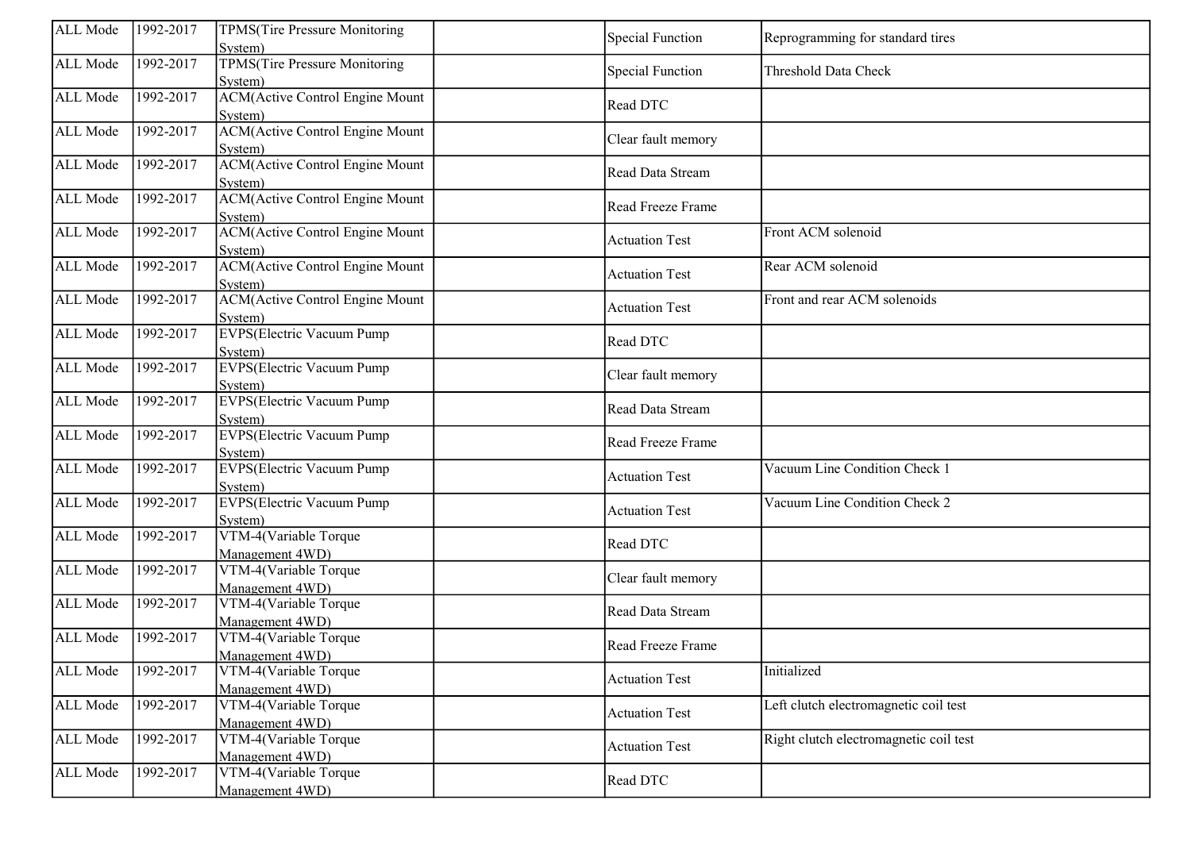| ALL Mode | 1992-2017 | <b>TPMS(Tire Pressure Monitoring</b><br>System)    | <b>Special Function</b> | Reprogramming for standard tires       |
|----------|-----------|----------------------------------------------------|-------------------------|----------------------------------------|
| ALL Mode | 1992-2017 | <b>TPMS(Tire Pressure Monitoring</b><br>System)    | <b>Special Function</b> | Threshold Data Check                   |
| ALL Mode | 1992-2017 | <b>ACM</b> (Active Control Engine Mount<br>System) | Read DTC                |                                        |
| ALL Mode | 1992-2017 | <b>ACM</b> (Active Control Engine Mount<br>System) | Clear fault memory      |                                        |
| ALL Mode | 1992-2017 | <b>ACM</b> (Active Control Engine Mount<br>System) | Read Data Stream        |                                        |
| ALL Mode | 1992-2017 | <b>ACM</b> (Active Control Engine Mount<br>System) | Read Freeze Frame       |                                        |
| ALL Mode | 1992-2017 | <b>ACM</b> (Active Control Engine Mount<br>System) | <b>Actuation Test</b>   | Front ACM solenoid                     |
| ALL Mode | 1992-2017 | <b>ACM</b> (Active Control Engine Mount<br>System) | <b>Actuation Test</b>   | Rear ACM solenoid                      |
| ALL Mode | 1992-2017 | <b>ACM</b> (Active Control Engine Mount<br>System) | <b>Actuation Test</b>   | Front and rear ACM solenoids           |
| ALL Mode | 1992-2017 | <b>EVPS</b> (Electric Vacuum Pump<br>System)       | Read DTC                |                                        |
| ALL Mode | 1992-2017 | <b>EVPS</b> (Electric Vacuum Pump<br>System)       | Clear fault memory      |                                        |
| ALL Mode | 1992-2017 | <b>EVPS</b> (Electric Vacuum Pump<br>System)       | Read Data Stream        |                                        |
| ALL Mode | 1992-2017 | <b>EVPS</b> (Electric Vacuum Pump<br>System)       | Read Freeze Frame       |                                        |
| ALL Mode | 1992-2017 | <b>EVPS</b> (Electric Vacuum Pump<br>System)       | <b>Actuation Test</b>   | Vacuum Line Condition Check 1          |
| ALL Mode | 1992-2017 | <b>EVPS</b> (Electric Vacuum Pump<br>System)       | <b>Actuation Test</b>   | Vacuum Line Condition Check 2          |
| ALL Mode | 1992-2017 | VTM-4(Variable Torque<br>Management 4WD)           | Read DTC                |                                        |
| ALL Mode | 1992-2017 | VTM-4(Variable Torque<br>Management 4WD)           | Clear fault memory      |                                        |
| ALL Mode | 1992-2017 | VTM-4(Variable Torque<br>Management 4WD)           | Read Data Stream        |                                        |
| ALL Mode | 1992-2017 | VTM-4(Variable Torque<br>Management 4WD)           | Read Freeze Frame       |                                        |
| ALL Mode | 1992-2017 | VTM-4(Variable Torque<br>Management 4WD)           | <b>Actuation Test</b>   | Initialized                            |
| ALL Mode | 1992-2017 | VTM-4(Variable Torque<br>Management 4WD)           | <b>Actuation Test</b>   | Left clutch electromagnetic coil test  |
| ALL Mode | 1992-2017 | VTM-4(Variable Torque<br>Management 4WD)           | <b>Actuation Test</b>   | Right clutch electromagnetic coil test |
| ALL Mode | 1992-2017 | VTM-4(Variable Torque<br>Management 4WD)           | Read DTC                |                                        |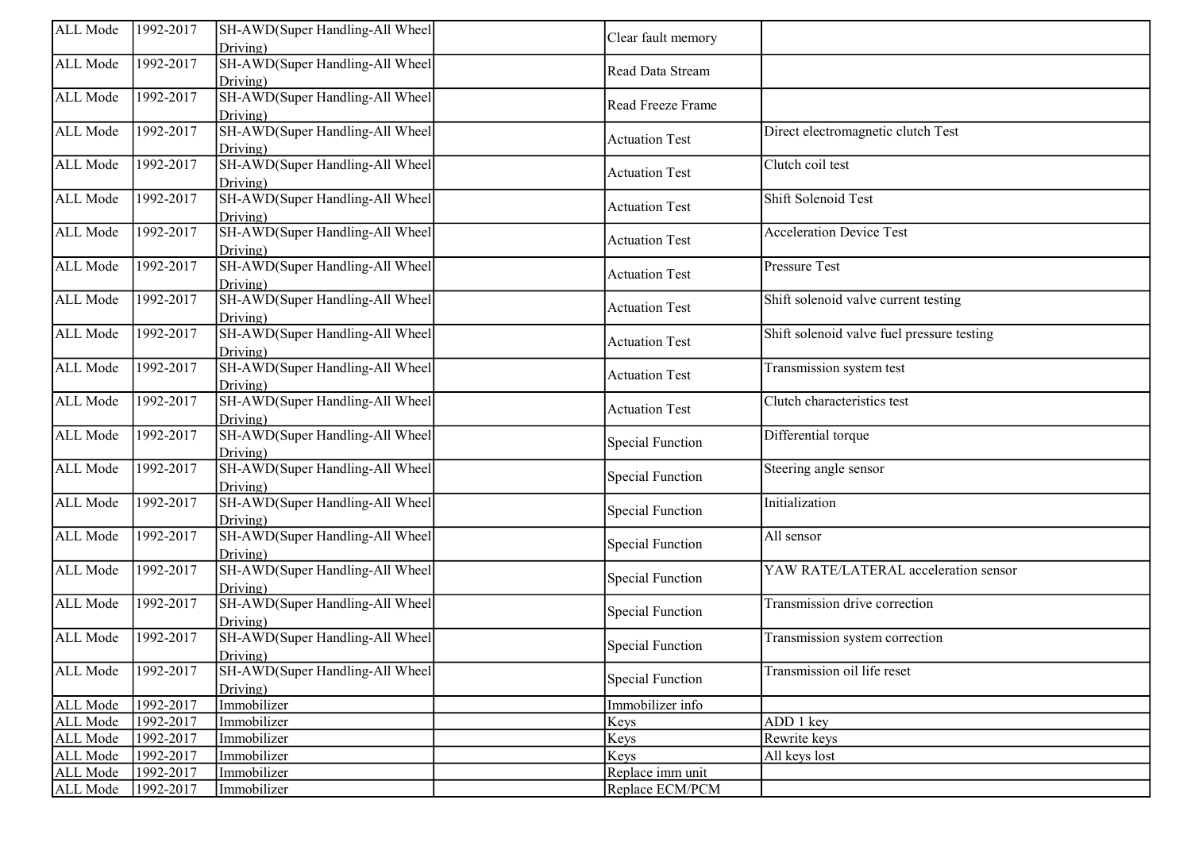| ALL Mode | 1992-2017 | SH-AWD(Super Handling-All Wheel             | Clear fault memory      |                                            |
|----------|-----------|---------------------------------------------|-------------------------|--------------------------------------------|
|          |           | Driving)                                    |                         |                                            |
| ALL Mode | 1992-2017 | SH-AWD(Super Handling-All Wheel<br>Driving) | Read Data Stream        |                                            |
| ALL Mode | 1992-2017 | SH-AWD(Super Handling-All Wheel<br>Driving) | Read Freeze Frame       |                                            |
| ALL Mode | 1992-2017 | SH-AWD(Super Handling-All Wheel<br>Driving) | <b>Actuation Test</b>   | Direct electromagnetic clutch Test         |
| ALL Mode | 1992-2017 | SH-AWD(Super Handling-All Wheel<br>Driving) | <b>Actuation Test</b>   | Clutch coil test                           |
| ALL Mode | 1992-2017 | SH-AWD(Super Handling-All Wheel<br>Driving) | <b>Actuation Test</b>   | Shift Solenoid Test                        |
| ALL Mode | 1992-2017 | SH-AWD(Super Handling-All Wheel<br>Driving) | <b>Actuation Test</b>   | <b>Acceleration Device Test</b>            |
| ALL Mode | 1992-2017 | SH-AWD(Super Handling-All Wheel<br>Driving) | <b>Actuation Test</b>   | Pressure Test                              |
| ALL Mode | 1992-2017 | SH-AWD(Super Handling-All Wheel<br>Driving) | <b>Actuation Test</b>   | Shift solenoid valve current testing       |
| ALL Mode | 1992-2017 | SH-AWD(Super Handling-All Wheel<br>Driving) | <b>Actuation Test</b>   | Shift solenoid valve fuel pressure testing |
| ALL Mode | 1992-2017 | SH-AWD(Super Handling-All Wheel<br>Driving) | <b>Actuation Test</b>   | Transmission system test                   |
| ALL Mode | 1992-2017 | SH-AWD(Super Handling-All Wheel<br>Driving) | <b>Actuation Test</b>   | Clutch characteristics test                |
| ALL Mode | 1992-2017 | SH-AWD(Super Handling-All Wheel<br>Driving) | <b>Special Function</b> | Differential torque                        |
| ALL Mode | 1992-2017 | SH-AWD(Super Handling-All Wheel<br>Driving) | <b>Special Function</b> | Steering angle sensor                      |
| ALL Mode | 1992-2017 | SH-AWD(Super Handling-All Wheel<br>Driving) | <b>Special Function</b> | Initialization                             |
| ALL Mode | 1992-2017 | SH-AWD(Super Handling-All Wheel<br>Driving) | <b>Special Function</b> | All sensor                                 |
| ALL Mode | 1992-2017 | SH-AWD(Super Handling-All Wheel<br>Driving) | <b>Special Function</b> | YAW RATE/LATERAL acceleration sensor       |
| ALL Mode | 1992-2017 | SH-AWD(Super Handling-All Wheel<br>Driving) | <b>Special Function</b> | Transmission drive correction              |
| ALL Mode | 1992-2017 | SH-AWD(Super Handling-All Wheel<br>Driving) | <b>Special Function</b> | Transmission system correction             |
| ALL Mode | 1992-2017 | SH-AWD(Super Handling-All Wheel<br>Driving) | <b>Special Function</b> | Transmission oil life reset                |
| ALL Mode | 1992-2017 | Immobilizer                                 | Immobilizer info        |                                            |
| ALL Mode | 1992-2017 | Immobilizer                                 | Keys                    | ADD 1 key                                  |
| ALL Mode | 1992-2017 | Immobilizer                                 | Keys                    | Rewrite keys                               |
| ALL Mode | 1992-2017 | Immobilizer                                 | Keys                    | All keys lost                              |
| ALL Mode | 1992-2017 | Immobilizer                                 | Replace imm unit        |                                            |
| ALL Mode | 1992-2017 | Immobilizer                                 | Replace ECM/PCM         |                                            |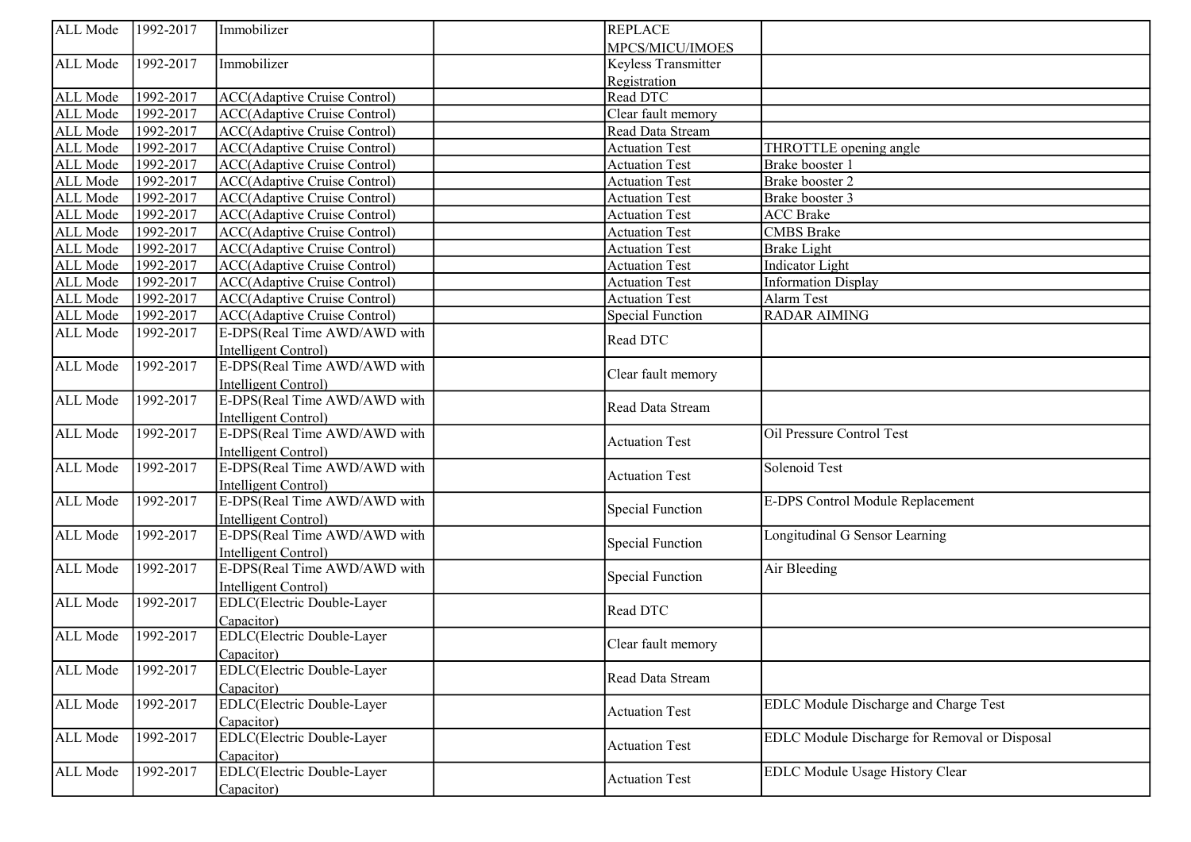| ALL Mode | 1992-2017 | Immobilizer                                        | <b>REPLACE</b>          |                                               |
|----------|-----------|----------------------------------------------------|-------------------------|-----------------------------------------------|
|          |           |                                                    | MPCS/MICU/IMOES         |                                               |
| ALL Mode | 1992-2017 | Immobilizer                                        | Keyless Transmitter     |                                               |
|          |           |                                                    | Registration            |                                               |
| ALL Mode | 1992-2017 | <b>ACC(Adaptive Cruise Control)</b>                | Read DTC                |                                               |
| ALL Mode | 1992-2017 | ACC(Adaptive Cruise Control)                       | Clear fault memory      |                                               |
| ALL Mode | 1992-2017 | ACC(Adaptive Cruise Control)                       | Read Data Stream        |                                               |
| ALL Mode | 1992-2017 | ACC(Adaptive Cruise Control)                       | <b>Actuation Test</b>   | THROTTLE opening angle                        |
| ALL Mode | 1992-2017 | ACC(Adaptive Cruise Control)                       | <b>Actuation Test</b>   | Brake booster 1                               |
| ALL Mode | 1992-2017 | ACC(Adaptive Cruise Control)                       | <b>Actuation Test</b>   | Brake booster 2                               |
| ALL Mode | 1992-2017 | <b>ACC(Adaptive Cruise Control)</b>                | <b>Actuation Test</b>   | Brake booster 3                               |
| ALL Mode | 1992-2017 | ACC(Adaptive Cruise Control)                       | <b>Actuation Test</b>   | <b>ACC Brake</b>                              |
| ALL Mode | 1992-2017 | ACC(Adaptive Cruise Control)                       | <b>Actuation Test</b>   | CMBS Brake                                    |
| ALL Mode | 1992-2017 | ACC(Adaptive Cruise Control)                       | <b>Actuation Test</b>   | <b>Brake Light</b>                            |
| ALL Mode | 1992-2017 | <b>ACC(Adaptive Cruise Control)</b>                | <b>Actuation Test</b>   | <b>Indicator</b> Light                        |
| ALL Mode | 1992-2017 | ACC(Adaptive Cruise Control)                       | <b>Actuation Test</b>   | <b>Information Display</b>                    |
| ALL Mode | 1992-2017 | <b>ACC(Adaptive Cruise Control)</b>                | <b>Actuation Test</b>   | Alarm Test                                    |
| ALL Mode | 1992-2017 | ACC(Adaptive Cruise Control)                       | <b>Special Function</b> | <b>RADAR AIMING</b>                           |
| ALL Mode | 1992-2017 | E-DPS(Real Time AWD/AWD with                       |                         |                                               |
|          |           | Intelligent Control)                               | Read DTC                |                                               |
| ALL Mode | 1992-2017 | E-DPS(Real Time AWD/AWD with                       |                         |                                               |
|          |           | Intelligent Control)                               | Clear fault memory      |                                               |
| ALL Mode | 1992-2017 | E-DPS(Real Time AWD/AWD with                       |                         |                                               |
|          |           | Intelligent Control)                               | Read Data Stream        |                                               |
| ALL Mode | 1992-2017 | E-DPS(Real Time AWD/AWD with                       |                         | Oil Pressure Control Test                     |
|          |           | Intelligent Control)                               | <b>Actuation Test</b>   |                                               |
| ALL Mode | 1992-2017 | E-DPS(Real Time AWD/AWD with                       |                         | Solenoid Test                                 |
|          |           | Intelligent Control)                               | <b>Actuation Test</b>   |                                               |
| ALL Mode | 1992-2017 | E-DPS(Real Time AWD/AWD with                       |                         | E-DPS Control Module Replacement              |
|          |           | Intelligent Control)                               | <b>Special Function</b> |                                               |
| ALL Mode | 1992-2017 | E-DPS(Real Time AWD/AWD with                       |                         | Longitudinal G Sensor Learning                |
|          |           | Intelligent Control)                               | <b>Special Function</b> |                                               |
| ALL Mode | 1992-2017 | E-DPS(Real Time AWD/AWD with                       |                         | Air Bleeding                                  |
|          |           |                                                    | <b>Special Function</b> |                                               |
| ALL Mode | 1992-2017 | Intelligent Control)<br>EDLC(Electric Double-Layer |                         |                                               |
|          |           |                                                    | Read DTC                |                                               |
|          | 1992-2017 | Capacitor)                                         |                         |                                               |
| ALL Mode |           | <b>EDLC</b> (Electric Double-Layer                 | Clear fault memory      |                                               |
|          |           | Capacitor)                                         |                         |                                               |
| ALL Mode | 1992-2017 | <b>EDLC</b> (Electric Double-Layer                 | Read Data Stream        |                                               |
|          |           | Capacitor)                                         |                         |                                               |
| ALL Mode | 1992-2017 | EDLC(Electric Double-Layer                         | <b>Actuation Test</b>   | EDLC Module Discharge and Charge Test         |
|          |           | Capacitor)                                         |                         |                                               |
| ALL Mode | 1992-2017 | EDLC(Electric Double-Layer                         | <b>Actuation Test</b>   | EDLC Module Discharge for Removal or Disposal |
|          |           | Capacitor)                                         |                         |                                               |
| ALL Mode | 1992-2017 | <b>EDLC</b> (Electric Double-Layer                 | <b>Actuation Test</b>   | EDLC Module Usage History Clear               |
|          |           | Capacitor)                                         |                         |                                               |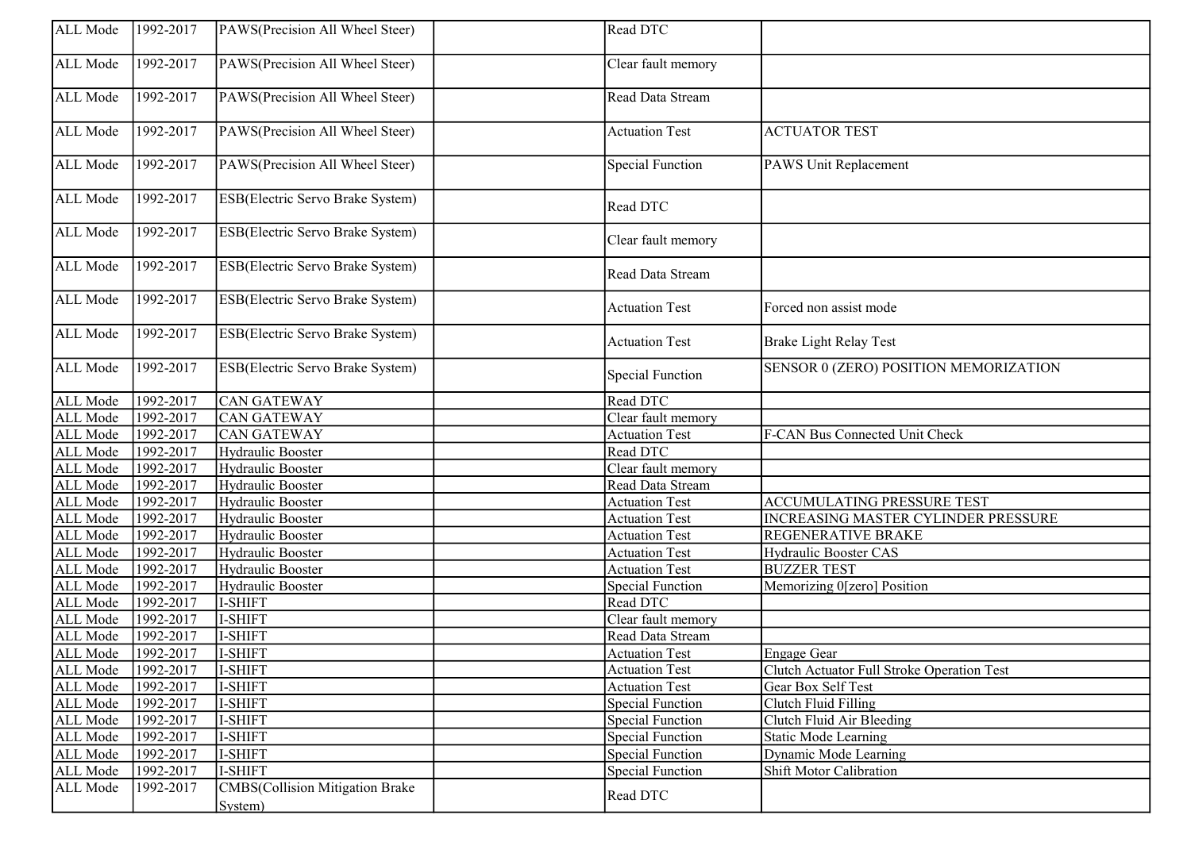| ALL Mode             | 1992-2017            | PAWS(Precision All Wheel Steer)  | Read DTC                |                                            |
|----------------------|----------------------|----------------------------------|-------------------------|--------------------------------------------|
| ALL Mode             | 1992-2017            | PAWS(Precision All Wheel Steer)  | Clear fault memory      |                                            |
| ALL Mode             | 1992-2017            | PAWS(Precision All Wheel Steer)  | Read Data Stream        |                                            |
| ALL Mode             | 1992-2017            | PAWS(Precision All Wheel Steer)  | <b>Actuation Test</b>   | <b>ACTUATOR TEST</b>                       |
| ALL Mode             | 1992-2017            | PAWS(Precision All Wheel Steer)  | <b>Special Function</b> | PAWS Unit Replacement                      |
| ALL Mode             | 1992-2017            | ESB(Electric Servo Brake System) | Read DTC                |                                            |
| ALL Mode             | 1992-2017            | ESB(Electric Servo Brake System) | Clear fault memory      |                                            |
| ALL Mode             | 1992-2017            | ESB(Electric Servo Brake System) | Read Data Stream        |                                            |
| ALL Mode             | 1992-2017            | ESB(Electric Servo Brake System) | <b>Actuation Test</b>   | Forced non assist mode                     |
| ALL Mode             | 1992-2017            | ESB(Electric Servo Brake System) | <b>Actuation Test</b>   | <b>Brake Light Relay Test</b>              |
| ALL Mode             | 1992-2017            | ESB(Electric Servo Brake System) | <b>Special Function</b> | SENSOR 0 (ZERO) POSITION MEMORIZATION      |
| ALL Mode             | 1992-2017            | <b>CAN GATEWAY</b>               | Read DTC                |                                            |
| ALL Mode             | 1992-2017            | CAN GATEWAY                      | Clear fault memory      |                                            |
| ALL Mode             | 1992-2017            | CAN GATEWAY                      | <b>Actuation Test</b>   | F-CAN Bus Connected Unit Check             |
| ALL Mode             | 1992-2017            | Hydraulic Booster                | Read DTC                |                                            |
| ALL Mode             | 1992-2017            | Hydraulic Booster                | Clear fault memory      |                                            |
| ALL Mode             | 1992-2017            | Hydraulic Booster                | Read Data Stream        |                                            |
| ALL Mode             | 1992-2017            | Hydraulic Booster                | <b>Actuation Test</b>   | <b>ACCUMULATING PRESSURE TEST</b>          |
| ALL Mode             | 1992-2017            | Hydraulic Booster                | <b>Actuation Test</b>   | INCREASING MASTER CYLINDER PRESSURE        |
| ALL Mode             | $\sqrt{1992 - 2017}$ | Hydraulic Booster                | <b>Actuation Test</b>   | REGENERATIVE BRAKE                         |
| ALL Mode             | 1992-2017            | Hydraulic Booster                | <b>Actuation Test</b>   | Hydraulic Booster CAS                      |
| ALL Mode             | 1992-2017            | Hydraulic Booster                | <b>Actuation Test</b>   | <b>BUZZER TEST</b>                         |
| ALL Mode             | $\sqrt{1992 - 2017}$ | Hydraulic Booster                | <b>Special Function</b> | Memorizing 0[zero] Position                |
| ALL Mode             | $\sqrt{1992 - 2017}$ | I-SHIFT                          | Read DTC                |                                            |
| ALL Mode             | 1992-2017            | I-SHIFT                          | Clear fault memory      |                                            |
| ALL Mode             | 1992-2017            | I-SHIFT                          | Read Data Stream        |                                            |
| ALL Mode             | 1992-2017            | I-SHIFT                          | <b>Actuation Test</b>   | Engage Gear                                |
| ALL Mode   1992-2017 |                      | I-SHIFT                          | <b>Actuation Test</b>   | Clutch Actuator Full Stroke Operation Test |
| ALL Mode             | 1992-2017            | I-SHIFT                          | <b>Actuation Test</b>   | Gear Box Self Test                         |
| ALL Mode             | 1992-2017            | I-SHIFT                          | <b>Special Function</b> | Clutch Fluid Filling                       |
| ALL Mode             | 1992-2017            | I-SHIFT                          | <b>Special Function</b> | Clutch Fluid Air Bleeding                  |
| ALL Mode             | 1992-2017            | I-SHIFT                          | <b>Special Function</b> | <b>Static Mode Learning</b>                |
| ALL Mode             | 1992-2017            | I-SHIFT                          | <b>Special Function</b> | Dynamic Mode Learning                      |
| ALL Mode             | 1992-2017            | I-SHIFT                          | <b>Special Function</b> | Shift Motor Calibration                    |
| ALL Mode             | 1992-2017            | CMBS(Collision Mitigation Brake  | Read DTC                |                                            |
|                      |                      | System)                          |                         |                                            |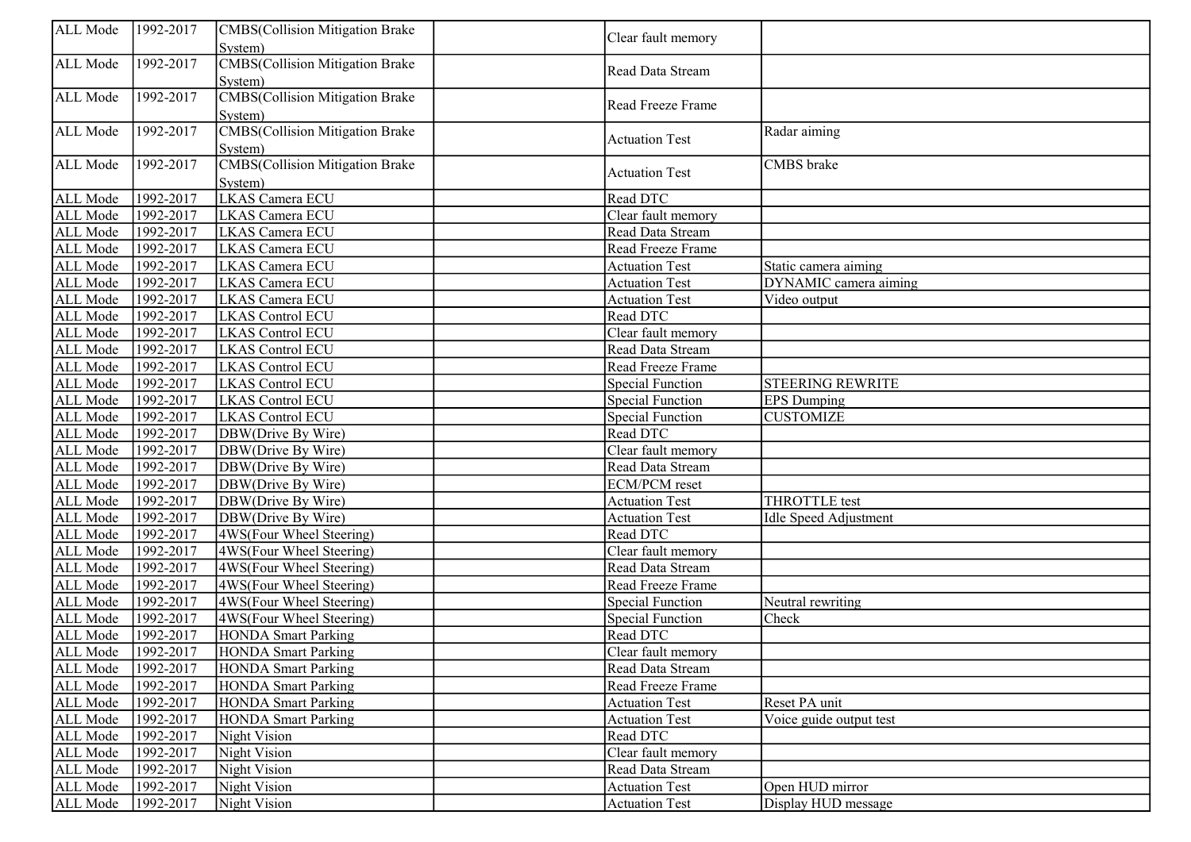| Clear fault memory<br>System)<br><b>CMBS</b> (Collision Mitigation Brake<br>ALL Mode<br>1992-2017<br>Read Data Stream<br>System)<br><b>CMBS</b> (Collision Mitigation Brake<br>ALL Mode<br>1992-2017<br>Read Freeze Frame<br>System)<br><b>CMBS</b> (Collision Mitigation Brake<br>ALL Mode<br>1992-2017<br>Radar aiming<br><b>Actuation Test</b><br>System)<br><b>CMBS</b> (Collision Mitigation Brake<br>1992-2017<br><b>CMBS</b> brake<br>ALL Mode<br><b>Actuation Test</b><br>System)<br>LKAS Camera ECU<br>1992-2017<br>Read DTC<br>ALL Mode<br>ALL Mode<br>1992-2017<br><b>LKAS Camera ECU</b><br>Clear fault memory<br>1992-2017<br>LKAS Camera ECU<br>ALL Mode<br>Read Data Stream<br>1992-2017<br>ALL Mode<br>LKAS Camera ECU<br>Read Freeze Frame<br>1992-2017<br>ALL Mode<br>LKAS Camera ECU<br><b>Actuation Test</b><br>Static camera aiming<br>ALL Mode<br>1992-2017<br>LKAS Camera ECU<br>DYNAMIC camera aiming<br><b>Actuation Test</b><br>1992-2017<br>ALL Mode<br>LKAS Camera ECU<br>Video output<br><b>Actuation Test</b><br>1992-2017<br>Read DTC<br>ALL Mode<br><b>LKAS Control ECU</b><br>ALL Mode<br>1992-2017<br><b>LKAS Control ECU</b><br>Clear fault memory<br>ALL Mode<br>1992-2017<br><b>LKAS Control ECU</b><br>Read Data Stream<br>ALL Mode<br>1992-2017<br><b>LKAS Control ECU</b><br>Read Freeze Frame<br>ALL Mode<br>1992-2017<br><b>STEERING REWRITE</b><br>LKAS Control ECU<br><b>Special Function</b><br>ALL Mode<br>1992-2017<br><b>Special Function</b><br><b>EPS</b> Dumping<br><b>LKAS Control ECU</b><br>ALL Mode<br>1992-2017<br><b>LKAS</b> Control ECU<br><b>Special Function</b><br><b>CUSTOMIZE</b><br>1992-2017<br>Read DTC<br>ALL Mode<br>DBW(Drive By Wire)<br>1992-2017<br>ALL Mode<br>DBW(Drive By Wire)<br>Clear fault memory<br>1992-2017<br>Read Data Stream<br>ALL Mode<br>DBW(Drive By Wire)<br>1992-2017<br>ALL Mode<br>DBW(Drive By Wire)<br><b>ECM/PCM</b> reset<br>ALL Mode<br>1992-2017<br><b>THROTTLE</b> test<br>DBW(Drive By Wire)<br><b>Actuation Test</b><br>ALL Mode<br>1992-2017<br>DBW(Drive By Wire)<br><b>Idle Speed Adjustment</b><br><b>Actuation Test</b><br>ALL Mode<br>1992-2017<br>4WS(Four Wheel Steering)<br>Read DTC<br>ALL Mode<br>1992-2017<br>4WS(Four Wheel Steering)<br>Clear fault memory<br>ALL Mode<br>1992-2017<br>4WS(Four Wheel Steering)<br>Read Data Stream<br>ALL Mode<br>1992-2017<br>4WS(Four Wheel Steering)<br>Read Freeze Frame<br>ALL Mode<br>1992-2017<br>4WS(Four Wheel Steering)<br><b>Special Function</b><br>Neutral rewriting<br>ALL Mode<br>1992-2017<br>4WS(Four Wheel Steering)<br><b>Special Function</b><br>Check<br>$\sqrt{1992-2017}$<br>ALL Mode<br>Read DTC<br><b>HONDA</b> Smart Parking<br>1992-2017<br>ALL Mode<br><b>HONDA</b> Smart Parking<br>Clear fault memory<br>ALL Mode<br>1992-2017<br><b>HONDA</b> Smart Parking<br>Read Data Stream<br>1992-2017<br>ALL Mode<br>Read Freeze Frame<br><b>HONDA</b> Smart Parking<br>1992-2017<br>ALL Mode<br><b>Actuation Test</b><br><b>HONDA</b> Smart Parking<br>Reset PA unit<br>1992-2017<br>ALL Mode<br><b>Actuation Test</b><br>Voice guide output test<br><b>HONDA Smart Parking</b><br>1992-2017<br>ALL Mode<br>Night Vision<br>Read DTC<br>1992-2017<br>Clear fault memory<br>ALL Mode<br>Night Vision<br>1992-2017<br>ALL Mode<br>Night Vision<br>Read Data Stream<br>1992-2017<br>Open HUD mirror<br>ALL Mode<br>Night Vision<br><b>Actuation Test</b><br>1992-2017<br>ALL Mode<br>Night Vision<br><b>Actuation Test</b><br>Display HUD message | ALL Mode | 1992-2017 | CMBS(Collision Mitigation Brake |  |  |
|-----------------------------------------------------------------------------------------------------------------------------------------------------------------------------------------------------------------------------------------------------------------------------------------------------------------------------------------------------------------------------------------------------------------------------------------------------------------------------------------------------------------------------------------------------------------------------------------------------------------------------------------------------------------------------------------------------------------------------------------------------------------------------------------------------------------------------------------------------------------------------------------------------------------------------------------------------------------------------------------------------------------------------------------------------------------------------------------------------------------------------------------------------------------------------------------------------------------------------------------------------------------------------------------------------------------------------------------------------------------------------------------------------------------------------------------------------------------------------------------------------------------------------------------------------------------------------------------------------------------------------------------------------------------------------------------------------------------------------------------------------------------------------------------------------------------------------------------------------------------------------------------------------------------------------------------------------------------------------------------------------------------------------------------------------------------------------------------------------------------------------------------------------------------------------------------------------------------------------------------------------------------------------------------------------------------------------------------------------------------------------------------------------------------------------------------------------------------------------------------------------------------------------------------------------------------------------------------------------------------------------------------------------------------------------------------------------------------------------------------------------------------------------------------------------------------------------------------------------------------------------------------------------------------------------------------------------------------------------------------------------------------------------------------------------------------------------------------------------------------------------------------------------------------------------------------------------------------------------------------------------------------------------------------------------------------------------------------------------------------------------------------------------------------------------------------------------------------------------------------------------------------------------|----------|-----------|---------------------------------|--|--|
|                                                                                                                                                                                                                                                                                                                                                                                                                                                                                                                                                                                                                                                                                                                                                                                                                                                                                                                                                                                                                                                                                                                                                                                                                                                                                                                                                                                                                                                                                                                                                                                                                                                                                                                                                                                                                                                                                                                                                                                                                                                                                                                                                                                                                                                                                                                                                                                                                                                                                                                                                                                                                                                                                                                                                                                                                                                                                                                                                                                                                                                                                                                                                                                                                                                                                                                                                                                                                                                                                                                             |          |           |                                 |  |  |
|                                                                                                                                                                                                                                                                                                                                                                                                                                                                                                                                                                                                                                                                                                                                                                                                                                                                                                                                                                                                                                                                                                                                                                                                                                                                                                                                                                                                                                                                                                                                                                                                                                                                                                                                                                                                                                                                                                                                                                                                                                                                                                                                                                                                                                                                                                                                                                                                                                                                                                                                                                                                                                                                                                                                                                                                                                                                                                                                                                                                                                                                                                                                                                                                                                                                                                                                                                                                                                                                                                                             |          |           |                                 |  |  |
|                                                                                                                                                                                                                                                                                                                                                                                                                                                                                                                                                                                                                                                                                                                                                                                                                                                                                                                                                                                                                                                                                                                                                                                                                                                                                                                                                                                                                                                                                                                                                                                                                                                                                                                                                                                                                                                                                                                                                                                                                                                                                                                                                                                                                                                                                                                                                                                                                                                                                                                                                                                                                                                                                                                                                                                                                                                                                                                                                                                                                                                                                                                                                                                                                                                                                                                                                                                                                                                                                                                             |          |           |                                 |  |  |
|                                                                                                                                                                                                                                                                                                                                                                                                                                                                                                                                                                                                                                                                                                                                                                                                                                                                                                                                                                                                                                                                                                                                                                                                                                                                                                                                                                                                                                                                                                                                                                                                                                                                                                                                                                                                                                                                                                                                                                                                                                                                                                                                                                                                                                                                                                                                                                                                                                                                                                                                                                                                                                                                                                                                                                                                                                                                                                                                                                                                                                                                                                                                                                                                                                                                                                                                                                                                                                                                                                                             |          |           |                                 |  |  |
|                                                                                                                                                                                                                                                                                                                                                                                                                                                                                                                                                                                                                                                                                                                                                                                                                                                                                                                                                                                                                                                                                                                                                                                                                                                                                                                                                                                                                                                                                                                                                                                                                                                                                                                                                                                                                                                                                                                                                                                                                                                                                                                                                                                                                                                                                                                                                                                                                                                                                                                                                                                                                                                                                                                                                                                                                                                                                                                                                                                                                                                                                                                                                                                                                                                                                                                                                                                                                                                                                                                             |          |           |                                 |  |  |
|                                                                                                                                                                                                                                                                                                                                                                                                                                                                                                                                                                                                                                                                                                                                                                                                                                                                                                                                                                                                                                                                                                                                                                                                                                                                                                                                                                                                                                                                                                                                                                                                                                                                                                                                                                                                                                                                                                                                                                                                                                                                                                                                                                                                                                                                                                                                                                                                                                                                                                                                                                                                                                                                                                                                                                                                                                                                                                                                                                                                                                                                                                                                                                                                                                                                                                                                                                                                                                                                                                                             |          |           |                                 |  |  |
|                                                                                                                                                                                                                                                                                                                                                                                                                                                                                                                                                                                                                                                                                                                                                                                                                                                                                                                                                                                                                                                                                                                                                                                                                                                                                                                                                                                                                                                                                                                                                                                                                                                                                                                                                                                                                                                                                                                                                                                                                                                                                                                                                                                                                                                                                                                                                                                                                                                                                                                                                                                                                                                                                                                                                                                                                                                                                                                                                                                                                                                                                                                                                                                                                                                                                                                                                                                                                                                                                                                             |          |           |                                 |  |  |
|                                                                                                                                                                                                                                                                                                                                                                                                                                                                                                                                                                                                                                                                                                                                                                                                                                                                                                                                                                                                                                                                                                                                                                                                                                                                                                                                                                                                                                                                                                                                                                                                                                                                                                                                                                                                                                                                                                                                                                                                                                                                                                                                                                                                                                                                                                                                                                                                                                                                                                                                                                                                                                                                                                                                                                                                                                                                                                                                                                                                                                                                                                                                                                                                                                                                                                                                                                                                                                                                                                                             |          |           |                                 |  |  |
|                                                                                                                                                                                                                                                                                                                                                                                                                                                                                                                                                                                                                                                                                                                                                                                                                                                                                                                                                                                                                                                                                                                                                                                                                                                                                                                                                                                                                                                                                                                                                                                                                                                                                                                                                                                                                                                                                                                                                                                                                                                                                                                                                                                                                                                                                                                                                                                                                                                                                                                                                                                                                                                                                                                                                                                                                                                                                                                                                                                                                                                                                                                                                                                                                                                                                                                                                                                                                                                                                                                             |          |           |                                 |  |  |
|                                                                                                                                                                                                                                                                                                                                                                                                                                                                                                                                                                                                                                                                                                                                                                                                                                                                                                                                                                                                                                                                                                                                                                                                                                                                                                                                                                                                                                                                                                                                                                                                                                                                                                                                                                                                                                                                                                                                                                                                                                                                                                                                                                                                                                                                                                                                                                                                                                                                                                                                                                                                                                                                                                                                                                                                                                                                                                                                                                                                                                                                                                                                                                                                                                                                                                                                                                                                                                                                                                                             |          |           |                                 |  |  |
|                                                                                                                                                                                                                                                                                                                                                                                                                                                                                                                                                                                                                                                                                                                                                                                                                                                                                                                                                                                                                                                                                                                                                                                                                                                                                                                                                                                                                                                                                                                                                                                                                                                                                                                                                                                                                                                                                                                                                                                                                                                                                                                                                                                                                                                                                                                                                                                                                                                                                                                                                                                                                                                                                                                                                                                                                                                                                                                                                                                                                                                                                                                                                                                                                                                                                                                                                                                                                                                                                                                             |          |           |                                 |  |  |
|                                                                                                                                                                                                                                                                                                                                                                                                                                                                                                                                                                                                                                                                                                                                                                                                                                                                                                                                                                                                                                                                                                                                                                                                                                                                                                                                                                                                                                                                                                                                                                                                                                                                                                                                                                                                                                                                                                                                                                                                                                                                                                                                                                                                                                                                                                                                                                                                                                                                                                                                                                                                                                                                                                                                                                                                                                                                                                                                                                                                                                                                                                                                                                                                                                                                                                                                                                                                                                                                                                                             |          |           |                                 |  |  |
|                                                                                                                                                                                                                                                                                                                                                                                                                                                                                                                                                                                                                                                                                                                                                                                                                                                                                                                                                                                                                                                                                                                                                                                                                                                                                                                                                                                                                                                                                                                                                                                                                                                                                                                                                                                                                                                                                                                                                                                                                                                                                                                                                                                                                                                                                                                                                                                                                                                                                                                                                                                                                                                                                                                                                                                                                                                                                                                                                                                                                                                                                                                                                                                                                                                                                                                                                                                                                                                                                                                             |          |           |                                 |  |  |
|                                                                                                                                                                                                                                                                                                                                                                                                                                                                                                                                                                                                                                                                                                                                                                                                                                                                                                                                                                                                                                                                                                                                                                                                                                                                                                                                                                                                                                                                                                                                                                                                                                                                                                                                                                                                                                                                                                                                                                                                                                                                                                                                                                                                                                                                                                                                                                                                                                                                                                                                                                                                                                                                                                                                                                                                                                                                                                                                                                                                                                                                                                                                                                                                                                                                                                                                                                                                                                                                                                                             |          |           |                                 |  |  |
|                                                                                                                                                                                                                                                                                                                                                                                                                                                                                                                                                                                                                                                                                                                                                                                                                                                                                                                                                                                                                                                                                                                                                                                                                                                                                                                                                                                                                                                                                                                                                                                                                                                                                                                                                                                                                                                                                                                                                                                                                                                                                                                                                                                                                                                                                                                                                                                                                                                                                                                                                                                                                                                                                                                                                                                                                                                                                                                                                                                                                                                                                                                                                                                                                                                                                                                                                                                                                                                                                                                             |          |           |                                 |  |  |
|                                                                                                                                                                                                                                                                                                                                                                                                                                                                                                                                                                                                                                                                                                                                                                                                                                                                                                                                                                                                                                                                                                                                                                                                                                                                                                                                                                                                                                                                                                                                                                                                                                                                                                                                                                                                                                                                                                                                                                                                                                                                                                                                                                                                                                                                                                                                                                                                                                                                                                                                                                                                                                                                                                                                                                                                                                                                                                                                                                                                                                                                                                                                                                                                                                                                                                                                                                                                                                                                                                                             |          |           |                                 |  |  |
|                                                                                                                                                                                                                                                                                                                                                                                                                                                                                                                                                                                                                                                                                                                                                                                                                                                                                                                                                                                                                                                                                                                                                                                                                                                                                                                                                                                                                                                                                                                                                                                                                                                                                                                                                                                                                                                                                                                                                                                                                                                                                                                                                                                                                                                                                                                                                                                                                                                                                                                                                                                                                                                                                                                                                                                                                                                                                                                                                                                                                                                                                                                                                                                                                                                                                                                                                                                                                                                                                                                             |          |           |                                 |  |  |
|                                                                                                                                                                                                                                                                                                                                                                                                                                                                                                                                                                                                                                                                                                                                                                                                                                                                                                                                                                                                                                                                                                                                                                                                                                                                                                                                                                                                                                                                                                                                                                                                                                                                                                                                                                                                                                                                                                                                                                                                                                                                                                                                                                                                                                                                                                                                                                                                                                                                                                                                                                                                                                                                                                                                                                                                                                                                                                                                                                                                                                                                                                                                                                                                                                                                                                                                                                                                                                                                                                                             |          |           |                                 |  |  |
|                                                                                                                                                                                                                                                                                                                                                                                                                                                                                                                                                                                                                                                                                                                                                                                                                                                                                                                                                                                                                                                                                                                                                                                                                                                                                                                                                                                                                                                                                                                                                                                                                                                                                                                                                                                                                                                                                                                                                                                                                                                                                                                                                                                                                                                                                                                                                                                                                                                                                                                                                                                                                                                                                                                                                                                                                                                                                                                                                                                                                                                                                                                                                                                                                                                                                                                                                                                                                                                                                                                             |          |           |                                 |  |  |
|                                                                                                                                                                                                                                                                                                                                                                                                                                                                                                                                                                                                                                                                                                                                                                                                                                                                                                                                                                                                                                                                                                                                                                                                                                                                                                                                                                                                                                                                                                                                                                                                                                                                                                                                                                                                                                                                                                                                                                                                                                                                                                                                                                                                                                                                                                                                                                                                                                                                                                                                                                                                                                                                                                                                                                                                                                                                                                                                                                                                                                                                                                                                                                                                                                                                                                                                                                                                                                                                                                                             |          |           |                                 |  |  |
|                                                                                                                                                                                                                                                                                                                                                                                                                                                                                                                                                                                                                                                                                                                                                                                                                                                                                                                                                                                                                                                                                                                                                                                                                                                                                                                                                                                                                                                                                                                                                                                                                                                                                                                                                                                                                                                                                                                                                                                                                                                                                                                                                                                                                                                                                                                                                                                                                                                                                                                                                                                                                                                                                                                                                                                                                                                                                                                                                                                                                                                                                                                                                                                                                                                                                                                                                                                                                                                                                                                             |          |           |                                 |  |  |
|                                                                                                                                                                                                                                                                                                                                                                                                                                                                                                                                                                                                                                                                                                                                                                                                                                                                                                                                                                                                                                                                                                                                                                                                                                                                                                                                                                                                                                                                                                                                                                                                                                                                                                                                                                                                                                                                                                                                                                                                                                                                                                                                                                                                                                                                                                                                                                                                                                                                                                                                                                                                                                                                                                                                                                                                                                                                                                                                                                                                                                                                                                                                                                                                                                                                                                                                                                                                                                                                                                                             |          |           |                                 |  |  |
|                                                                                                                                                                                                                                                                                                                                                                                                                                                                                                                                                                                                                                                                                                                                                                                                                                                                                                                                                                                                                                                                                                                                                                                                                                                                                                                                                                                                                                                                                                                                                                                                                                                                                                                                                                                                                                                                                                                                                                                                                                                                                                                                                                                                                                                                                                                                                                                                                                                                                                                                                                                                                                                                                                                                                                                                                                                                                                                                                                                                                                                                                                                                                                                                                                                                                                                                                                                                                                                                                                                             |          |           |                                 |  |  |
|                                                                                                                                                                                                                                                                                                                                                                                                                                                                                                                                                                                                                                                                                                                                                                                                                                                                                                                                                                                                                                                                                                                                                                                                                                                                                                                                                                                                                                                                                                                                                                                                                                                                                                                                                                                                                                                                                                                                                                                                                                                                                                                                                                                                                                                                                                                                                                                                                                                                                                                                                                                                                                                                                                                                                                                                                                                                                                                                                                                                                                                                                                                                                                                                                                                                                                                                                                                                                                                                                                                             |          |           |                                 |  |  |
|                                                                                                                                                                                                                                                                                                                                                                                                                                                                                                                                                                                                                                                                                                                                                                                                                                                                                                                                                                                                                                                                                                                                                                                                                                                                                                                                                                                                                                                                                                                                                                                                                                                                                                                                                                                                                                                                                                                                                                                                                                                                                                                                                                                                                                                                                                                                                                                                                                                                                                                                                                                                                                                                                                                                                                                                                                                                                                                                                                                                                                                                                                                                                                                                                                                                                                                                                                                                                                                                                                                             |          |           |                                 |  |  |
|                                                                                                                                                                                                                                                                                                                                                                                                                                                                                                                                                                                                                                                                                                                                                                                                                                                                                                                                                                                                                                                                                                                                                                                                                                                                                                                                                                                                                                                                                                                                                                                                                                                                                                                                                                                                                                                                                                                                                                                                                                                                                                                                                                                                                                                                                                                                                                                                                                                                                                                                                                                                                                                                                                                                                                                                                                                                                                                                                                                                                                                                                                                                                                                                                                                                                                                                                                                                                                                                                                                             |          |           |                                 |  |  |
|                                                                                                                                                                                                                                                                                                                                                                                                                                                                                                                                                                                                                                                                                                                                                                                                                                                                                                                                                                                                                                                                                                                                                                                                                                                                                                                                                                                                                                                                                                                                                                                                                                                                                                                                                                                                                                                                                                                                                                                                                                                                                                                                                                                                                                                                                                                                                                                                                                                                                                                                                                                                                                                                                                                                                                                                                                                                                                                                                                                                                                                                                                                                                                                                                                                                                                                                                                                                                                                                                                                             |          |           |                                 |  |  |
|                                                                                                                                                                                                                                                                                                                                                                                                                                                                                                                                                                                                                                                                                                                                                                                                                                                                                                                                                                                                                                                                                                                                                                                                                                                                                                                                                                                                                                                                                                                                                                                                                                                                                                                                                                                                                                                                                                                                                                                                                                                                                                                                                                                                                                                                                                                                                                                                                                                                                                                                                                                                                                                                                                                                                                                                                                                                                                                                                                                                                                                                                                                                                                                                                                                                                                                                                                                                                                                                                                                             |          |           |                                 |  |  |
|                                                                                                                                                                                                                                                                                                                                                                                                                                                                                                                                                                                                                                                                                                                                                                                                                                                                                                                                                                                                                                                                                                                                                                                                                                                                                                                                                                                                                                                                                                                                                                                                                                                                                                                                                                                                                                                                                                                                                                                                                                                                                                                                                                                                                                                                                                                                                                                                                                                                                                                                                                                                                                                                                                                                                                                                                                                                                                                                                                                                                                                                                                                                                                                                                                                                                                                                                                                                                                                                                                                             |          |           |                                 |  |  |
|                                                                                                                                                                                                                                                                                                                                                                                                                                                                                                                                                                                                                                                                                                                                                                                                                                                                                                                                                                                                                                                                                                                                                                                                                                                                                                                                                                                                                                                                                                                                                                                                                                                                                                                                                                                                                                                                                                                                                                                                                                                                                                                                                                                                                                                                                                                                                                                                                                                                                                                                                                                                                                                                                                                                                                                                                                                                                                                                                                                                                                                                                                                                                                                                                                                                                                                                                                                                                                                                                                                             |          |           |                                 |  |  |
|                                                                                                                                                                                                                                                                                                                                                                                                                                                                                                                                                                                                                                                                                                                                                                                                                                                                                                                                                                                                                                                                                                                                                                                                                                                                                                                                                                                                                                                                                                                                                                                                                                                                                                                                                                                                                                                                                                                                                                                                                                                                                                                                                                                                                                                                                                                                                                                                                                                                                                                                                                                                                                                                                                                                                                                                                                                                                                                                                                                                                                                                                                                                                                                                                                                                                                                                                                                                                                                                                                                             |          |           |                                 |  |  |
|                                                                                                                                                                                                                                                                                                                                                                                                                                                                                                                                                                                                                                                                                                                                                                                                                                                                                                                                                                                                                                                                                                                                                                                                                                                                                                                                                                                                                                                                                                                                                                                                                                                                                                                                                                                                                                                                                                                                                                                                                                                                                                                                                                                                                                                                                                                                                                                                                                                                                                                                                                                                                                                                                                                                                                                                                                                                                                                                                                                                                                                                                                                                                                                                                                                                                                                                                                                                                                                                                                                             |          |           |                                 |  |  |
|                                                                                                                                                                                                                                                                                                                                                                                                                                                                                                                                                                                                                                                                                                                                                                                                                                                                                                                                                                                                                                                                                                                                                                                                                                                                                                                                                                                                                                                                                                                                                                                                                                                                                                                                                                                                                                                                                                                                                                                                                                                                                                                                                                                                                                                                                                                                                                                                                                                                                                                                                                                                                                                                                                                                                                                                                                                                                                                                                                                                                                                                                                                                                                                                                                                                                                                                                                                                                                                                                                                             |          |           |                                 |  |  |
|                                                                                                                                                                                                                                                                                                                                                                                                                                                                                                                                                                                                                                                                                                                                                                                                                                                                                                                                                                                                                                                                                                                                                                                                                                                                                                                                                                                                                                                                                                                                                                                                                                                                                                                                                                                                                                                                                                                                                                                                                                                                                                                                                                                                                                                                                                                                                                                                                                                                                                                                                                                                                                                                                                                                                                                                                                                                                                                                                                                                                                                                                                                                                                                                                                                                                                                                                                                                                                                                                                                             |          |           |                                 |  |  |
|                                                                                                                                                                                                                                                                                                                                                                                                                                                                                                                                                                                                                                                                                                                                                                                                                                                                                                                                                                                                                                                                                                                                                                                                                                                                                                                                                                                                                                                                                                                                                                                                                                                                                                                                                                                                                                                                                                                                                                                                                                                                                                                                                                                                                                                                                                                                                                                                                                                                                                                                                                                                                                                                                                                                                                                                                                                                                                                                                                                                                                                                                                                                                                                                                                                                                                                                                                                                                                                                                                                             |          |           |                                 |  |  |
|                                                                                                                                                                                                                                                                                                                                                                                                                                                                                                                                                                                                                                                                                                                                                                                                                                                                                                                                                                                                                                                                                                                                                                                                                                                                                                                                                                                                                                                                                                                                                                                                                                                                                                                                                                                                                                                                                                                                                                                                                                                                                                                                                                                                                                                                                                                                                                                                                                                                                                                                                                                                                                                                                                                                                                                                                                                                                                                                                                                                                                                                                                                                                                                                                                                                                                                                                                                                                                                                                                                             |          |           |                                 |  |  |
|                                                                                                                                                                                                                                                                                                                                                                                                                                                                                                                                                                                                                                                                                                                                                                                                                                                                                                                                                                                                                                                                                                                                                                                                                                                                                                                                                                                                                                                                                                                                                                                                                                                                                                                                                                                                                                                                                                                                                                                                                                                                                                                                                                                                                                                                                                                                                                                                                                                                                                                                                                                                                                                                                                                                                                                                                                                                                                                                                                                                                                                                                                                                                                                                                                                                                                                                                                                                                                                                                                                             |          |           |                                 |  |  |
|                                                                                                                                                                                                                                                                                                                                                                                                                                                                                                                                                                                                                                                                                                                                                                                                                                                                                                                                                                                                                                                                                                                                                                                                                                                                                                                                                                                                                                                                                                                                                                                                                                                                                                                                                                                                                                                                                                                                                                                                                                                                                                                                                                                                                                                                                                                                                                                                                                                                                                                                                                                                                                                                                                                                                                                                                                                                                                                                                                                                                                                                                                                                                                                                                                                                                                                                                                                                                                                                                                                             |          |           |                                 |  |  |
|                                                                                                                                                                                                                                                                                                                                                                                                                                                                                                                                                                                                                                                                                                                                                                                                                                                                                                                                                                                                                                                                                                                                                                                                                                                                                                                                                                                                                                                                                                                                                                                                                                                                                                                                                                                                                                                                                                                                                                                                                                                                                                                                                                                                                                                                                                                                                                                                                                                                                                                                                                                                                                                                                                                                                                                                                                                                                                                                                                                                                                                                                                                                                                                                                                                                                                                                                                                                                                                                                                                             |          |           |                                 |  |  |
|                                                                                                                                                                                                                                                                                                                                                                                                                                                                                                                                                                                                                                                                                                                                                                                                                                                                                                                                                                                                                                                                                                                                                                                                                                                                                                                                                                                                                                                                                                                                                                                                                                                                                                                                                                                                                                                                                                                                                                                                                                                                                                                                                                                                                                                                                                                                                                                                                                                                                                                                                                                                                                                                                                                                                                                                                                                                                                                                                                                                                                                                                                                                                                                                                                                                                                                                                                                                                                                                                                                             |          |           |                                 |  |  |
|                                                                                                                                                                                                                                                                                                                                                                                                                                                                                                                                                                                                                                                                                                                                                                                                                                                                                                                                                                                                                                                                                                                                                                                                                                                                                                                                                                                                                                                                                                                                                                                                                                                                                                                                                                                                                                                                                                                                                                                                                                                                                                                                                                                                                                                                                                                                                                                                                                                                                                                                                                                                                                                                                                                                                                                                                                                                                                                                                                                                                                                                                                                                                                                                                                                                                                                                                                                                                                                                                                                             |          |           |                                 |  |  |
|                                                                                                                                                                                                                                                                                                                                                                                                                                                                                                                                                                                                                                                                                                                                                                                                                                                                                                                                                                                                                                                                                                                                                                                                                                                                                                                                                                                                                                                                                                                                                                                                                                                                                                                                                                                                                                                                                                                                                                                                                                                                                                                                                                                                                                                                                                                                                                                                                                                                                                                                                                                                                                                                                                                                                                                                                                                                                                                                                                                                                                                                                                                                                                                                                                                                                                                                                                                                                                                                                                                             |          |           |                                 |  |  |
|                                                                                                                                                                                                                                                                                                                                                                                                                                                                                                                                                                                                                                                                                                                                                                                                                                                                                                                                                                                                                                                                                                                                                                                                                                                                                                                                                                                                                                                                                                                                                                                                                                                                                                                                                                                                                                                                                                                                                                                                                                                                                                                                                                                                                                                                                                                                                                                                                                                                                                                                                                                                                                                                                                                                                                                                                                                                                                                                                                                                                                                                                                                                                                                                                                                                                                                                                                                                                                                                                                                             |          |           |                                 |  |  |
|                                                                                                                                                                                                                                                                                                                                                                                                                                                                                                                                                                                                                                                                                                                                                                                                                                                                                                                                                                                                                                                                                                                                                                                                                                                                                                                                                                                                                                                                                                                                                                                                                                                                                                                                                                                                                                                                                                                                                                                                                                                                                                                                                                                                                                                                                                                                                                                                                                                                                                                                                                                                                                                                                                                                                                                                                                                                                                                                                                                                                                                                                                                                                                                                                                                                                                                                                                                                                                                                                                                             |          |           |                                 |  |  |
|                                                                                                                                                                                                                                                                                                                                                                                                                                                                                                                                                                                                                                                                                                                                                                                                                                                                                                                                                                                                                                                                                                                                                                                                                                                                                                                                                                                                                                                                                                                                                                                                                                                                                                                                                                                                                                                                                                                                                                                                                                                                                                                                                                                                                                                                                                                                                                                                                                                                                                                                                                                                                                                                                                                                                                                                                                                                                                                                                                                                                                                                                                                                                                                                                                                                                                                                                                                                                                                                                                                             |          |           |                                 |  |  |
|                                                                                                                                                                                                                                                                                                                                                                                                                                                                                                                                                                                                                                                                                                                                                                                                                                                                                                                                                                                                                                                                                                                                                                                                                                                                                                                                                                                                                                                                                                                                                                                                                                                                                                                                                                                                                                                                                                                                                                                                                                                                                                                                                                                                                                                                                                                                                                                                                                                                                                                                                                                                                                                                                                                                                                                                                                                                                                                                                                                                                                                                                                                                                                                                                                                                                                                                                                                                                                                                                                                             |          |           |                                 |  |  |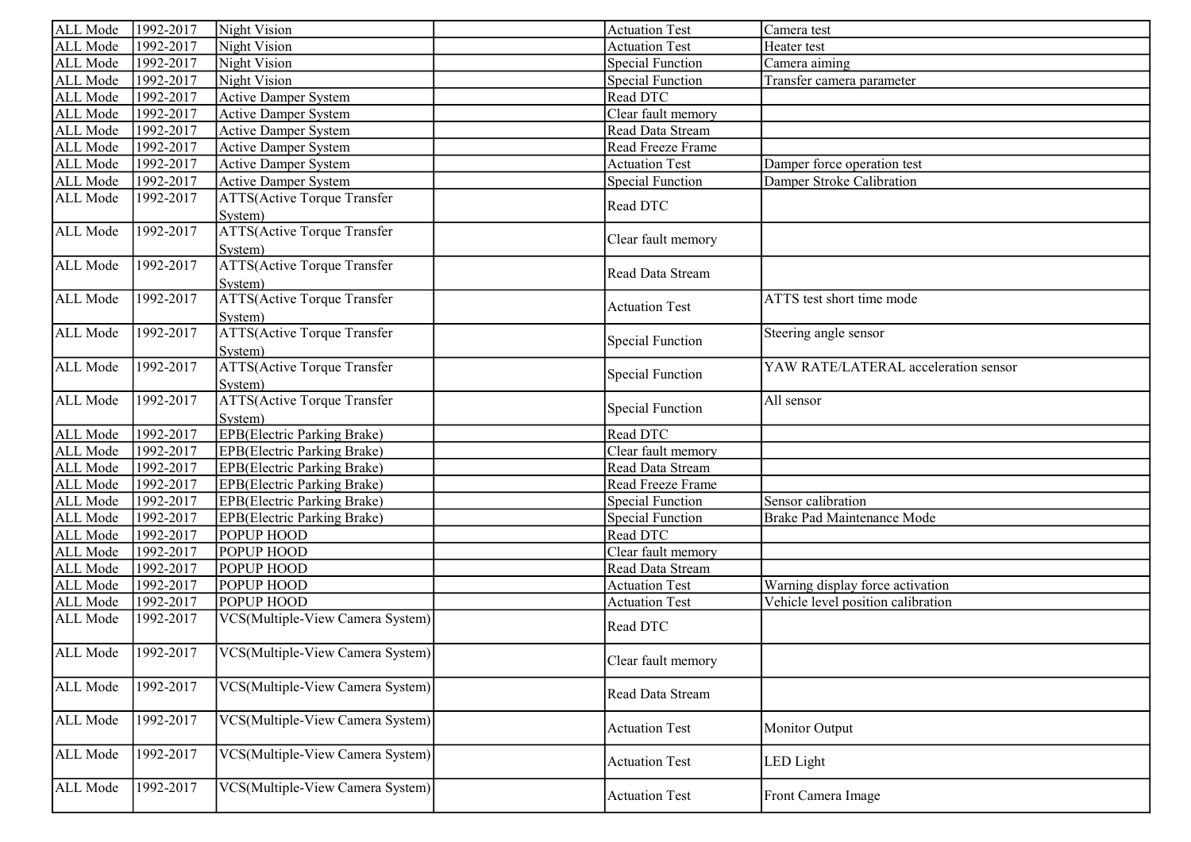| ALL Mode             | 1992-2017 | Night Vision                                   | <b>Actuation Test</b>   | Camera test                          |
|----------------------|-----------|------------------------------------------------|-------------------------|--------------------------------------|
| ALL Mode             | 1992-2017 | Night Vision                                   | <b>Actuation Test</b>   | Heater test                          |
| ALL Mode             | 1992-2017 | Night Vision                                   | <b>Special Function</b> | Camera aiming                        |
| ALL Mode             | 1992-2017 | Night Vision                                   | <b>Special Function</b> | Transfer camera parameter            |
| ALL Mode             | 1992-2017 | <b>Active Damper System</b>                    | Read DTC                |                                      |
| ALL Mode             | 1992-2017 | <b>Active Damper System</b>                    | Clear fault memory      |                                      |
| ALL Mode             | 1992-2017 | <b>Active Damper System</b>                    | Read Data Stream        |                                      |
| ALL Mode             | 1992-2017 | <b>Active Damper System</b>                    | Read Freeze Frame       |                                      |
| ALL Mode             | 1992-2017 | <b>Active Damper System</b>                    | <b>Actuation Test</b>   | Damper force operation test          |
| ALL Mode             | 1992-2017 | <b>Active Damper System</b>                    | <b>Special Function</b> | Damper Stroke Calibration            |
| ALL Mode             | 1992-2017 | <b>ATTS(Active Torque Transfer</b><br>System)  | Read DTC                |                                      |
| ALL Mode             | 1992-2017 | <b>ATTS(Active Torque Transfer</b><br>System)  | Clear fault memory      |                                      |
| ALL Mode             | 1992-2017 | <b>ATTS</b> (Active Torque Transfer<br>System) | Read Data Stream        |                                      |
| ALL Mode             | 1992-2017 | <b>ATTS(Active Torque Transfer</b><br>System)  | <b>Actuation Test</b>   | ATTS test short time mode            |
| ALL Mode             | 1992-2017 | <b>ATTS(Active Torque Transfer</b><br>System)  | <b>Special Function</b> | Steering angle sensor                |
| ALL Mode             | 1992-2017 | <b>ATTS(Active Torque Transfer</b><br>System)  | <b>Special Function</b> | YAW RATE/LATERAL acceleration sensor |
| ALL Mode             | 1992-2017 | <b>ATTS(Active Torque Transfer</b><br>System)  | <b>Special Function</b> | All sensor                           |
| ALL Mode             | 1992-2017 | <b>EPB</b> (Electric Parking Brake)            | Read DTC                |                                      |
| ALL Mode             | 1992-2017 | <b>EPB</b> (Electric Parking Brake)            | Clear fault memory      |                                      |
| ALL Mode             | 1992-2017 | <b>EPB</b> (Electric Parking Brake)            | Read Data Stream        |                                      |
| ALL Mode             | 1992-2017 | <b>EPB</b> (Electric Parking Brake)            | Read Freeze Frame       |                                      |
| ALL Mode             | 1992-2017 | <b>EPB</b> (Electric Parking Brake)            | Special Function        | Sensor calibration                   |
| ALL Mode             | 1992-2017 | <b>EPB</b> (Electric Parking Brake)            | Special Function        | Brake Pad Maintenance Mode           |
| ALL Mode             | 1992-2017 | <b>POPUP HOOD</b>                              | Read DTC                |                                      |
| ALL Mode             | 1992-2017 | POPUP HOOD                                     | Clear fault memory      |                                      |
| ALL Mode             | 1992-2017 | <b>POPUP HOOD</b>                              | Read Data Stream        |                                      |
| ALL Mode             | 1992-2017 | <b>POPUP HOOD</b>                              | <b>Actuation Test</b>   | Warning display force activation     |
| ALL Mode             | 1992-2017 | <b>POPUP HOOD</b>                              | <b>Actuation Test</b>   | Vehicle level position calibration   |
| ALL Mode             | 1992-2017 | VCS(Multiple-View Camera System)               | Read DTC                |                                      |
| ALL Mode   1992-2017 |           | VCS(Multiple-View Camera System)               | Clear fault memory      |                                      |
| ALL Mode             | 1992-2017 | VCS(Multiple-View Camera System)               | Read Data Stream        |                                      |
| ALL Mode             | 1992-2017 | VCS(Multiple-View Camera System)               | <b>Actuation Test</b>   | Monitor Output                       |
| ALL Mode             | 1992-2017 | VCS(Multiple-View Camera System)               | <b>Actuation Test</b>   | LED Light                            |
| ALL Mode             | 1992-2017 | VCS(Multiple-View Camera System)               | <b>Actuation Test</b>   | Front Camera Image                   |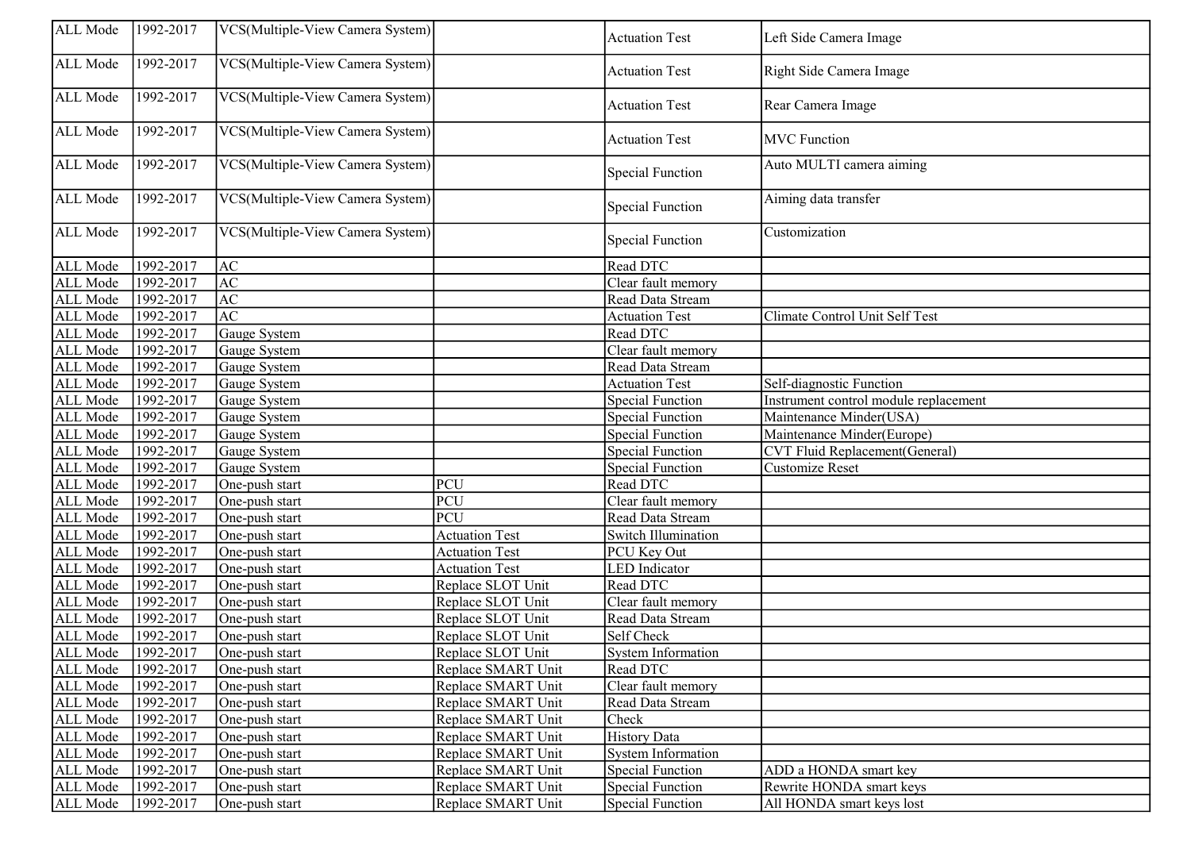| ALL Mode | 1992-2017            | VCS(Multiple-View Camera System) |                       | <b>Actuation Test</b>     | Left Side Camera Image                |
|----------|----------------------|----------------------------------|-----------------------|---------------------------|---------------------------------------|
| ALL Mode | 1992-2017            | VCS(Multiple-View Camera System) |                       | <b>Actuation Test</b>     | Right Side Camera Image               |
| ALL Mode | 1992-2017            | VCS(Multiple-View Camera System) |                       | <b>Actuation Test</b>     | Rear Camera Image                     |
| ALL Mode | 1992-2017            | VCS(Multiple-View Camera System) |                       | <b>Actuation Test</b>     | <b>MVC</b> Function                   |
| ALL Mode | 1992-2017            | VCS(Multiple-View Camera System) |                       | <b>Special Function</b>   | Auto MULTI camera aiming              |
| ALL Mode | 1992-2017            | VCS(Multiple-View Camera System) |                       | <b>Special Function</b>   | Aiming data transfer                  |
| ALL Mode | 1992-2017            | VCS(Multiple-View Camera System) |                       | <b>Special Function</b>   | Customization                         |
| ALL Mode | 1992-2017            | <b>AC</b>                        |                       | Read DTC                  |                                       |
| ALL Mode | 1992-2017            | AC                               |                       | Clear fault memory        |                                       |
| ALL Mode | 1992-2017            | AC                               |                       | Read Data Stream          |                                       |
| ALL Mode | 1992-2017            | AC                               |                       | <b>Actuation Test</b>     | Climate Control Unit Self Test        |
| ALL Mode | 1992-2017            | Gauge System                     |                       | Read DTC                  |                                       |
| ALL Mode | 1992-2017            | Gauge System                     |                       | Clear fault memory        |                                       |
| ALL Mode | 1992-2017            | Gauge System                     |                       | Read Data Stream          |                                       |
| ALL Mode | 1992-2017            | Gauge System                     |                       | <b>Actuation Test</b>     | Self-diagnostic Function              |
| ALL Mode | 1992-2017            | Gauge System                     |                       | Special Function          | Instrument control module replacement |
| ALL Mode | $\sqrt{1992 - 2017}$ | Gauge System                     |                       | <b>Special Function</b>   | Maintenance Minder(USA)               |
| ALL Mode | 1992-2017            | Gauge System                     |                       | <b>Special Function</b>   | Maintenance Minder(Europe)            |
| ALL Mode | 1992-2017            | Gauge System                     |                       | <b>Special Function</b>   | CVT Fluid Replacement(General)        |
| ALL Mode | $\sqrt{1992 - 2017}$ | Gauge System                     |                       | <b>Special Function</b>   | Customize Reset                       |
| ALL Mode | 1992-2017            | One-push start                   | PCU                   | Read DTC                  |                                       |
| ALL Mode | 1992-2017            | One-push start                   | PCU                   | Clear fault memory        |                                       |
| ALL Mode | 1992-2017            | One-push start                   | PCU                   | Read Data Stream          |                                       |
| ALL Mode | 1992-2017            | One-push start                   | <b>Actuation Test</b> | Switch Illumination       |                                       |
| ALL Mode | 1992-2017            | One-push start                   | <b>Actuation Test</b> | PCU Key Out               |                                       |
| ALL Mode | 1992-2017            | One-push start                   | <b>Actuation Test</b> | <b>LED</b> Indicator      |                                       |
| ALL Mode | 1992-2017            | One-push start                   | Replace SLOT Unit     | Read DTC                  |                                       |
| ALL Mode | 1992-2017            | One-push start                   | Replace SLOT Unit     | Clear fault memory        |                                       |
| ALL Mode | 1992-2017            | One-push start                   | Replace SLOT Unit     | Read Data Stream          |                                       |
| ALL Mode | 1992-2017            | One-push start                   | Replace SLOT Unit     | Self Check                |                                       |
| ALL Mode | 1992-2017            | One-push start                   | Replace SLOT Unit     | <b>System Information</b> |                                       |
| ALL Mode | $\sqrt{1992 - 2017}$ | One-push start                   | Replace SMART Unit    | Read DTC                  |                                       |
| ALL Mode | 1992-2017            | One-push start                   | Replace SMART Unit    | Clear fault memory        |                                       |
| ALL Mode | 1992-2017            | One-push start                   | Replace SMART Unit    | Read Data Stream          |                                       |
| ALL Mode | 1992-2017            | One-push start                   | Replace SMART Unit    | Check                     |                                       |
| ALL Mode | 1992-2017            | One-push start                   | Replace SMART Unit    | <b>History Data</b>       |                                       |
| ALL Mode | 1992-2017            | One-push start                   | Replace SMART Unit    | <b>System Information</b> |                                       |
| ALL Mode | 1992-2017            | One-push start                   | Replace SMART Unit    | <b>Special Function</b>   | ADD a HONDA smart key                 |
| ALL Mode | 1992-2017            | One-push start                   | Replace SMART Unit    | Special Function          | Rewrite HONDA smart keys              |
| ALL Mode | 1992-2017            | One-push start                   | Replace SMART Unit    | <b>Special Function</b>   | All HONDA smart keys lost             |
|          |                      |                                  |                       |                           |                                       |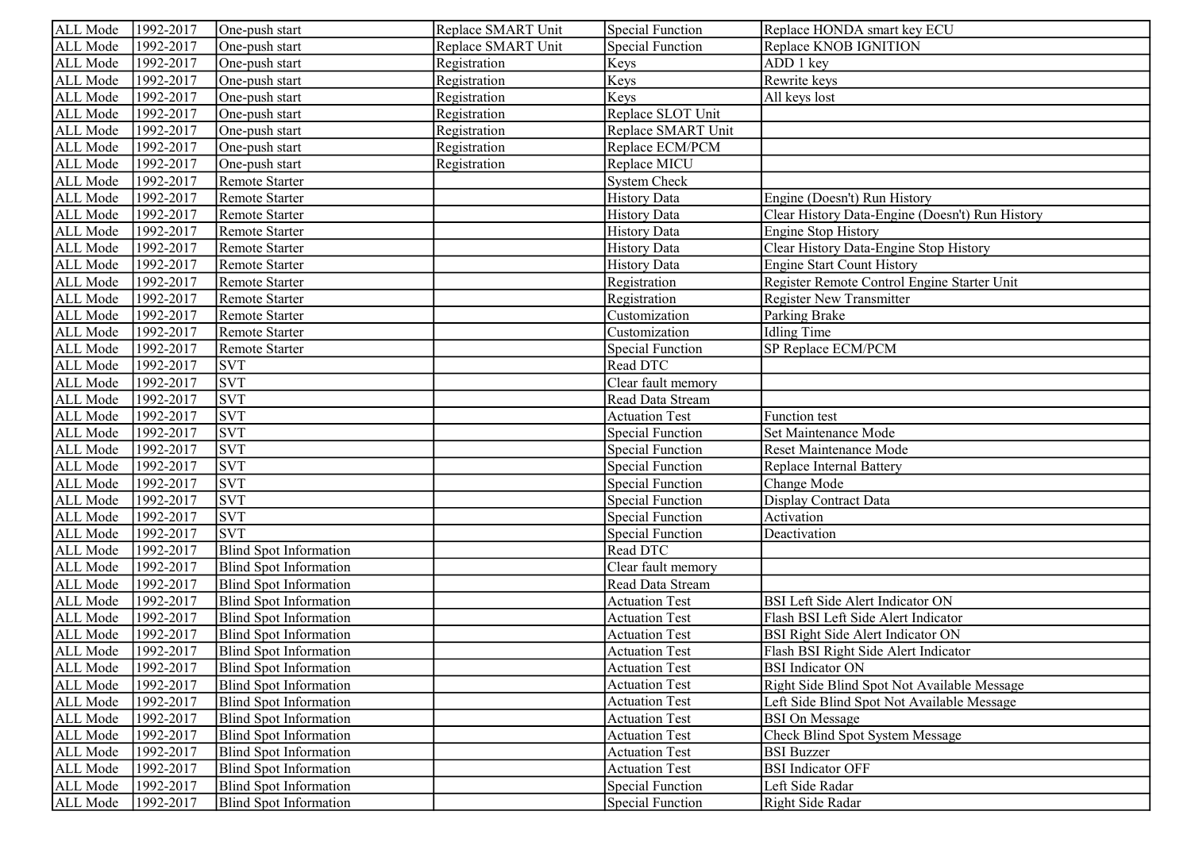| ALL Mode | 1992-2017            | One-push start                | Replace SMART Unit | <b>Special Function</b> | Replace HONDA smart key ECU                     |
|----------|----------------------|-------------------------------|--------------------|-------------------------|-------------------------------------------------|
| ALL Mode | 1992-2017            | One-push start                | Replace SMART Unit | <b>Special Function</b> | Replace KNOB IGNITION                           |
| ALL Mode | 1992-2017            | One-push start                | Registration       | Keys                    | ADD 1 key                                       |
| ALL Mode | 1992-2017            | One-push start                | Registration       | Keys                    | Rewrite keys                                    |
| ALL Mode | 1992-2017            | One-push start                | Registration       | Keys                    | All keys lost                                   |
| ALL Mode | 1992-2017            | One-push start                | Registration       | Replace SLOT Unit       |                                                 |
| ALL Mode | 1992-2017            | One-push start                | Registration       | Replace SMART Unit      |                                                 |
| ALL Mode | 1992-2017            | One-push start                | Registration       | Replace ECM/PCM         |                                                 |
| ALL Mode | 1992-2017            | One-push start                | Registration       | Replace MICU            |                                                 |
| ALL Mode | 1992-2017            | Remote Starter                |                    | <b>System Check</b>     |                                                 |
| ALL Mode | 1992-2017            | Remote Starter                |                    | <b>History Data</b>     | Engine (Doesn't) Run History                    |
| ALL Mode | 1992-2017            | Remote Starter                |                    | <b>History Data</b>     | Clear History Data-Engine (Doesn't) Run History |
| ALL Mode | 1992-2017            | Remote Starter                |                    | <b>History Data</b>     | <b>Engine Stop History</b>                      |
| ALL Mode | 1992-2017            | Remote Starter                |                    | <b>History Data</b>     | Clear History Data-Engine Stop History          |
| ALL Mode | 1992-2017            | Remote Starter                |                    | <b>History Data</b>     | <b>Engine Start Count History</b>               |
| ALL Mode | 1992-2017            | Remote Starter                |                    | Registration            | Register Remote Control Engine Starter Unit     |
| ALL Mode | 1992-2017            | Remote Starter                |                    | Registration            | <b>Register New Transmitter</b>                 |
| ALL Mode | 1992-2017            | Remote Starter                |                    | Customization           | Parking Brake                                   |
| ALL Mode | 1992-2017            | Remote Starter                |                    | Customization           | <b>Idling Time</b>                              |
| ALL Mode | 1992-2017            | Remote Starter                |                    | <b>Special Function</b> | SP Replace ECM/PCM                              |
| ALL Mode | 1992-2017            | <b>SVT</b>                    |                    | Read DTC                |                                                 |
| ALL Mode | 1992-2017            | <b>SVT</b>                    |                    | Clear fault memory      |                                                 |
| ALL Mode | 1992-2017            | <b>SVT</b>                    |                    | Read Data Stream        |                                                 |
| ALL Mode | 1992-2017            | <b>SVT</b>                    |                    | <b>Actuation Test</b>   | <b>Function</b> test                            |
| ALL Mode | 1992-2017            | <b>SVT</b>                    |                    | <b>Special Function</b> | Set Maintenance Mode                            |
| ALL Mode | 1992-2017            | <b>SVT</b>                    |                    | <b>Special Function</b> | Reset Maintenance Mode                          |
| ALL Mode | 1992-2017            | <b>SVT</b>                    |                    | <b>Special Function</b> | Replace Internal Battery                        |
| ALL Mode | 1992-2017            | <b>SVT</b>                    |                    | <b>Special Function</b> | Change Mode                                     |
| ALL Mode | 1992-2017            | <b>SVT</b>                    |                    | <b>Special Function</b> | Display Contract Data                           |
| ALL Mode | 1992-2017            | <b>SVT</b>                    |                    | <b>Special Function</b> | Activation                                      |
| ALL Mode | 1992-2017            | <b>SVT</b>                    |                    | <b>Special Function</b> | Deactivation                                    |
| ALL Mode | 1992-2017            | <b>Blind Spot Information</b> |                    | Read DTC                |                                                 |
| ALL Mode | 1992-2017            | <b>Blind Spot Information</b> |                    | Clear fault memory      |                                                 |
| ALL Mode | 1992-2017            | <b>Blind Spot Information</b> |                    | Read Data Stream        |                                                 |
| ALL Mode | 1992-2017            | <b>Blind Spot Information</b> |                    | <b>Actuation Test</b>   | BSI Left Side Alert Indicator ON                |
| ALL Mode | 1992-2017            | <b>Blind Spot Information</b> |                    | <b>Actuation Test</b>   | Flash BSI Left Side Alert Indicator             |
| ALL Mode | 1992-2017            | <b>Blind Spot Information</b> |                    | <b>Actuation Test</b>   | BSI Right Side Alert Indicator ON               |
| ALL Mode | 1992-2017            | <b>Blind Spot Information</b> |                    | <b>Actuation Test</b>   | Flash BSI Right Side Alert Indicator            |
| ALL Mode | $\sqrt{1992 - 2017}$ | Blind Spot Information        |                    | <b>Actuation Test</b>   | <b>BSI</b> Indicator ON                         |
| ALL Mode | 1992-2017            | <b>Blind Spot Information</b> |                    | <b>Actuation Test</b>   | Right Side Blind Spot Not Available Message     |
| ALL Mode | 1992-2017            | <b>Blind Spot Information</b> |                    | <b>Actuation Test</b>   | Left Side Blind Spot Not Available Message      |
| ALL Mode | 1992-2017            | Blind Spot Information        |                    | <b>Actuation Test</b>   | <b>BSI</b> On Message                           |
| ALL Mode | 1992-2017            | Blind Spot Information        |                    | <b>Actuation Test</b>   | Check Blind Spot System Message                 |
| ALL Mode | 1992-2017            | Blind Spot Information        |                    | <b>Actuation Test</b>   | <b>BSI</b> Buzzer                               |
| ALL Mode | 1992-2017            | Blind Spot Information        |                    | <b>Actuation Test</b>   | <b>BSI</b> Indicator OFF                        |
| ALL Mode | 1992-2017            | Blind Spot Information        |                    | <b>Special Function</b> | Left Side Radar                                 |
| ALL Mode | 1992-2017            | Blind Spot Information        |                    | <b>Special Function</b> | Right Side Radar                                |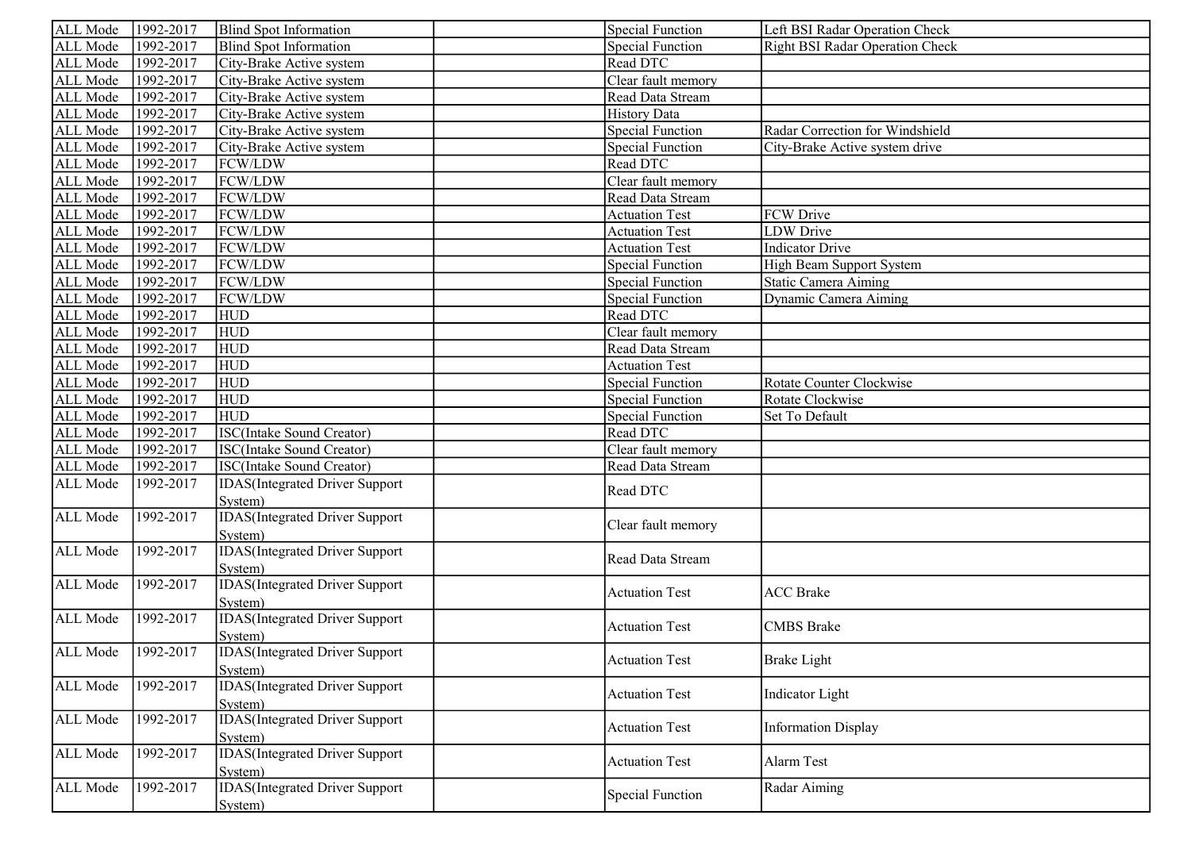| ALL Mode             | 1992-2017 | <b>Blind Spot Information</b>          | <b>Special Function</b> | Left BSI Radar Operation Check         |
|----------------------|-----------|----------------------------------------|-------------------------|----------------------------------------|
| ALL Mode             | 1992-2017 | Blind Spot Information                 | <b>Special Function</b> | <b>Right BSI Radar Operation Check</b> |
| ALL Mode             | 1992-2017 | City-Brake Active system               | Read DTC                |                                        |
| ALL Mode             | 1992-2017 | City-Brake Active system               | Clear fault memory      |                                        |
| ALL Mode             | 1992-2017 | City-Brake Active system               | Read Data Stream        |                                        |
| ALL Mode             | 1992-2017 | City-Brake Active system               | <b>History Data</b>     |                                        |
| ALL Mode             | 1992-2017 | City-Brake Active system               | <b>Special Function</b> | Radar Correction for Windshield        |
| ALL Mode             | 1992-2017 | City-Brake Active system               | <b>Special Function</b> | City-Brake Active system drive         |
| ALL Mode             | 1992-2017 | FCW/LDW                                | Read DTC                |                                        |
| ALL Mode             | 1992-2017 | FCW/LDW                                | Clear fault memory      |                                        |
| ALL Mode             | 1992-2017 | FCW/LDW                                | Read Data Stream        |                                        |
| ALL Mode             | 1992-2017 | FCW/LDW                                | <b>Actuation Test</b>   | FCW Drive                              |
| ALL Mode             | 1992-2017 | FCW/LDW                                | <b>Actuation Test</b>   | <b>LDW</b> Drive                       |
| ALL Mode             | 1992-2017 | FCW/LDW                                | <b>Actuation Test</b>   | <b>Indicator Drive</b>                 |
| ALL Mode             | 1992-2017 | FCW/LDW                                | <b>Special Function</b> | High Beam Support System               |
| ALL Mode             | 1992-2017 | FCW/LDW                                | <b>Special Function</b> | Static Camera Aiming                   |
| ALL Mode             | 1992-2017 | FCW/LDW                                | <b>Special Function</b> | Dynamic Camera Aiming                  |
| ALL Mode             | 1992-2017 | <b>HUD</b>                             | Read DTC                |                                        |
| ALL Mode             | 1992-2017 | <b>HUD</b>                             | Clear fault memory      |                                        |
| ALL Mode             | 1992-2017 | <b>HUD</b>                             | Read Data Stream        |                                        |
| ALL Mode             | 1992-2017 | <b>HUD</b>                             | <b>Actuation Test</b>   |                                        |
| ALL Mode             | 1992-2017 | <b>HUD</b>                             | <b>Special Function</b> | Rotate Counter Clockwise               |
| ALL Mode             | 1992-2017 | <b>HUD</b>                             | <b>Special Function</b> | Rotate Clockwise                       |
| ALL Mode             | 1992-2017 | <b>HUD</b>                             | <b>Special Function</b> | Set To Default                         |
| ALL Mode             | 1992-2017 | <b>ISC(Intake Sound Creator)</b>       | Read DTC                |                                        |
| ALL Mode             | 1992-2017 | <b>ISC(Intake Sound Creator)</b>       | Clear fault memory      |                                        |
| ALL Mode             | 1992-2017 | <b>ISC(Intake Sound Creator)</b>       | Read Data Stream        |                                        |
| ALL Mode             | 1992-2017 | <b>IDAS</b> (Integrated Driver Support | Read DTC                |                                        |
|                      |           | System)                                |                         |                                        |
| ALL Mode             | 1992-2017 | <b>IDAS</b> (Integrated Driver Support | Clear fault memory      |                                        |
|                      |           | System)                                |                         |                                        |
| ALL Mode             | 1992-2017 | <b>IDAS</b> (Integrated Driver Support | Read Data Stream        |                                        |
|                      |           | System)                                |                         |                                        |
| ALL Mode             | 1992-2017 | <b>IDAS</b> (Integrated Driver Support | <b>Actuation Test</b>   | <b>ACC Brake</b>                       |
|                      |           | System)                                |                         |                                        |
| ALL Mode             | 1992-2017 | <b>IDAS</b> (Integrated Driver Support | <b>Actuation Test</b>   | <b>CMBS</b> Brake                      |
|                      |           | System)                                |                         |                                        |
| ALL Mode   1992-2017 |           | <b>IDAS</b> (Integrated Driver Support | <b>Actuation Test</b>   | <b>Brake Light</b>                     |
|                      |           | System)                                |                         |                                        |
| ALL Mode             | 1992-2017 | <b>IDAS</b> (Integrated Driver Support | <b>Actuation Test</b>   | <b>Indicator</b> Light                 |
|                      |           | System)                                |                         |                                        |
| ALL Mode             | 1992-2017 | <b>IDAS</b> (Integrated Driver Support | <b>Actuation Test</b>   | <b>Information Display</b>             |
|                      |           | System)                                |                         |                                        |
| ALL Mode             | 1992-2017 | <b>IDAS</b> (Integrated Driver Support | <b>Actuation Test</b>   | Alarm Test                             |
|                      |           | System)                                |                         |                                        |
| ALL Mode             | 1992-2017 | <b>IDAS</b> (Integrated Driver Support | <b>Special Function</b> | Radar Aiming                           |
|                      |           | System)                                |                         |                                        |